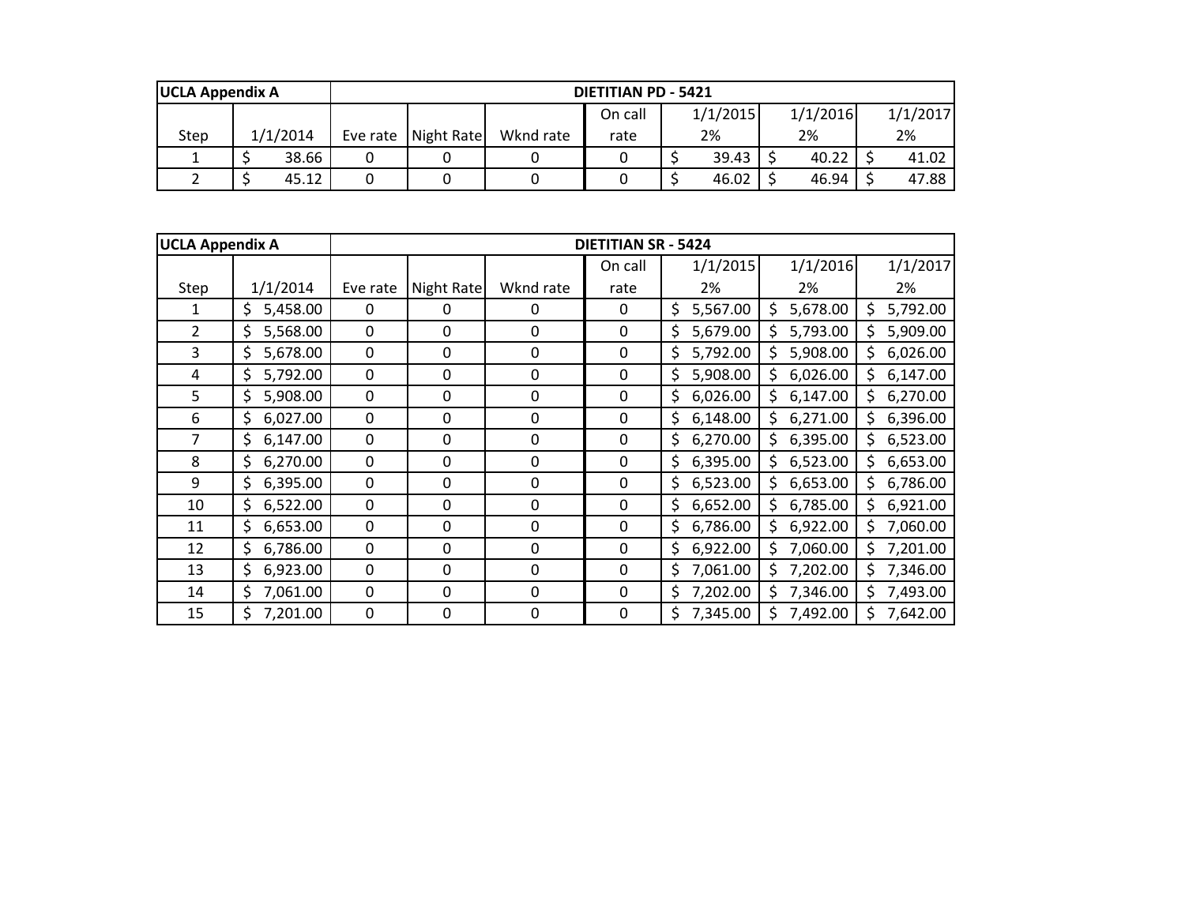| <b>UCLA Appendix A</b> |          | <b>DIETITIAN PD - 5421</b> |                                             |           |      |    |       |  |       |  |       |  |
|------------------------|----------|----------------------------|---------------------------------------------|-----------|------|----|-------|--|-------|--|-------|--|
|                        |          |                            | 1/1/2015<br>1/1/2016<br>1/1/2017<br>On call |           |      |    |       |  |       |  |       |  |
| Step                   | 1/1/2014 |                            | Eve rate Night Rate                         | Wknd rate | rate | 2% |       |  | 2%    |  | 2%    |  |
|                        | 38.66    | 0                          |                                             |           |      |    | 39.43 |  | 40.22 |  | 41.02 |  |
|                        | 45.12    | 0                          |                                             |           |      |    | 46.02 |  | 46.94 |  | 47.88 |  |

| <b>UCLA Appendix A</b> |                |             |             |             | <b>DIETITIAN SR - 5424</b> |                |                |                |
|------------------------|----------------|-------------|-------------|-------------|----------------------------|----------------|----------------|----------------|
|                        |                |             |             |             | On call                    | 1/1/2015       | 1/1/2016       | 1/1/2017       |
| Step                   | 1/1/2014       | Eve rate    | Night Rate  | Wknd rate   | rate                       | 2%             | 2%             | 2%             |
| 1                      | 5,458.00<br>\$ | $\Omega$    | 0           | 0           | $\Omega$                   | \$<br>5,567.00 | 5,678.00<br>\$ | 5,792.00       |
| $\overline{2}$         | 5,568.00<br>\$ | 0           | 0           | 0           | 0                          | \$<br>5,679.00 | 5,793.00<br>\$ | 5,909.00       |
| $\overline{3}$         | \$<br>5,678.00 | $\mathbf 0$ | 0           | $\mathbf 0$ | 0                          | \$<br>5,792.00 | 5,908.00<br>Ś  | 6,026.00<br>\$ |
| 4                      | \$<br>5,792.00 | 0           | 0           | $\mathbf 0$ | 0                          | \$<br>5,908.00 | 6,026.00<br>\$ | \$<br>6,147.00 |
| 5                      | \$<br>5,908.00 | 0           | 0           | $\mathbf 0$ | 0                          | \$<br>6,026.00 | \$<br>6,147.00 | 6,270.00<br>\$ |
| 6                      | \$<br>6,027.00 | 0           | 0           | 0           | 0                          | \$<br>6,148.00 | 6,271.00<br>\$ | \$<br>6,396.00 |
| 7                      | \$<br>6,147.00 | 0           | 0           | 0           | 0                          | \$<br>6,270.00 | \$<br>6,395.00 | 6,523.00<br>\$ |
| 8                      | 6,270.00<br>\$ | $\mathbf 0$ | 0           | $\mathbf 0$ | $\mathbf 0$                | \$<br>6,395.00 | 6,523.00<br>\$ | 6,653.00<br>\$ |
| 9                      | 6,395.00<br>\$ | $\mathbf 0$ | $\mathbf 0$ | $\mathbf 0$ | $\mathbf 0$                | 6,523.00<br>\$ | 6,653.00<br>Ś  | 6,786.00<br>\$ |
| 10                     | \$<br>6,522.00 | $\mathbf 0$ | 0           | $\mathbf 0$ | $\mathbf 0$                | \$<br>6,652.00 | 6,785.00<br>\$ | 6,921.00<br>\$ |
| 11                     | \$<br>6,653.00 | $\mathbf 0$ | 0           | $\mathbf 0$ | 0                          | \$<br>6,786.00 | 6,922.00<br>\$ | \$<br>7,060.00 |
| 12                     | \$<br>6,786.00 | 0           | 0           | 0           | 0                          | \$<br>6,922.00 | Ś<br>7,060.00  | \$<br>7,201.00 |
| 13                     | \$<br>6,923.00 | 0           | 0           | 0           | 0                          | \$<br>7,061.00 | \$<br>7,202.00 | \$<br>7,346.00 |
| 14                     | \$<br>7,061.00 | $\mathbf 0$ | 0           | 0           | 0                          | \$<br>7,202.00 | 7,346.00       | 7,493.00<br>Ś  |
| 15                     | 7,201.00<br>\$ | $\mathbf 0$ | 0           | $\mathbf 0$ | $\pmb{0}$                  | \$<br>7,345.00 | 7,492.00       | 7,642.00       |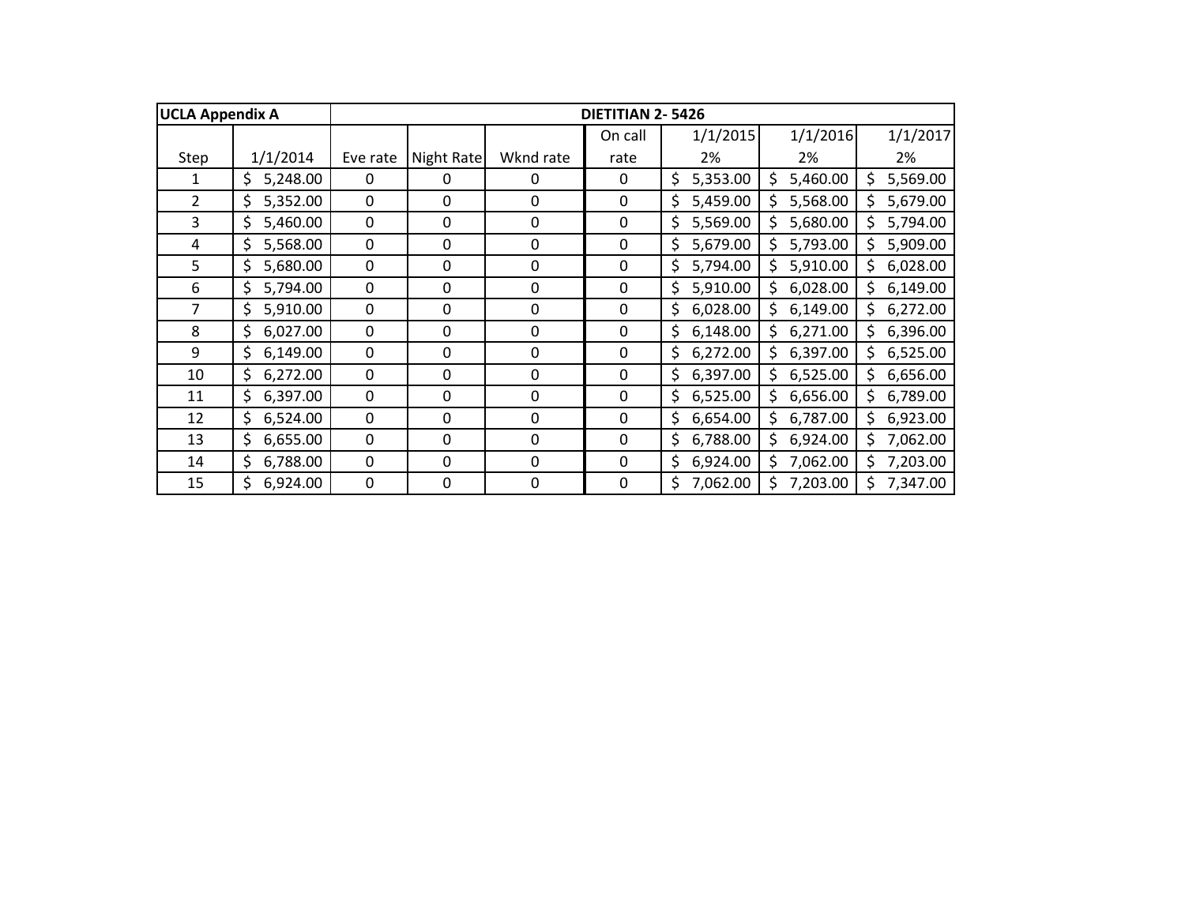| <b>UCLA Appendix A</b> |                |             |            |                  | DIETITIAN 2-5426 |                |                |                 |
|------------------------|----------------|-------------|------------|------------------|------------------|----------------|----------------|-----------------|
|                        |                |             |            |                  | On call          | 1/1/2015       | 1/1/2016       | 1/1/2017        |
| Step                   | 1/1/2014       | Eve rate    | Night Rate | Wknd rate        | rate             | 2%             | 2%             | 2%              |
| 1                      | 5,248.00<br>\$ | $\Omega$    | 0          | 0                | 0                | \$<br>5,353.00 | 5,460.00<br>\$ | 5,569.00<br>\$  |
| $\overline{2}$         | \$<br>5,352.00 | $\mathbf 0$ | 0          | $\mathbf 0$      | 0                | 5,459.00<br>\$ | 5,568.00<br>\$ | 5,679.00<br>\$  |
| 3                      | \$<br>5,460.00 | 0           | 0          | $\boldsymbol{0}$ | 0                | \$<br>5,569.00 | 5,680.00<br>Ś  | Ś.<br>5,794.00  |
| 4                      | \$<br>5,568.00 | 0           | 0          | $\boldsymbol{0}$ | 0                | \$<br>5,679.00 | 5,793.00<br>\$ | \$.<br>5,909.00 |
| 5                      | \$<br>5,680.00 | 0           | 0          | $\boldsymbol{0}$ | 0                | \$<br>5,794.00 | 5,910.00<br>\$ | \$.<br>6,028.00 |
| 6                      | \$<br>5,794.00 | 0           | 0          | $\boldsymbol{0}$ | 0                | \$<br>5,910.00 | 6,028.00<br>\$ | \$<br>6,149.00  |
| 7                      | \$<br>5,910.00 | 0           | 0          | 0                | 0                | \$<br>6,028.00 | \$<br>6,149.00 | \$<br>6,272.00  |
| 8                      | \$<br>6,027.00 | 0           | 0          | 0                | 0                | \$<br>6,148.00 | 6,271.00<br>\$ | 6,396.00<br>\$. |
| 9                      | \$<br>6,149.00 | $\mathbf 0$ | 0          | $\mathbf 0$      | $\mathbf 0$      | \$<br>6,272.00 | 6,397.00<br>\$ | 6,525.00<br>\$. |
| 10                     | \$<br>6,272.00 | $\mathbf 0$ | 0          | $\mathbf 0$      | $\mathbf 0$      | \$<br>6,397.00 | 6,525.00<br>\$ | 6,656.00<br>\$  |
| 11                     | \$<br>6,397.00 | 0           | 0          | 0                | 0                | 6,525.00<br>\$ | 6,656.00<br>Ś  | 6,789.00<br>\$  |
| 12                     | \$<br>6,524.00 | 0           | 0          | 0                | 0                | \$<br>6,654.00 | 6,787.00<br>\$ | \$.<br>6,923.00 |
| 13                     | \$<br>6,655.00 | 0           | 0          | 0                | 0                | \$<br>6,788.00 | 6,924.00<br>\$ | 7,062.00<br>\$. |
| 14                     | \$<br>6,788.00 | 0           | 0          | $\Omega$         | 0                | \$<br>6,924.00 | \$<br>7,062.00 | \$<br>7,203.00  |
| 15                     | \$<br>6,924.00 | 0           | 0          | $\mathbf 0$      | 0                | \$<br>7,062.00 | \$<br>7,203.00 | \$<br>7,347.00  |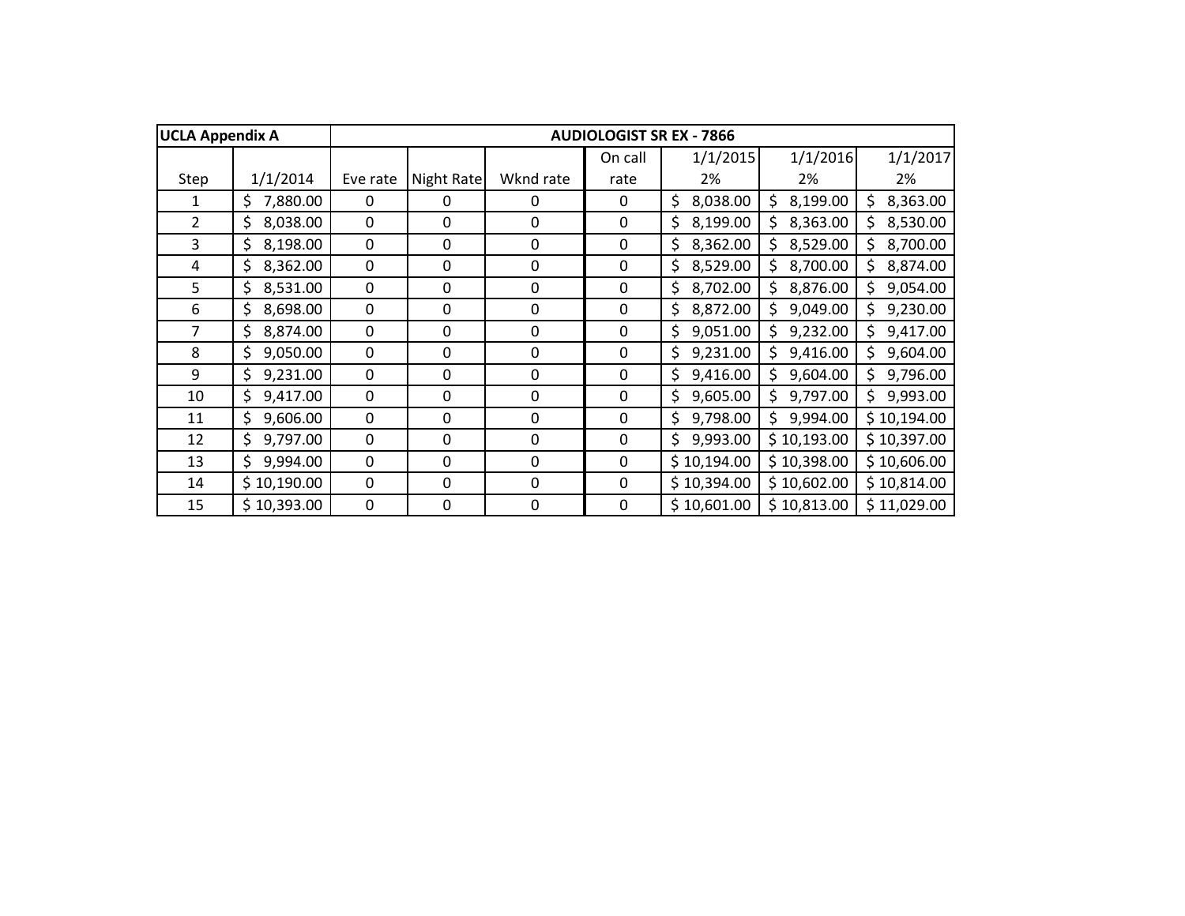| <b>UCLA Appendix A</b> |                |             |            |             |              | <b>AUDIOLOGIST SR EX - 7866</b> |                |                 |
|------------------------|----------------|-------------|------------|-------------|--------------|---------------------------------|----------------|-----------------|
|                        |                |             |            |             | On call      | 1/1/2015                        | 1/1/2016       | 1/1/2017        |
| Step                   | 1/1/2014       | Eve rate    | Night Rate | Wknd rate   | rate         | 2%                              | 2%             | 2%              |
| 1                      | 7,880.00<br>\$ | $\Omega$    | 0          | 0           | 0            | \$<br>8,038.00                  | 8,199.00<br>\$ | 8,363.00<br>\$  |
| $\overline{2}$         | \$<br>8,038.00 | 0           | 0          | 0           | 0            | \$<br>8,199.00                  | 8,363.00<br>S  | 8,530.00<br>Ś.  |
| 3                      | \$<br>8,198.00 | 0           | 0          | 0           | 0            | \$<br>8,362.00                  | 8,529.00<br>Ś. | \$.<br>8,700.00 |
| 4                      | \$<br>8,362.00 | $\mathbf 0$ | 0          | $\mathbf 0$ | 0            | \$<br>8,529.00                  | \$<br>8,700.00 | 8,874.00<br>\$. |
| 5                      | \$<br>8,531.00 | $\mathbf 0$ | 0          | $\mathbf 0$ | 0            | \$<br>8,702.00                  | 8,876.00<br>\$ | \$.<br>9,054.00 |
| 6                      | \$<br>8,698.00 | 0           | 0          | $\mathbf 0$ | 0            | 8,872.00<br>\$                  | \$<br>9,049.00 | \$<br>9,230.00  |
| $\overline{7}$         | \$<br>8,874.00 | 0           | 0          | 0           | 0            | \$<br>9,051.00                  | \$<br>9,232.00 | \$<br>9,417.00  |
| 8                      | \$<br>9,050.00 | 0           | 0          | 0           | 0            | \$<br>9,231.00                  | 9,416.00<br>S  | 9,604.00        |
| 9                      | \$<br>9,231.00 | 0           | 0          | 0           | 0            | \$<br>9,416.00                  | 9,604.00<br>\$ | 9,796.00<br>Ś.  |
| 10                     | \$<br>9,417.00 | $\Omega$    | 0          | $\mathbf 0$ | $\mathbf 0$  | 9,605.00<br>\$                  | 9,797.00       | 9,993.00<br>\$. |
| 11                     | \$<br>9,606.00 | 0           | 0          | $\mathbf 0$ | $\mathbf 0$  | \$<br>9,798.00                  | 9,994.00<br>\$ | \$10,194.00     |
| 12                     | \$<br>9,797.00 | 0           | 0          | $\mathbf 0$ | $\mathbf 0$  | 9,993.00<br>\$                  | \$10,193.00    | \$10,397.00     |
| 13                     | Ś.<br>9,994.00 | 0           | 0          | 0           | $\mathbf{0}$ | \$10,194.00                     | \$10,398.00    | \$10,606.00     |
| 14                     | \$10,190.00    | 0           | 0          | $\mathbf 0$ | $\mathbf{0}$ | \$10,394.00                     | \$10,602.00    | \$10,814.00     |
| 15                     | \$10,393.00    | $\mathbf 0$ | 0          | 0           | $\mathbf 0$  | \$10,601.00                     | \$10,813.00    | \$11,029.00     |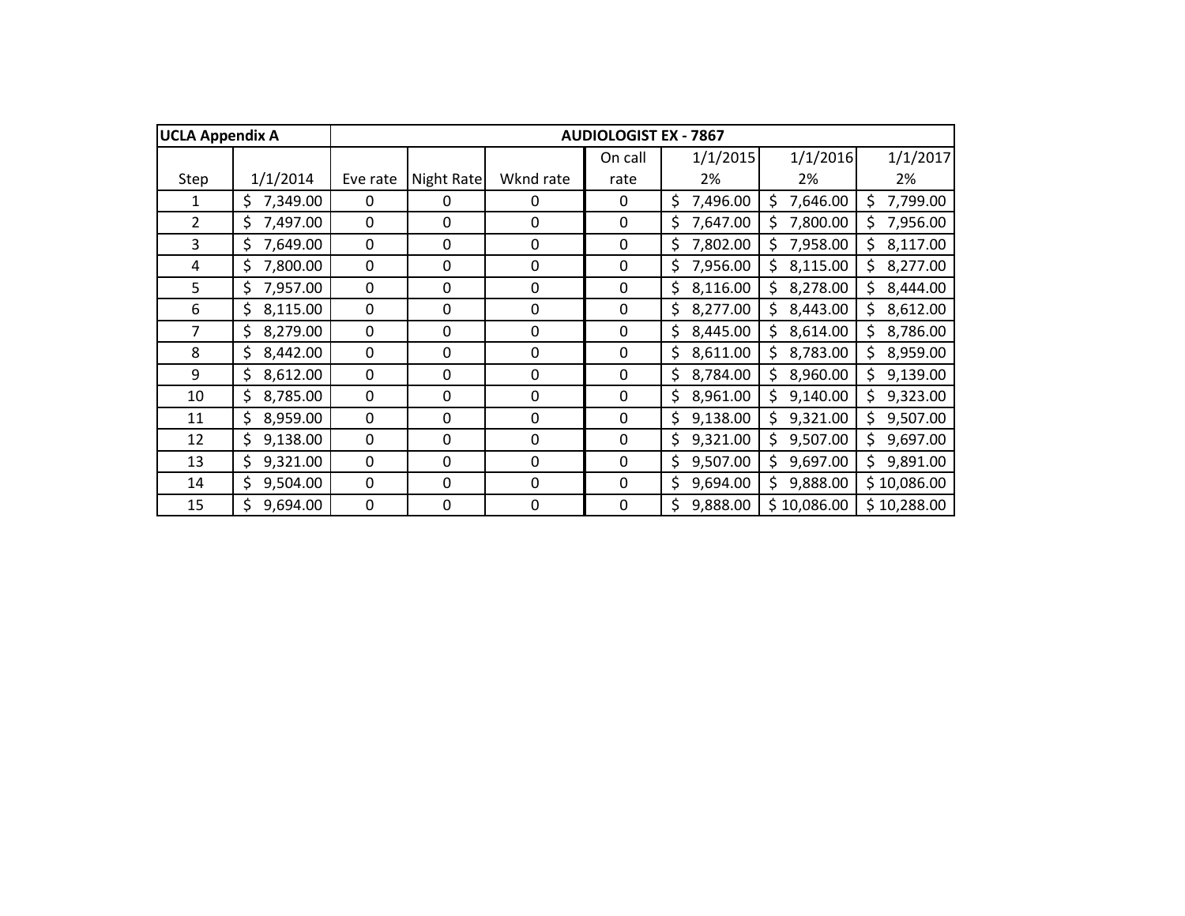| <b>UCLA Appendix A</b> |                |             |            |             | <b>AUDIOLOGIST EX - 7867</b> |                |                 |                 |
|------------------------|----------------|-------------|------------|-------------|------------------------------|----------------|-----------------|-----------------|
|                        |                |             |            |             | On call                      | 1/1/2015       | 1/1/2016        | 1/1/2017        |
| Step                   | 1/1/2014       | Eve rate    | Night Rate | Wknd rate   | rate                         | 2%             | 2%              | 2%              |
| 1                      | 7,349.00<br>\$ | $\Omega$    | 0          | 0           | 0                            | \$<br>7,496.00 | 7,646.00<br>S   | 7,799.00<br>\$  |
| $\overline{2}$         | \$<br>7,497.00 | 0           | 0          | 0           | 0                            | \$<br>7,647.00 | 7,800.00        | 7,956.00<br>Ś.  |
| 3                      | \$<br>7,649.00 | 0           | 0          | 0           | 0                            | \$<br>7,802.00 | 7,958.00<br>Ś.  | \$.<br>8,117.00 |
| 4                      | \$<br>7,800.00 | 0           | 0          | 0           | 0                            | \$<br>7,956.00 | 8,115.00<br>\$. | 8,277.00<br>\$. |
| 5                      | \$<br>7,957.00 | $\mathbf 0$ | 0          | $\mathbf 0$ | 0                            | \$<br>8,116.00 | \$<br>8,278.00  | \$<br>8,444.00  |
| 6                      | \$<br>8,115.00 | 0           | 0          | $\mathbf 0$ | 0                            | 8,277.00<br>\$ | \$<br>8,443.00  | \$<br>8,612.00  |
| $\overline{7}$         | \$<br>8,279.00 | 0           | 0          | 0           | 0                            | \$<br>8,445.00 | \$<br>8,614.00  | \$<br>8,786.00  |
| 8                      | \$<br>8,442.00 | 0           | 0          | 0           | 0                            | \$<br>8,611.00 | 8,783.00<br>Ś   | 8,959.00<br>Ś.  |
| 9                      | \$<br>8,612.00 | 0           | 0          | 0           | 0                            | 8,784.00<br>\$ | 8,960.00<br>\$  | 9,139.00<br>\$. |
| 10                     | 8,785.00<br>\$ | $\Omega$    | 0          | $\mathbf 0$ | $\mathbf{0}$                 | \$<br>8,961.00 | 9,140.00<br>\$  | 9,323.00<br>Ś.  |
| 11                     | \$<br>8,959.00 | 0           | 0          | $\mathbf 0$ | $\mathbf 0$                  | \$<br>9,138.00 | 9,321.00<br>\$  | 9,507.00<br>Ś.  |
| 12                     | \$<br>9,138.00 | 0           | 0          | $\mathbf 0$ | $\mathbf 0$                  | \$<br>9,321.00 | 9,507.00<br>\$  | 9,697.00<br>\$. |
| 13                     | \$<br>9,321.00 | 0           | 0          | 0           | $\mathbf{0}$                 | \$<br>9,507.00 | 9,697.00<br>\$  | \$.<br>9,891.00 |
| 14                     | \$<br>9,504.00 | 0           | 0          | $\mathbf 0$ | 0                            | \$<br>9,694.00 | \$<br>9,888.00  | \$10,086.00     |
| 15                     | Ś<br>9,694.00  | 0           | 0          | 0           | 0                            | \$<br>9,888.00 | \$10,086.00     | \$10,288.00     |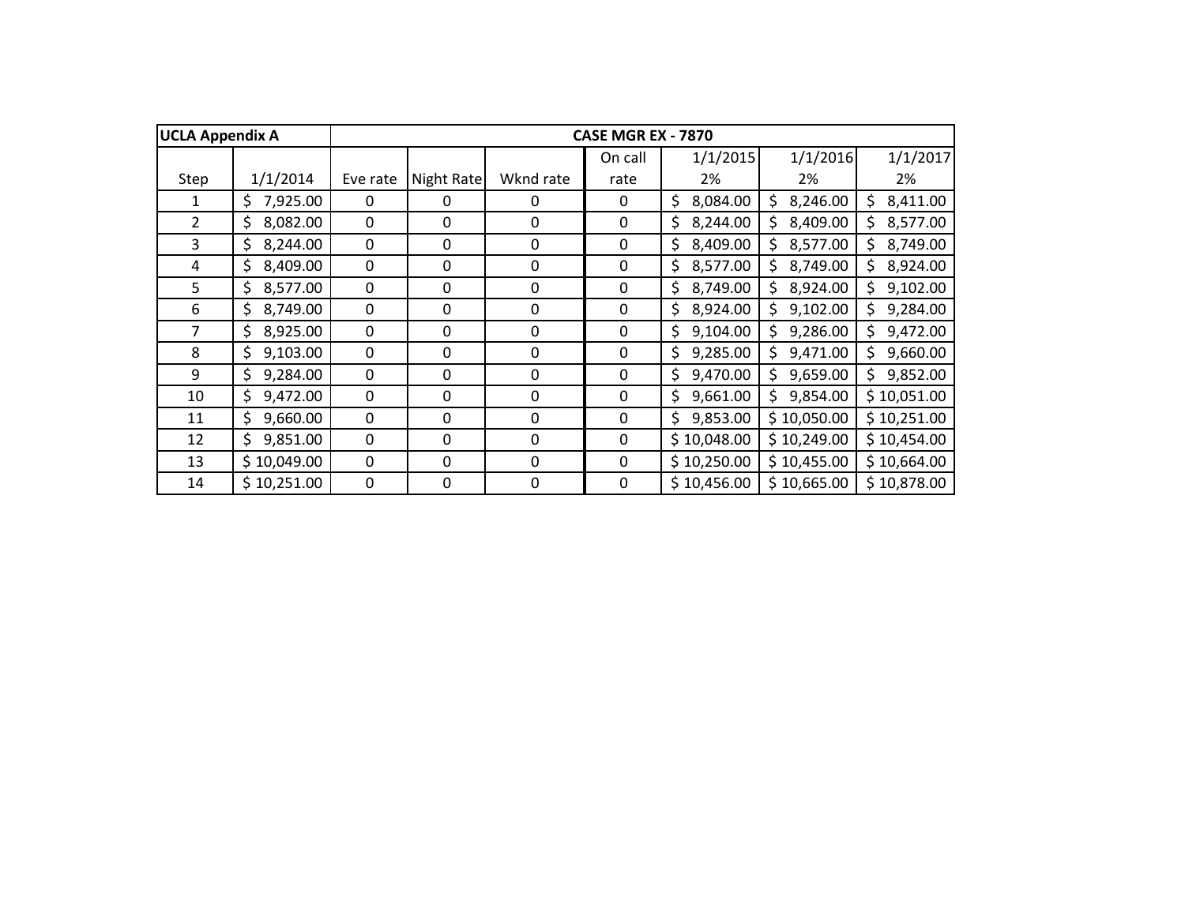| <b>UCLA Appendix A</b> |                |              |            |                  | <b>CASE MGR EX - 7870</b> |                |                |                 |
|------------------------|----------------|--------------|------------|------------------|---------------------------|----------------|----------------|-----------------|
|                        |                |              |            |                  | On call                   | 1/1/2015       | 1/1/2016       | 1/1/2017        |
| Step                   | 1/1/2014       | Eve rate     | Night Rate | Wknd rate        | rate                      | 2%             | 2%             | 2%              |
| 1                      | 7,925.00<br>\$ | $\Omega$     | 0          | $\Omega$         | $\Omega$                  | \$<br>8,084.00 | 8,246.00<br>\$ | 8,411.00<br>\$  |
| $\overline{2}$         | \$<br>8,082.00 | 0            | 0          | 0                | 0                         | 8,244.00<br>\$ | 8,409.00<br>Ś  | 8,577.00<br>\$. |
| 3                      | 8,244.00<br>\$ | 0            | 0          | 0                | 0                         | 8,409.00<br>\$ | 8,577.00<br>\$ | \$.<br>8,749.00 |
| 4                      | \$<br>8,409.00 | 0            | 0          | 0                | 0                         | 8,577.00<br>\$ | 8,749.00<br>\$ | 8,924.00<br>Ś.  |
| 5                      | \$<br>8,577.00 | 0            | 0          | $\boldsymbol{0}$ | 0                         | \$<br>8,749.00 | \$<br>8,924.00 | Ś.<br>9,102.00  |
| 6                      | \$<br>8,749.00 | 0            | 0          | 0                | 0                         | \$<br>8,924.00 | \$<br>9,102.00 | Ś<br>9,284.00   |
| 7                      | 8,925.00<br>\$ | 0            | 0          | $\mathbf 0$      | $\mathbf 0$               | 9,104.00<br>\$ | 9,286.00<br>\$ | 9,472.00<br>\$. |
| 8                      | \$<br>9,103.00 | 0            | 0          | 0                | 0                         | \$<br>9,285.00 | 9,471.00<br>\$ | Ś.<br>9,660.00  |
| 9                      | \$<br>9,284.00 | 0            | 0          | $\Omega$         | 0                         | \$<br>9,470.00 | Ś<br>9,659.00  | Ś.<br>9,852.00  |
| 10                     | \$<br>9,472.00 | 0            | 0          | 0                | 0                         | \$<br>9,661.00 | 9,854.00<br>Ś  | \$10,051.00     |
| 11                     | \$<br>9,660.00 | 0            | 0          | $\boldsymbol{0}$ | 0                         | \$<br>9,853.00 | \$10,050.00    | \$10,251.00     |
| 12                     | \$<br>9,851.00 | 0            | 0          | 0                | 0                         | \$10,048.00    | \$10,249.00    | \$10,454.00     |
| 13                     | \$10,049.00    | $\mathbf{0}$ | 0          | $\mathbf{0}$     | 0                         | \$10,250.00    | \$10,455.00    | \$10,664.00     |
| 14                     | \$10,251.00    | 0            | 0          | 0                | 0                         | \$10,456.00    | \$10,665.00    | \$10,878.00     |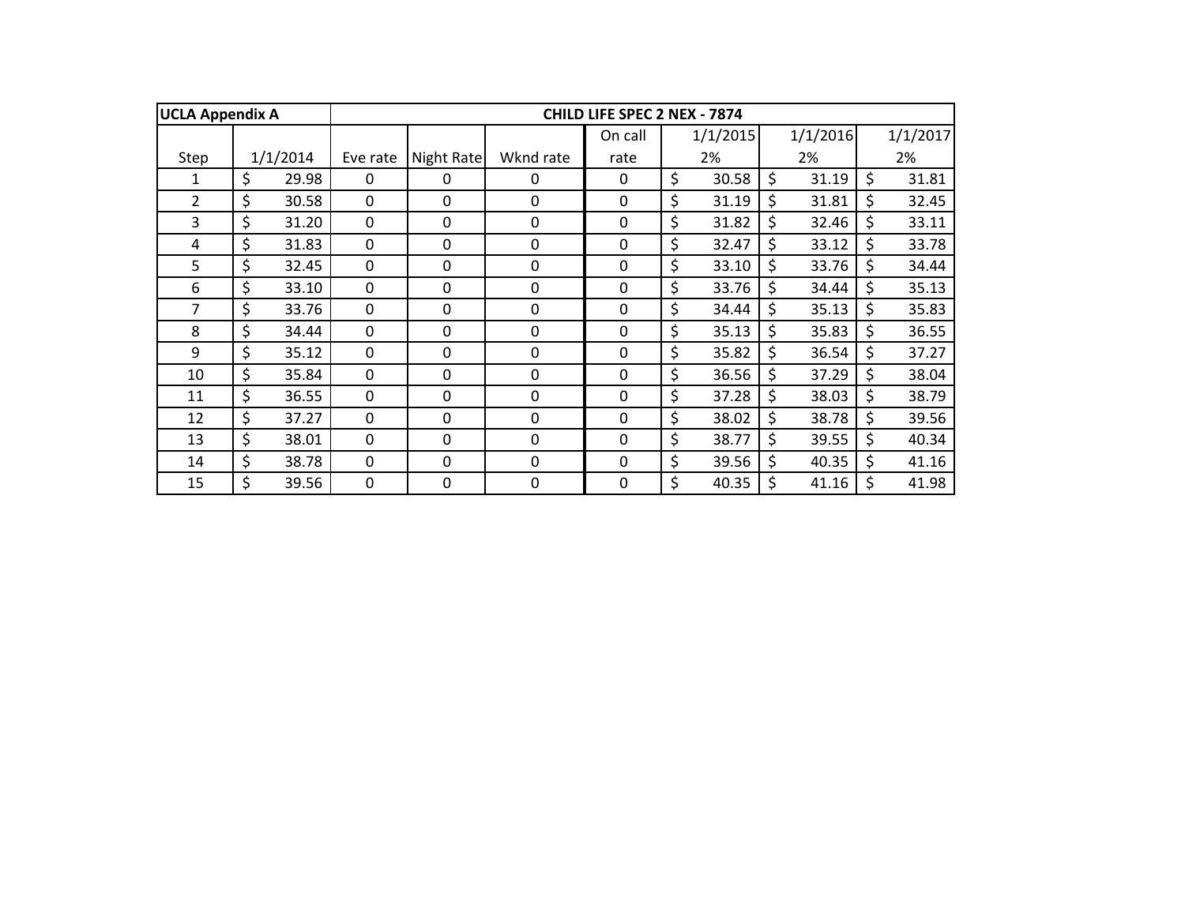| <b>UCLA Appendix A</b> |             | CHILD LIFE SPEC 2 NEX - 7874 |              |                  |             |    |          |    |          |    |          |
|------------------------|-------------|------------------------------|--------------|------------------|-------------|----|----------|----|----------|----|----------|
|                        |             |                              |              |                  | On call     |    | 1/1/2015 |    | 1/1/2016 |    | 1/1/2017 |
| Step                   | 1/1/2014    | Eve rate                     | Night Rate   | Wknd rate        | rate        |    | 2%       |    | 2%       |    | 2%       |
| 1                      | \$<br>29.98 | $\Omega$                     | $\mathbf{0}$ | $\Omega$         | 0           | \$ | 30.58    | \$ | 31.19    | \$ | 31.81    |
| $\overline{2}$         | \$<br>30.58 | $\mathbf 0$                  | $\mathbf{0}$ | $\mathbf 0$      | $\mathbf 0$ | \$ | 31.19    | \$ | 31.81    | \$ | 32.45    |
| 3                      | \$<br>31.20 | 0                            | 0            | 0                | 0           | \$ | 31.82    | \$ | 32.46    | \$ | 33.11    |
| 4                      | \$<br>31.83 | $\mathbf 0$                  | 0            | 0                | 0           | \$ | 32.47    | \$ | 33.12    | \$ | 33.78    |
| 5                      | \$<br>32.45 | 0                            | 0            | $\boldsymbol{0}$ | $\mathbf 0$ | \$ | 33.10    | \$ | 33.76    | \$ | 34.44    |
| 6                      | \$<br>33.10 | $\mathbf 0$                  | 0            | $\mathbf 0$      | $\mathbf 0$ | \$ | 33.76    | \$ | 34.44    | \$ | 35.13    |
| 7                      | \$<br>33.76 | $\mathbf 0$                  | 0            | 0                | $\mathbf 0$ | \$ | 34.44    | \$ | 35.13    | \$ | 35.83    |
| 8                      | \$<br>34.44 | $\mathbf 0$                  | 0            | 0                | $\mathbf 0$ | \$ | 35.13    | \$ | 35.83    | \$ | 36.55    |
| 9                      | \$<br>35.12 | $\mathbf 0$                  | $\mathbf{0}$ | $\mathbf 0$      | $\mathbf 0$ | \$ | 35.82    | \$ | 36.54    | \$ | 37.27    |
| 10                     | \$<br>35.84 | $\mathbf 0$                  | $\mathbf 0$  | $\mathbf 0$      | $\mathbf 0$ | \$ | 36.56    | \$ | 37.29    | \$ | 38.04    |
| 11                     | \$<br>36.55 | $\mathbf 0$                  | $\mathbf 0$  | $\mathbf 0$      | $\mathbf 0$ | \$ | 37.28    | \$ | 38.03    | \$ | 38.79    |
| 12                     | \$<br>37.27 | $\mathbf 0$                  | 0            | $\mathbf 0$      | $\mathbf 0$ | \$ | 38.02    | \$ | 38.78    | \$ | 39.56    |
| 13                     | \$<br>38.01 | $\mathbf 0$                  | 0            | $\mathbf 0$      | $\mathbf 0$ | \$ | 38.77    | \$ | 39.55    | \$ | 40.34    |
| 14                     | \$<br>38.78 | $\mathbf 0$                  | $\mathbf{0}$ | $\mathbf 0$      | $\mathbf 0$ | \$ | 39.56    | \$ | 40.35    | \$ | 41.16    |
| 15                     | \$<br>39.56 | $\mathbf 0$                  | 0            | $\mathbf 0$      | $\mathbf 0$ | \$ | 40.35    | \$ | 41.16    | \$ | 41.98    |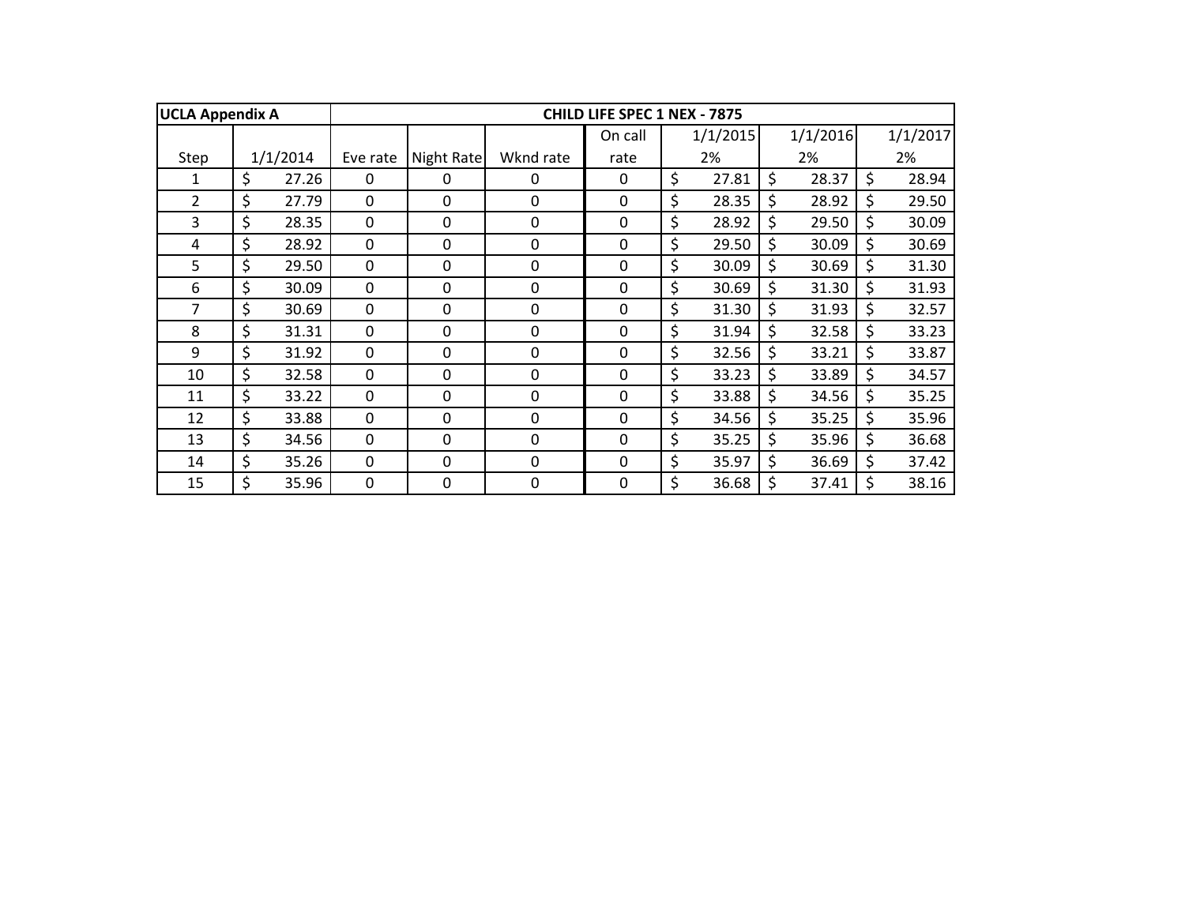| <b>UCLA Appendix A</b> |             | <b>CHILD LIFE SPEC 1 NEX - 7875</b> |              |             |             |    |          |    |          |    |          |
|------------------------|-------------|-------------------------------------|--------------|-------------|-------------|----|----------|----|----------|----|----------|
|                        |             |                                     |              |             | On call     |    | 1/1/2015 |    | 1/1/2016 |    | 1/1/2017 |
| Step                   | 1/1/2014    | Eve rate                            | Night Rate   | Wknd rate   | rate        |    | 2%       |    | 2%       |    | 2%       |
| 1                      | \$<br>27.26 | 0                                   | 0            | 0           | 0           | \$ | 27.81    | \$ | 28.37    | \$ | 28.94    |
| $\overline{2}$         | \$<br>27.79 | $\mathbf 0$                         | $\mathbf{0}$ | $\mathbf 0$ | $\mathbf 0$ | \$ | 28.35    | Ś. | 28.92    | \$ | 29.50    |
| 3                      | \$<br>28.35 | $\mathbf 0$                         | 0            | 0           | $\mathbf 0$ | \$ | 28.92    | \$ | 29.50    | \$ | 30.09    |
| 4                      | \$<br>28.92 | $\mathbf 0$                         | 0            | $\mathbf 0$ | 0           | \$ | 29.50    | \$ | 30.09    | \$ | 30.69    |
| 5                      | \$<br>29.50 | 0                                   | 0            | 0           | $\mathbf 0$ | \$ | 30.09    | \$ | 30.69    | \$ | 31.30    |
| 6                      | \$<br>30.09 | $\mathbf 0$                         | 0            | 0           | $\mathbf 0$ | \$ | 30.69    | \$ | 31.30    | \$ | 31.93    |
| 7                      | \$<br>30.69 | $\mathbf 0$                         | $\Omega$     | $\Omega$    | $\mathbf 0$ | \$ | 31.30    | \$ | 31.93    | \$ | 32.57    |
| 8                      | \$<br>31.31 | $\mathbf 0$                         | $\Omega$     | $\mathbf 0$ | $\mathbf 0$ | \$ | 31.94    | \$ | 32.58    | \$ | 33.23    |
| 9                      | \$<br>31.92 | $\mathbf 0$                         | $\mathbf 0$  | $\mathbf 0$ | $\mathbf 0$ | \$ | 32.56    | \$ | 33.21    | \$ | 33.87    |
| 10                     | \$<br>32.58 | $\mathbf 0$                         | $\mathbf 0$  | $\mathbf 0$ | $\mathbf 0$ | \$ | 33.23    | \$ | 33.89    | \$ | 34.57    |
| 11                     | \$<br>33.22 | $\mathbf 0$                         | 0            | $\mathbf 0$ | $\mathbf 0$ | \$ | 33.88    | \$ | 34.56    | \$ | 35.25    |
| 12                     | \$<br>33.88 | $\mathbf 0$                         | 0            | $\mathbf 0$ | $\mathbf 0$ | \$ | 34.56    | \$ | 35.25    | \$ | 35.96    |
| 13                     | \$<br>34.56 | $\mathbf 0$                         | $\mathbf{0}$ | $\mathbf 0$ | $\mathbf 0$ | \$ | 35.25    | \$ | 35.96    | \$ | 36.68    |
| 14                     | \$<br>35.26 | $\mathbf{0}$                        | $\mathbf{0}$ | $\Omega$    | 0           | \$ | 35.97    | \$ | 36.69    | \$ | 37.42    |
| 15                     | \$<br>35.96 | 0                                   | 0            | 0           | 0           | \$ | 36.68    | \$ | 37.41    |    | 38.16    |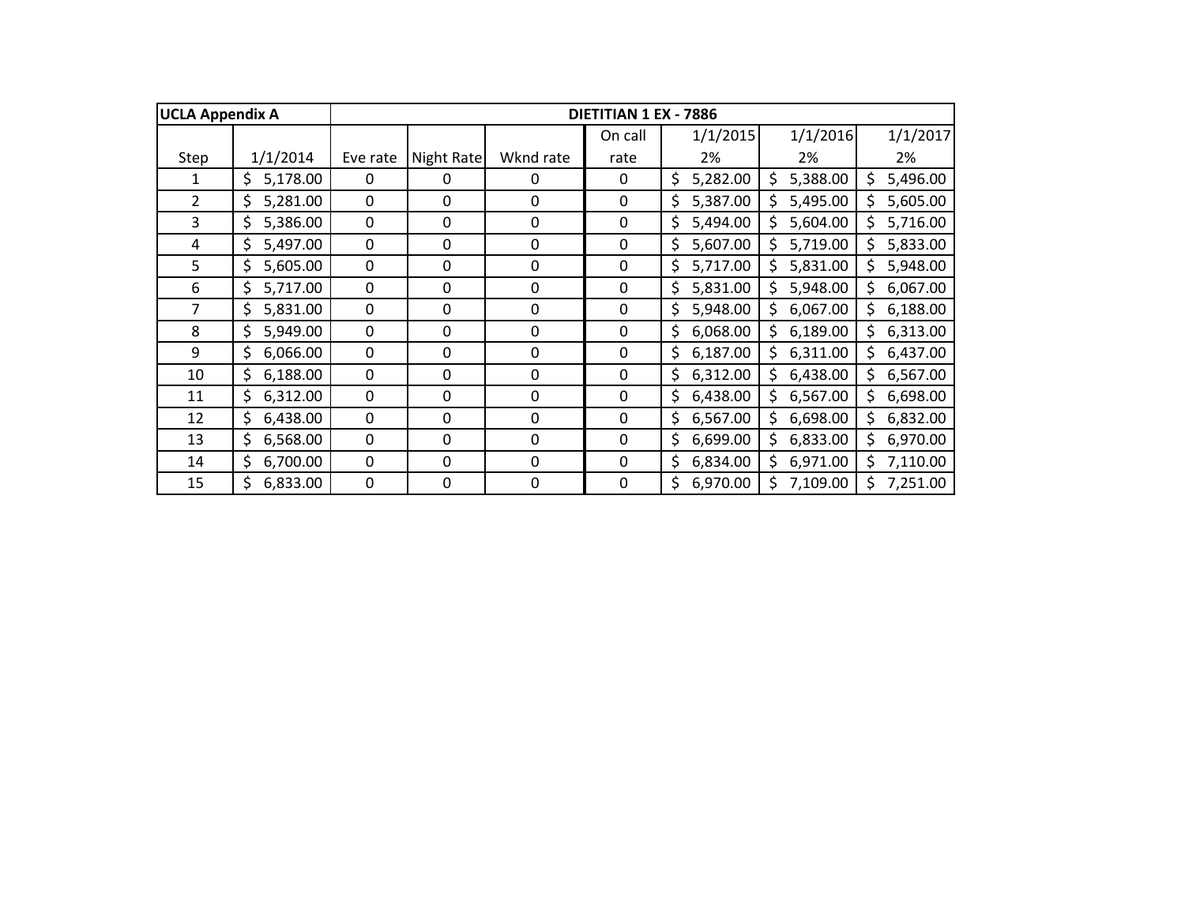| <b>UCLA Appendix A</b> |                |             |            |                  | DIETITIAN 1 EX - 7886 |                |                |                 |
|------------------------|----------------|-------------|------------|------------------|-----------------------|----------------|----------------|-----------------|
|                        |                |             |            |                  | On call               | 1/1/2015       | 1/1/2016       | 1/1/2017        |
| Step                   | 1/1/2014       | Eve rate    | Night Rate | Wknd rate        | rate                  | 2%             | 2%             | 2%              |
| 1                      | 5,178.00<br>\$ | $\Omega$    | 0          | 0                | 0                     | \$<br>5,282.00 | 5,388.00<br>S  | 5,496.00<br>Ś.  |
| $\overline{2}$         | \$<br>5,281.00 | $\mathbf 0$ | 0          | $\mathbf 0$      | 0                     | \$<br>5,387.00 | 5,495.00<br>Ś  | 5,605.00<br>\$  |
| 3                      | \$<br>5,386.00 | 0           | 0          | $\boldsymbol{0}$ | 0                     | \$<br>5,494.00 | 5,604.00<br>Ś  | Ś.<br>5,716.00  |
| 4                      | \$<br>5,497.00 | 0           | 0          | $\boldsymbol{0}$ | 0                     | \$<br>5,607.00 | 5,719.00<br>\$ | 5,833.00<br>Ś.  |
| 5                      | \$<br>5,605.00 | 0           | 0          | $\boldsymbol{0}$ | 0                     | \$<br>5,717.00 | 5,831.00<br>\$ | \$<br>5,948.00  |
| 6                      | \$<br>5,717.00 | 0           | 0          | $\boldsymbol{0}$ | 0                     | \$<br>5,831.00 | 5,948.00<br>\$ | \$<br>6,067.00  |
| 7                      | \$<br>5,831.00 | 0           | 0          | 0                | 0                     | \$<br>5,948.00 | \$<br>6,067.00 | \$<br>6,188.00  |
| 8                      | \$<br>5,949.00 | 0           | 0          | 0                | 0                     | \$<br>6,068.00 | 6,189.00<br>Ś  | 6,313.00<br>\$. |
| 9                      | \$<br>6,066.00 | $\mathbf 0$ | 0          | $\mathbf 0$      | $\mathbf 0$           | \$<br>6,187.00 | 6,311.00<br>\$ | 6,437.00<br>\$. |
| 10                     | \$<br>6,188.00 | $\mathbf 0$ | 0          | $\mathbf 0$      | $\mathbf 0$           | 6,312.00<br>\$ | 6,438.00<br>\$ | 6,567.00<br>\$  |
| 11                     | 6,312.00<br>\$ | 0           | 0          | 0                | 0                     | 6,438.00<br>\$ | 6,567.00<br>\$ | 6,698.00<br>\$  |
| 12                     | \$<br>6,438.00 | 0           | 0          | 0                | 0                     | \$<br>6,567.00 | 6,698.00<br>\$ | 6,832.00<br>\$  |
| 13                     | \$<br>6,568.00 | 0           | 0          | 0                | 0                     | \$<br>6,699.00 | 6,833.00<br>\$ | 6,970.00<br>\$. |
| 14                     | \$<br>6,700.00 | 0           | 0          | $\Omega$         | 0                     | \$<br>6,834.00 | \$<br>6,971.00 | \$<br>7,110.00  |
| 15                     | \$<br>6,833.00 | 0           | 0          | $\mathbf 0$      | $\mathbf 0$           | \$<br>6,970.00 | \$<br>7,109.00 | \$<br>7,251.00  |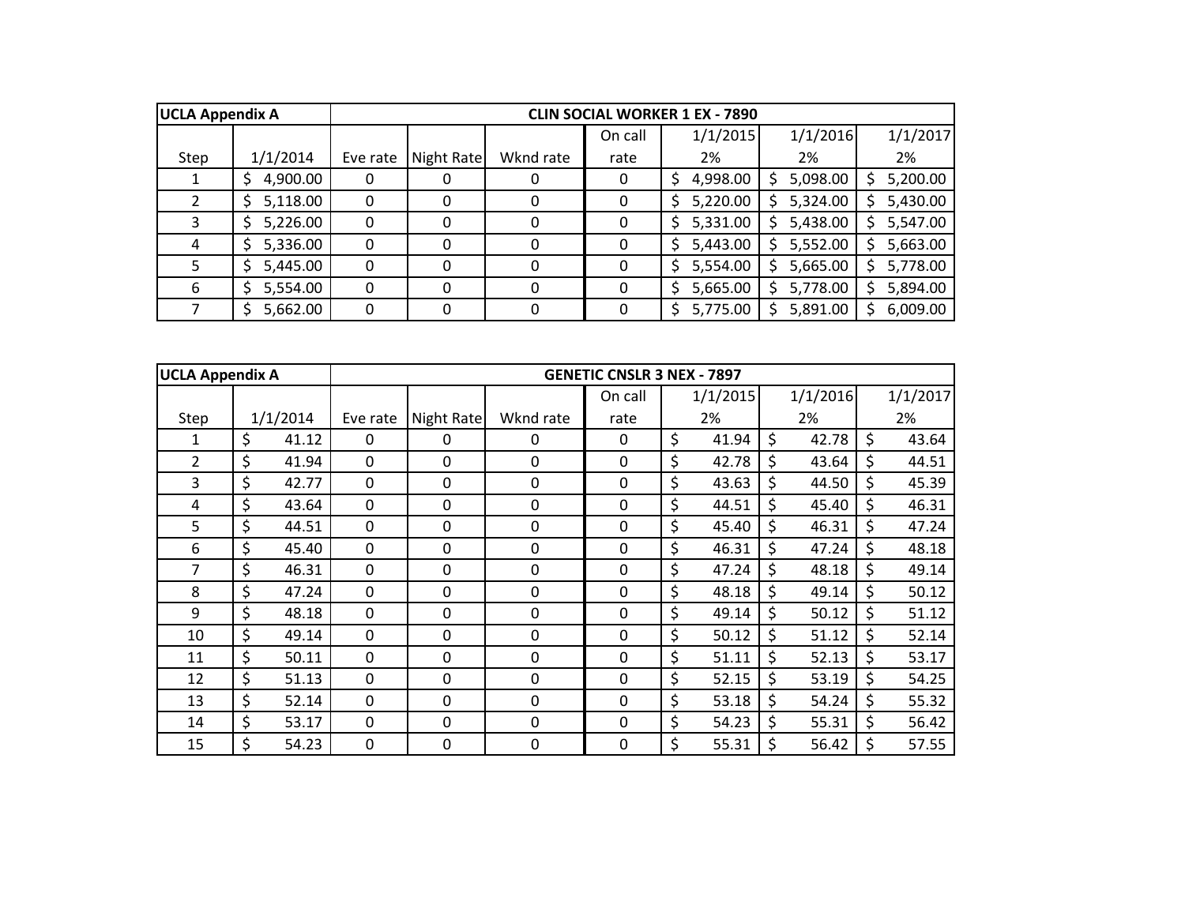| <b>UCLA Appendix A</b> |          |              |            |             |         | <b>CLIN SOCIAL WORKER 1 EX - 7890</b> |               |          |
|------------------------|----------|--------------|------------|-------------|---------|---------------------------------------|---------------|----------|
|                        |          |              |            |             | On call | 1/1/2015                              | 1/1/2016      | 1/1/2017 |
| Step                   | 1/1/2014 | Eve rate     | Night Rate | Wknd rate   | rate    | 2%                                    | 2%            | 2%       |
|                        | 4,900.00 | 0            | 0          | $\mathbf 0$ | 0       | 4,998.00<br>S                         | 5,098.00<br>S | 5,200.00 |
|                        | 5,118.00 | 0            | $\Omega$   | 0           | 0       | 5,220.00<br>S                         | 5,324.00      | 5,430.00 |
|                        | 5,226.00 | $\Omega$     | 0          | $\Omega$    | 0       | 5,331.00                              | 5,438.00      | 5,547.00 |
| 4                      | 5,336.00 | 0            | 0          | $\Omega$    | 0       | 5,443.00                              | 5,552.00      | 5,663.00 |
|                        | 5,445.00 | $\mathbf{0}$ | 0          | $\Omega$    | 0       | 5,554.00                              | 5,665.00      | 5,778.00 |
| 6                      | 5,554.00 | $\mathbf 0$  | 0          | $\Omega$    | 0       | 5,665.00                              | 5,778.00      | 5,894.00 |
|                        | 5,662.00 | 0            | $\Omega$   | $\Omega$    |         | 5,775.00                              | 5,891.00      | 6,009.00 |

| <b>UCLA Appendix A</b> |             |             |            |             | <b>GENETIC CNSLR 3 NEX - 7897</b> |             |             |             |
|------------------------|-------------|-------------|------------|-------------|-----------------------------------|-------------|-------------|-------------|
|                        |             |             |            |             | On call                           | 1/1/2015    | 1/1/2016    | 1/1/2017    |
| Step                   | 1/1/2014    | Eve rate    | Night Rate | Wknd rate   | rate                              | 2%          | 2%          | 2%          |
| 1                      | \$<br>41.12 | $\Omega$    | 0          | 0           | 0                                 | \$<br>41.94 | \$<br>42.78 | \$<br>43.64 |
| 2                      | \$<br>41.94 | $\Omega$    | 0          | $\Omega$    | 0                                 | \$<br>42.78 | \$<br>43.64 | \$<br>44.51 |
| 3                      | \$<br>42.77 | $\mathbf 0$ | 0          | $\Omega$    | 0                                 | \$<br>43.63 | \$<br>44.50 | \$<br>45.39 |
| 4                      | \$<br>43.64 | $\mathbf 0$ | 0          | $\mathbf 0$ | 0                                 | \$<br>44.51 | \$<br>45.40 | \$<br>46.31 |
| 5                      | \$<br>44.51 | 0           | 0          | 0           | 0                                 | \$<br>45.40 | \$<br>46.31 | \$<br>47.24 |
| 6                      | \$<br>45.40 | 0           | 0          | 0           | 0                                 | \$<br>46.31 | \$<br>47.24 | \$<br>48.18 |
| 7                      | \$<br>46.31 | $\mathbf 0$ | 0          | 0           | $\mathbf 0$                       | \$<br>47.24 | \$<br>48.18 | \$<br>49.14 |
| 8                      | \$<br>47.24 | $\mathbf 0$ | 0          | $\mathbf 0$ | 0                                 | \$<br>48.18 | \$<br>49.14 | \$<br>50.12 |
| 9                      | \$<br>48.18 | $\mathbf 0$ | 0          | $\mathbf 0$ | $\mathbf 0$                       | \$<br>49.14 | \$<br>50.12 | \$<br>51.12 |
| 10                     | \$<br>49.14 | $\mathbf 0$ | 0          | $\mathbf 0$ | $\mathbf 0$                       | \$<br>50.12 | \$<br>51.12 | \$<br>52.14 |
| 11                     | \$<br>50.11 | $\Omega$    | 0          | $\Omega$    | $\Omega$                          | \$<br>51.11 | \$<br>52.13 | \$<br>53.17 |
| 12                     | \$<br>51.13 | $\mathbf 0$ | 0          | $\Omega$    | 0                                 | \$<br>52.15 | \$<br>53.19 | \$<br>54.25 |
| 13                     | \$<br>52.14 | $\mathbf 0$ | 0          | $\Omega$    | 0                                 | \$<br>53.18 | \$<br>54.24 | \$<br>55.32 |
| 14                     | \$<br>53.17 | $\mathbf 0$ | 0          | $\mathbf 0$ | 0                                 | \$<br>54.23 | \$<br>55.31 | \$<br>56.42 |
| 15                     | \$<br>54.23 | 0           | 0          | 0           | 0                                 | \$<br>55.31 | \$<br>56.42 | \$<br>57.55 |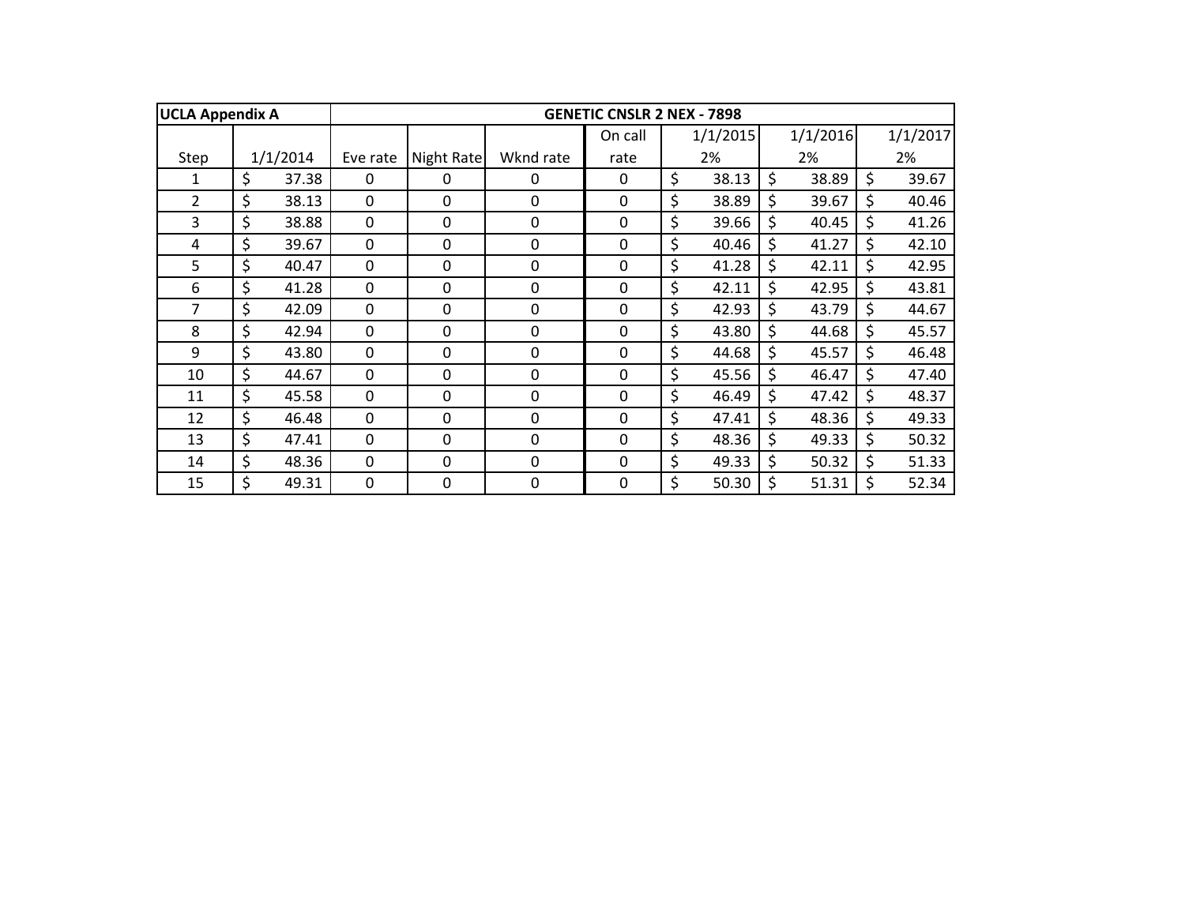| <b>UCLA Appendix A</b> |             |              |             |             | <b>GENETIC CNSLR 2 NEX - 7898</b> |             |         |          |         |          |
|------------------------|-------------|--------------|-------------|-------------|-----------------------------------|-------------|---------|----------|---------|----------|
|                        |             |              |             |             | On call                           | 1/1/2015    |         | 1/1/2016 |         | 1/1/2017 |
| Step                   | 1/1/2014    | Eve rate     | Night Rate  | Wknd rate   | rate                              | 2%          |         | 2%       |         | 2%       |
| 1                      | \$<br>37.38 | $\Omega$     | 0           | $\Omega$    | 0                                 | \$<br>38.13 | \$      | 38.89    | \$      | 39.67    |
| $\overline{2}$         | \$<br>38.13 | $\mathbf 0$  | 0           | 0           | $\mathbf 0$                       | \$<br>38.89 | \$      | 39.67    | \$      | 40.46    |
| 3                      | \$<br>38.88 | 0            | 0           | $\mathbf 0$ | 0                                 | \$<br>39.66 | $\zeta$ | 40.45    | \$      | 41.26    |
| 4                      | \$<br>39.67 | 0            | 0           | $\mathbf 0$ | $\mathbf 0$                       | \$<br>40.46 | \$      | 41.27    | \$      | 42.10    |
| 5                      | \$<br>40.47 | 0            | 0           | $\mathbf 0$ | $\mathbf 0$                       | \$<br>41.28 | \$      | 42.11    | \$      | 42.95    |
| 6                      | \$<br>41.28 | $\mathbf 0$  | 0           | $\mathbf 0$ | $\mathbf 0$                       | \$<br>42.11 | \$      | 42.95    | \$      | 43.81    |
| 7                      | \$<br>42.09 | $\Omega$     | 0           | $\mathbf 0$ | $\mathbf 0$                       | \$<br>42.93 | \$      | 43.79    | \$      | 44.67    |
| 8                      | \$<br>42.94 | $\mathbf 0$  | 0           | $\mathbf 0$ | $\mathbf 0$                       | \$<br>43.80 | \$      | 44.68    | \$      | 45.57    |
| 9                      | \$<br>43.80 | $\mathbf 0$  | $\mathbf 0$ | $\mathbf 0$ | $\mathbf 0$                       | \$<br>44.68 | \$      | 45.57    | \$      | 46.48    |
| 10                     | \$<br>44.67 | $\mathbf 0$  | $\mathbf 0$ | $\mathbf 0$ | $\mathbf 0$                       | \$<br>45.56 | \$      | 46.47    | \$      | 47.40    |
| 11                     | \$<br>45.58 | $\mathbf 0$  | 0           | $\mathbf 0$ | $\mathbf 0$                       | \$<br>46.49 | \$      | 47.42    | \$      | 48.37    |
| 12                     | \$<br>46.48 | $\mathbf 0$  | 0           | $\mathbf 0$ | $\mathbf 0$                       | \$<br>47.41 | \$      | 48.36    | $\zeta$ | 49.33    |
| 13                     | \$<br>47.41 | $\mathbf{0}$ | 0           | $\mathbf 0$ | $\mathbf 0$                       | \$<br>48.36 | \$      | 49.33    | \$      | 50.32    |
| 14                     | \$<br>48.36 | $\Omega$     | 0           | $\Omega$    | 0                                 | \$<br>49.33 | \$      | 50.32    | \$      | 51.33    |
| 15                     | \$<br>49.31 | $\mathbf 0$  | 0           | 0           | $\mathbf 0$                       | \$<br>50.30 | \$      | 51.31    | \$      | 52.34    |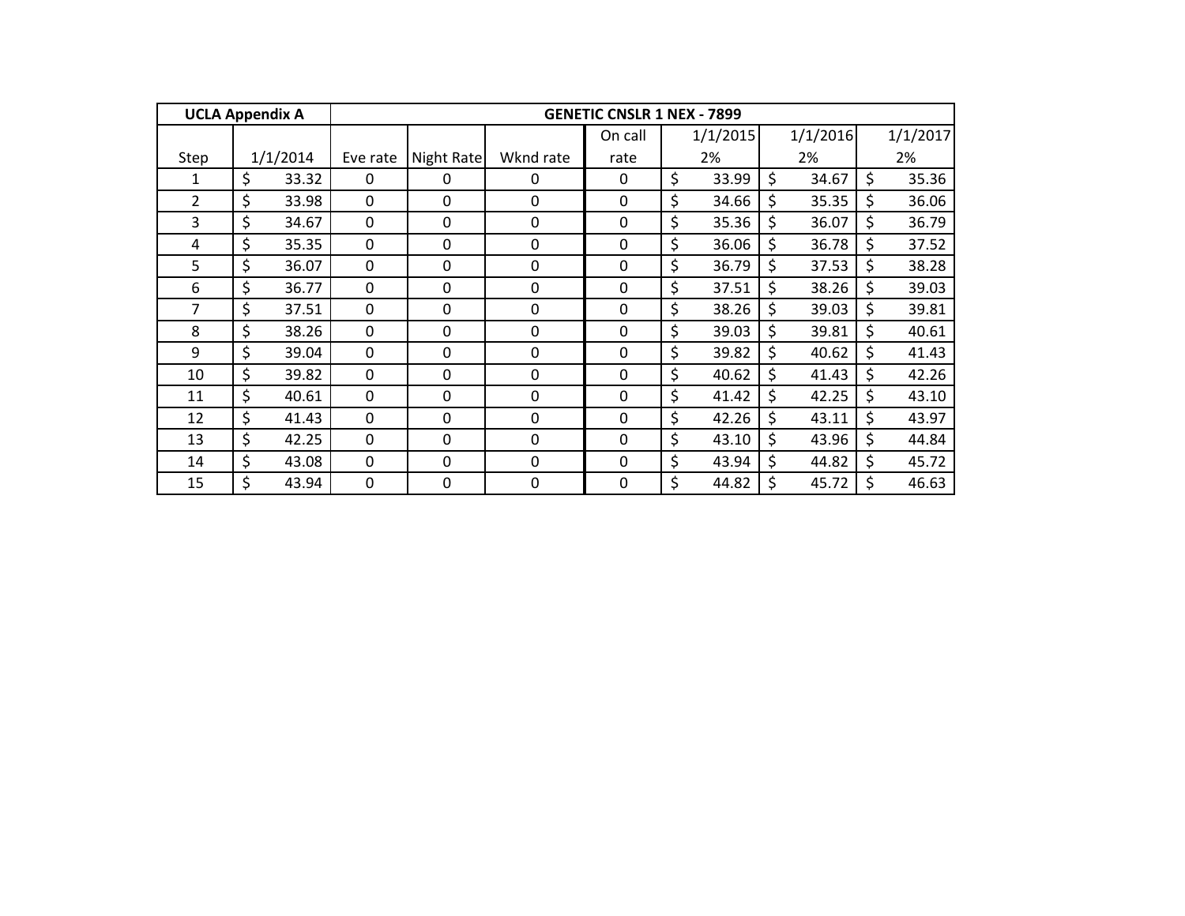| <b>UCLA Appendix A</b> |             |              |             |             | <b>GENETIC CNSLR 1 NEX - 7899</b> |             |             |    |          |
|------------------------|-------------|--------------|-------------|-------------|-----------------------------------|-------------|-------------|----|----------|
|                        |             |              |             |             | On call                           | 1/1/2015    | 1/1/2016    |    | 1/1/2017 |
| Step                   | 1/1/2014    | Eve rate     | Night Rate  | Wknd rate   | rate                              | 2%          | 2%          |    | 2%       |
| 1                      | \$<br>33.32 | $\Omega$     | 0           | 0           | $\Omega$                          | \$<br>33.99 | \$<br>34.67 | \$ | 35.36    |
| 2                      | \$<br>33.98 | $\mathbf 0$  | 0           | $\Omega$    | $\mathbf 0$                       | \$<br>34.66 | \$<br>35.35 | \$ | 36.06    |
| 3                      | \$<br>34.67 | 0            | 0           | 0           | $\mathbf 0$                       | \$<br>35.36 | \$<br>36.07 | Ś. | 36.79    |
| 4                      | \$<br>35.35 | $\mathbf 0$  | 0           | $\mathbf 0$ | $\mathbf 0$                       | \$<br>36.06 | \$<br>36.78 | \$ | 37.52    |
| 5                      | \$<br>36.07 | 0            | 0           | $\mathbf 0$ | $\mathbf 0$                       | \$<br>36.79 | \$<br>37.53 | \$ | 38.28    |
| 6                      | \$<br>36.77 | 0            | 0           | $\mathbf 0$ | $\mathbf 0$                       | \$<br>37.51 | \$<br>38.26 | \$ | 39.03    |
| 7                      | \$<br>37.51 | 0            | 0           | $\mathbf 0$ | $\mathbf 0$                       | \$<br>38.26 | \$<br>39.03 | \$ | 39.81    |
| 8                      | \$<br>38.26 | $\mathbf 0$  | 0           | $\mathbf 0$ | $\mathbf 0$                       | \$<br>39.03 | \$<br>39.81 | \$ | 40.61    |
| 9                      | \$<br>39.04 | $\mathbf 0$  | 0           | $\mathbf 0$ | $\mathbf 0$                       | \$<br>39.82 | \$<br>40.62 | \$ | 41.43    |
| 10                     | \$<br>39.82 | $\mathbf 0$  | $\mathbf 0$ | $\mathbf 0$ | $\mathbf 0$                       | \$<br>40.62 | \$<br>41.43 | \$ | 42.26    |
| 11                     | \$<br>40.61 | $\mathbf 0$  | $\mathbf 0$ | $\mathbf 0$ | $\mathbf 0$                       | \$<br>41.42 | \$<br>42.25 | \$ | 43.10    |
| 12                     | \$<br>41.43 | $\mathbf 0$  | 0           | $\mathbf 0$ | $\mathbf 0$                       | \$<br>42.26 | \$<br>43.11 | \$ | 43.97    |
| 13                     | \$<br>42.25 | $\mathbf{0}$ | 0           | $\mathbf 0$ | $\mathbf 0$                       | \$<br>43.10 | \$<br>43.96 | \$ | 44.84    |
| 14                     | \$<br>43.08 | $\Omega$     | 0           | $\mathbf 0$ | 0                                 | \$<br>43.94 | \$<br>44.82 | \$ | 45.72    |
| 15                     | \$<br>43.94 | $\mathbf 0$  | 0           | 0           | $\mathbf 0$                       | \$<br>44.82 | \$<br>45.72 | \$ | 46.63    |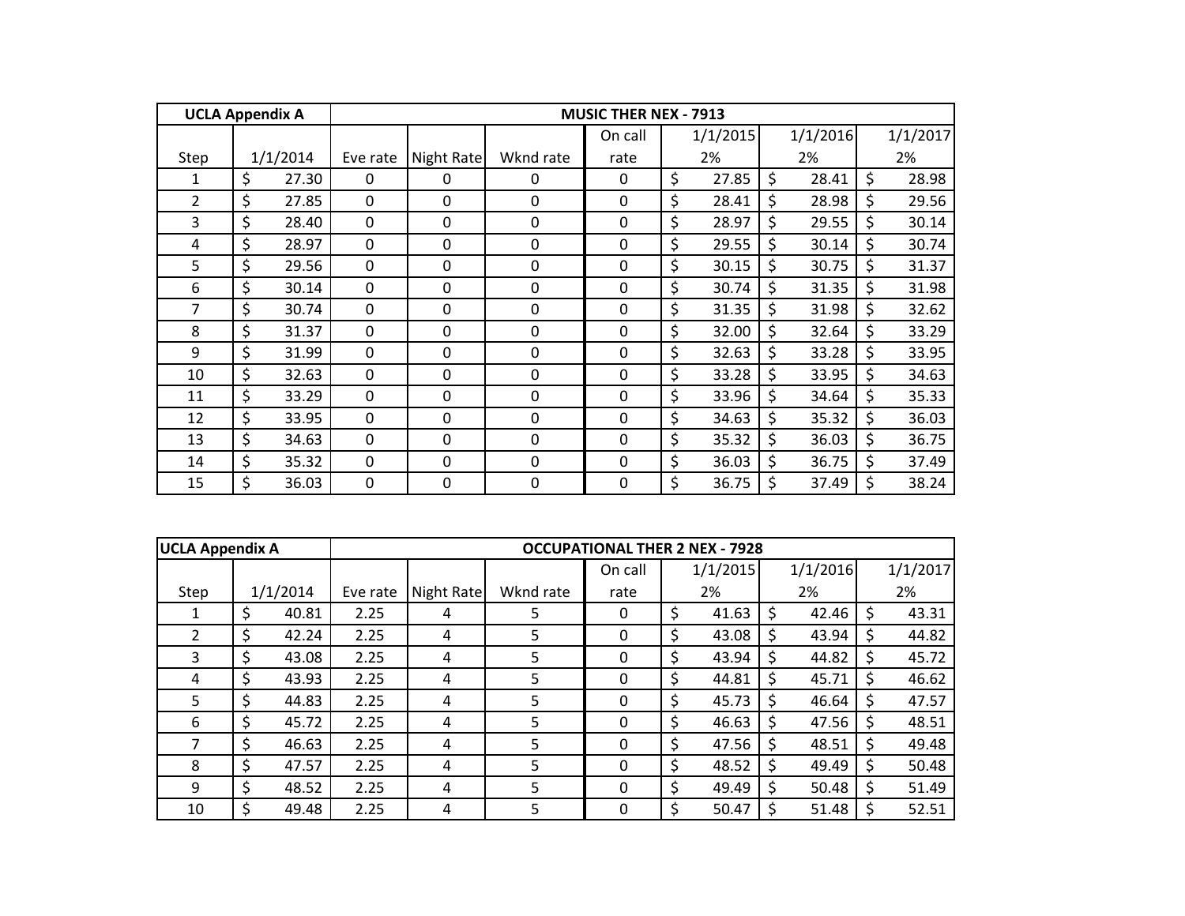| <b>UCLA Appendix A</b> |             |              |            |             | <b>MUSIC THER NEX - 7913</b> |             |             |             |
|------------------------|-------------|--------------|------------|-------------|------------------------------|-------------|-------------|-------------|
|                        |             |              |            |             | On call                      | 1/1/2015    | 1/1/2016    | 1/1/2017    |
| Step                   | 1/1/2014    | Eve rate     | Night Rate | Wknd rate   | rate                         | 2%          | 2%          | 2%          |
| 1                      | \$<br>27.30 | $\mathbf{0}$ | 0          | 0           | $\Omega$                     | \$<br>27.85 | \$<br>28.41 | \$<br>28.98 |
| $\overline{2}$         | \$<br>27.85 | $\mathbf 0$  | 0          | $\Omega$    | $\mathbf 0$                  | \$<br>28.41 | \$<br>28.98 | \$<br>29.56 |
| 3                      | \$<br>28.40 | $\mathbf 0$  | 0          | 0           | $\mathbf 0$                  | \$<br>28.97 | \$<br>29.55 | \$<br>30.14 |
| 4                      | \$<br>28.97 | $\mathbf 0$  | 0          | $\mathbf 0$ | $\mathbf 0$                  | \$<br>29.55 | \$<br>30.14 | \$<br>30.74 |
| 5                      | \$<br>29.56 | $\mathbf 0$  | 0          | $\mathbf 0$ | $\mathbf 0$                  | \$<br>30.15 | \$<br>30.75 | \$<br>31.37 |
| 6                      | \$<br>30.14 | $\mathbf 0$  | 0          | 0           | $\mathbf 0$                  | \$<br>30.74 | \$<br>31.35 | \$<br>31.98 |
| 7                      | \$<br>30.74 | $\mathbf 0$  | 0          | $\mathbf 0$ | $\mathbf 0$                  | \$<br>31.35 | \$<br>31.98 | \$<br>32.62 |
| 8                      | \$<br>31.37 | $\mathbf 0$  | 0          | 0           | $\mathbf 0$                  | \$<br>32.00 | \$<br>32.64 | \$<br>33.29 |
| 9                      | \$<br>31.99 | $\mathbf 0$  | 0          | $\mathbf 0$ | $\mathbf 0$                  | \$<br>32.63 | \$<br>33.28 | \$<br>33.95 |
| 10                     | \$<br>32.63 | $\mathbf 0$  | 0          | $\mathbf 0$ | $\mathbf 0$                  | \$<br>33.28 | \$<br>33.95 | \$<br>34.63 |
| 11                     | \$<br>33.29 | $\mathbf 0$  | 0          | $\mathbf 0$ | $\mathbf 0$                  | \$<br>33.96 | \$<br>34.64 | \$<br>35.33 |
| 12                     | \$<br>33.95 | $\mathbf 0$  | 0          | $\mathbf 0$ | $\mathbf 0$                  | \$<br>34.63 | \$<br>35.32 | \$<br>36.03 |
| 13                     | \$<br>34.63 | $\mathbf 0$  | 0          | $\mathbf 0$ | $\mathbf 0$                  | \$<br>35.32 | \$<br>36.03 | \$<br>36.75 |
| 14                     | \$<br>35.32 | 0            | 0          | 0           | 0                            | \$<br>36.03 | \$<br>36.75 | \$<br>37.49 |
| 15                     | \$<br>36.03 | $\mathbf 0$  | 0          | 0           | $\mathbf 0$                  | \$<br>36.75 | \$<br>37.49 | \$<br>38.24 |

|      | <b>UCLA Appendix A</b> |          |          |            |           | <b>OCCUPATIONAL THER 2 NEX - 7928</b> |    |          |     |          |             |
|------|------------------------|----------|----------|------------|-----------|---------------------------------------|----|----------|-----|----------|-------------|
|      |                        |          |          |            |           | On call                               |    | 1/1/2015 |     | 1/1/2016 | 1/1/2017    |
| Step |                        | 1/1/2014 | Eve rate | Night Rate | Wknd rate | rate                                  |    | 2%       |     | 2%       | 2%          |
|      | \$                     | 40.81    | 2.25     | 4          | 5.        | $\mathbf{0}$                          | \$ | 41.63    | S   | 42.46    | \$<br>43.31 |
| 2    | \$                     | 42.24    | 2.25     | 4          | 5         | 0                                     | Ś  | 43.08    | S   | 43.94    | \$<br>44.82 |
| 3    | \$                     | 43.08    | 2.25     | 4          | 5         | 0                                     | \$ | 43.94    | \$  | 44.82    | \$<br>45.72 |
| 4    | \$                     | 43.93    | 2.25     | 4          | 5         | 0                                     | Ś  | 44.81    | \$  | 45.71    | \$<br>46.62 |
| 5.   | Ś.                     | 44.83    | 2.25     | 4          | 5         | 0                                     | \$ | 45.73    | Ŝ.  | 46.64    | \$<br>47.57 |
| 6    | \$                     | 45.72    | 2.25     | 4          | 5         | 0                                     | \$ | 46.63    | \$  | 47.56    | \$<br>48.51 |
| 7    | Ś                      | 46.63    | 2.25     | 4          | 5.        | 0                                     | \$ | 47.56    | S   | 48.51    | \$<br>49.48 |
| 8    | \$                     | 47.57    | 2.25     | 4          | 5         | $\mathbf{0}$                          | \$ | 48.52    | S   | 49.49    | \$<br>50.48 |
| 9    | Ś.                     | 48.52    | 2.25     | 4          | 5         | 0                                     |    | 49.49    | S   | 50.48    | \$<br>51.49 |
| 10   | \$                     | 49.48    | 2.25     | 4          | 5         | 0                                     |    | 50.47    | \$. | 51.48    | \$<br>52.51 |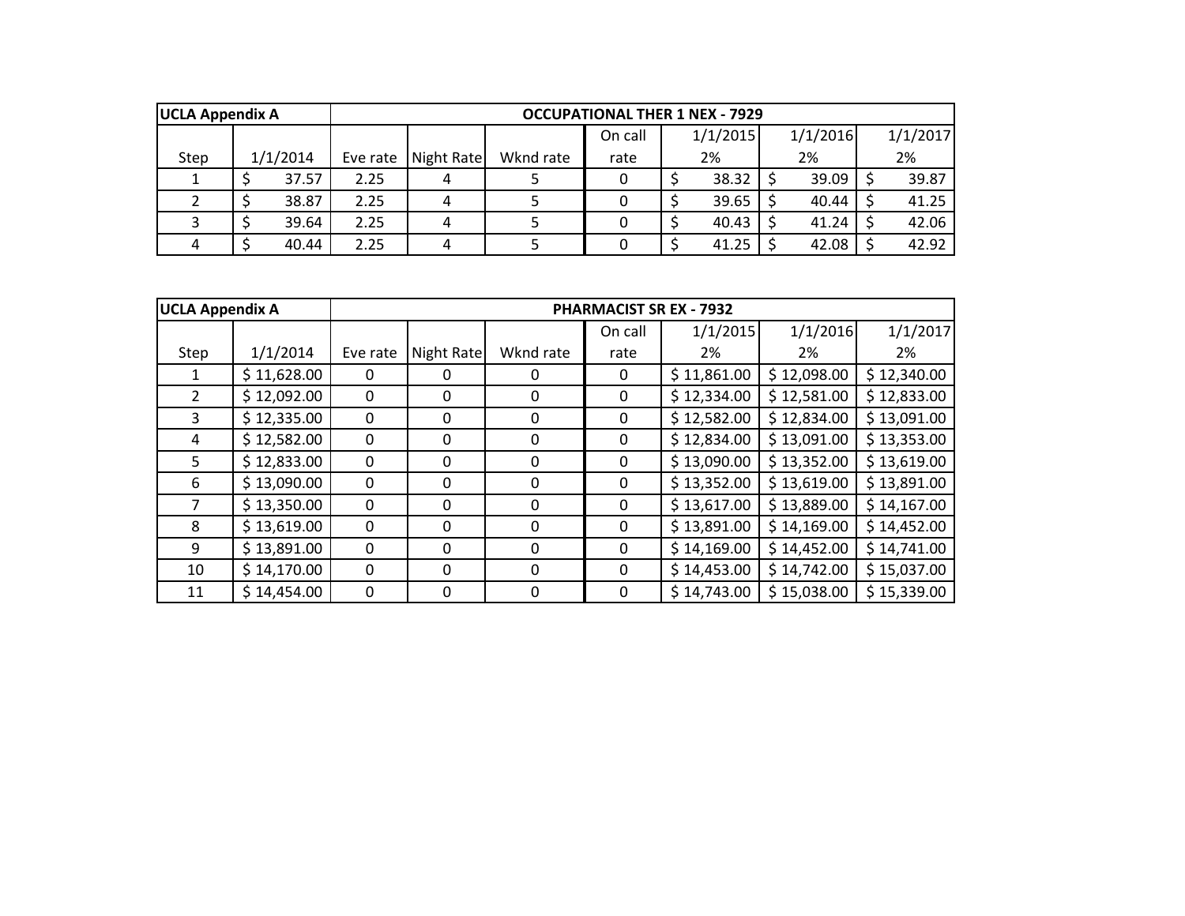| <b>UCLA Appendix A</b> |          |       |          |            |           | <b>OCCUPATIONAL THER 1 NEX - 7929</b> |          |          |          |
|------------------------|----------|-------|----------|------------|-----------|---------------------------------------|----------|----------|----------|
|                        |          |       |          |            |           | On call                               | 1/1/2015 | 1/1/2016 | 1/1/2017 |
| Step                   | 1/1/2014 |       | Eve rate | Night Rate | Wknd rate | rate                                  | 2%       | 2%       | 2%       |
|                        |          | 37.57 | 2.25     |            |           |                                       | 38.32    | 39.09    | 39.87    |
|                        |          | 38.87 | 2.25     |            |           |                                       | 39.65    | 40.44    | 41.25    |
|                        |          | 39.64 | 2.25     |            |           |                                       | 40.43    | 41.24    | 42.06    |
|                        |          | 40.44 | 2.25     |            |           |                                       | 41.25    | 42.08    | 42.92    |

| <b>UCLA Appendix A</b> |             |          |            |           |          | <b>PHARMACIST SR EX - 7932</b> |             |             |
|------------------------|-------------|----------|------------|-----------|----------|--------------------------------|-------------|-------------|
|                        |             |          |            |           | On call  | 1/1/2015                       | 1/1/2016    | 1/1/2017    |
| Step                   | 1/1/2014    | Eve rate | Night Rate | Wknd rate | rate     | 2%                             | 2%          | 2%          |
| 1                      | \$11,628.00 | 0        | 0          |           | 0        | \$11,861.00                    | \$12,098.00 | \$12,340.00 |
| $\overline{2}$         | \$12,092.00 | 0        | 0          | 0         | $\Omega$ | \$12,334.00                    | \$12,581.00 | \$12,833.00 |
| 3                      | \$12,335.00 | 0        | $\Omega$   | 0         | $\Omega$ | \$12,582.00                    | \$12,834.00 | \$13,091.00 |
| 4                      | \$12,582.00 | 0        | 0          | 0         | 0        | \$12,834.00                    | \$13,091.00 | \$13,353.00 |
| 5                      | \$12,833.00 | 0        | 0          | $\Omega$  | $\Omega$ | \$13,090.00                    | \$13,352.00 | \$13,619.00 |
| 6                      | \$13,090.00 | 0        | 0          | 0         | $\Omega$ | \$13,352.00                    | \$13,619.00 | \$13,891.00 |
|                        | \$13,350.00 | 0        | 0          | 0         | 0        | \$13,617.00                    | \$13,889.00 | \$14,167.00 |
| 8                      | \$13,619.00 | $\Omega$ | 0          | $\Omega$  | $\Omega$ | \$13,891.00                    | \$14,169.00 | \$14,452.00 |
| 9                      | \$13,891.00 | 0        | $\Omega$   | $\Omega$  | $\Omega$ | \$14,169.00                    | \$14,452.00 | \$14,741.00 |
| 10                     | \$14,170.00 | 0        | 0          | 0         | 0        | \$14,453.00                    | \$14,742.00 | \$15,037.00 |
| 11                     | \$14,454.00 | 0        | $\Omega$   | 0         | 0        | \$14,743.00                    | \$15,038.00 | \$15,339.00 |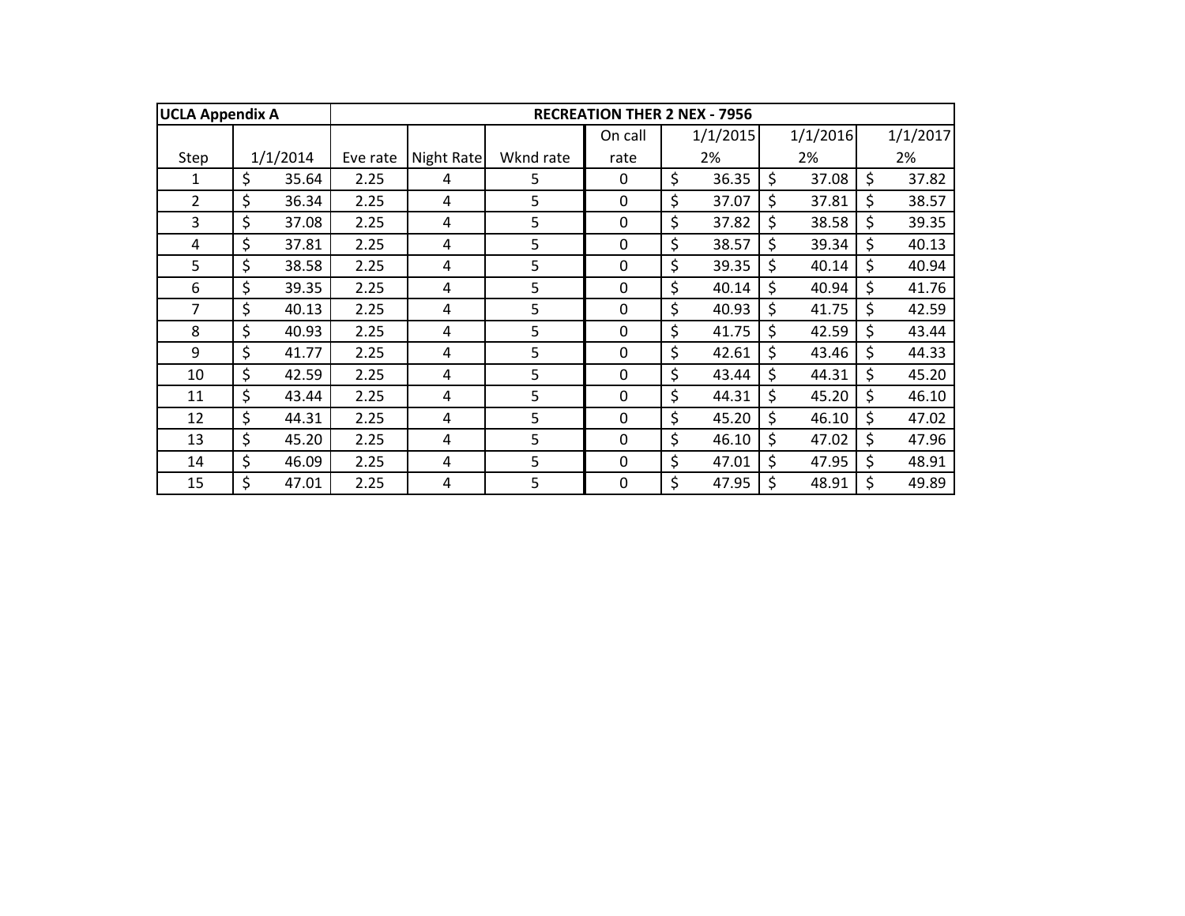| <b>UCLA Appendix A</b> |             |          |            |           | <b>RECREATION THER 2 NEX - 7956</b> |             |             |             |
|------------------------|-------------|----------|------------|-----------|-------------------------------------|-------------|-------------|-------------|
|                        |             |          |            |           | On call                             | 1/1/2015    | 1/1/2016    | 1/1/2017    |
| Step                   | 1/1/2014    | Eve rate | Night Rate | Wknd rate | rate                                | 2%          | 2%          | 2%          |
| 1                      | \$<br>35.64 | 2.25     | 4          | 5         | 0                                   | \$<br>36.35 | \$<br>37.08 | \$<br>37.82 |
| $\overline{2}$         | \$<br>36.34 | 2.25     | 4          | 5         | $\mathbf 0$                         | \$<br>37.07 | \$<br>37.81 | \$<br>38.57 |
| 3                      | \$<br>37.08 | 2.25     | 4          | 5         | 0                                   | \$<br>37.82 | \$<br>38.58 | \$<br>39.35 |
| 4                      | \$<br>37.81 | 2.25     | 4          | 5         | 0                                   | \$<br>38.57 | \$<br>39.34 | \$<br>40.13 |
| 5                      | \$<br>38.58 | 2.25     | 4          | 5         | 0                                   | \$<br>39.35 | \$<br>40.14 | \$<br>40.94 |
| 6                      | \$<br>39.35 | 2.25     | 4          | 5         | $\mathbf 0$                         | \$<br>40.14 | \$<br>40.94 | \$<br>41.76 |
| 7                      | \$<br>40.13 | 2.25     | 4          | 5         | 0                                   | \$<br>40.93 | \$<br>41.75 | \$<br>42.59 |
| 8                      | \$<br>40.93 | 2.25     | 4          | 5         | 0                                   | \$<br>41.75 | \$<br>42.59 | \$<br>43.44 |
| 9                      | \$<br>41.77 | 2.25     | 4          | 5         | $\mathbf 0$                         | \$<br>42.61 | \$<br>43.46 | \$<br>44.33 |
| 10                     | \$<br>42.59 | 2.25     | 4          | 5         | $\mathbf 0$                         | \$<br>43.44 | \$<br>44.31 | \$<br>45.20 |
| 11                     | \$<br>43.44 | 2.25     | 4          | 5         | 0                                   | \$<br>44.31 | \$<br>45.20 | \$<br>46.10 |
| 12                     | \$<br>44.31 | 2.25     | 4          | 5         | $\mathbf 0$                         | \$<br>45.20 | \$<br>46.10 | \$<br>47.02 |
| 13                     | \$<br>45.20 | 2.25     | 4          | 5         | $\mathbf 0$                         | \$<br>46.10 | \$<br>47.02 | \$<br>47.96 |
| 14                     | \$<br>46.09 | 2.25     | 4          | 5         | $\Omega$                            | \$<br>47.01 | \$<br>47.95 | \$<br>48.91 |
| 15                     | \$<br>47.01 | 2.25     | 4          | 5         | $\mathbf 0$                         | \$<br>47.95 | \$<br>48.91 | \$<br>49.89 |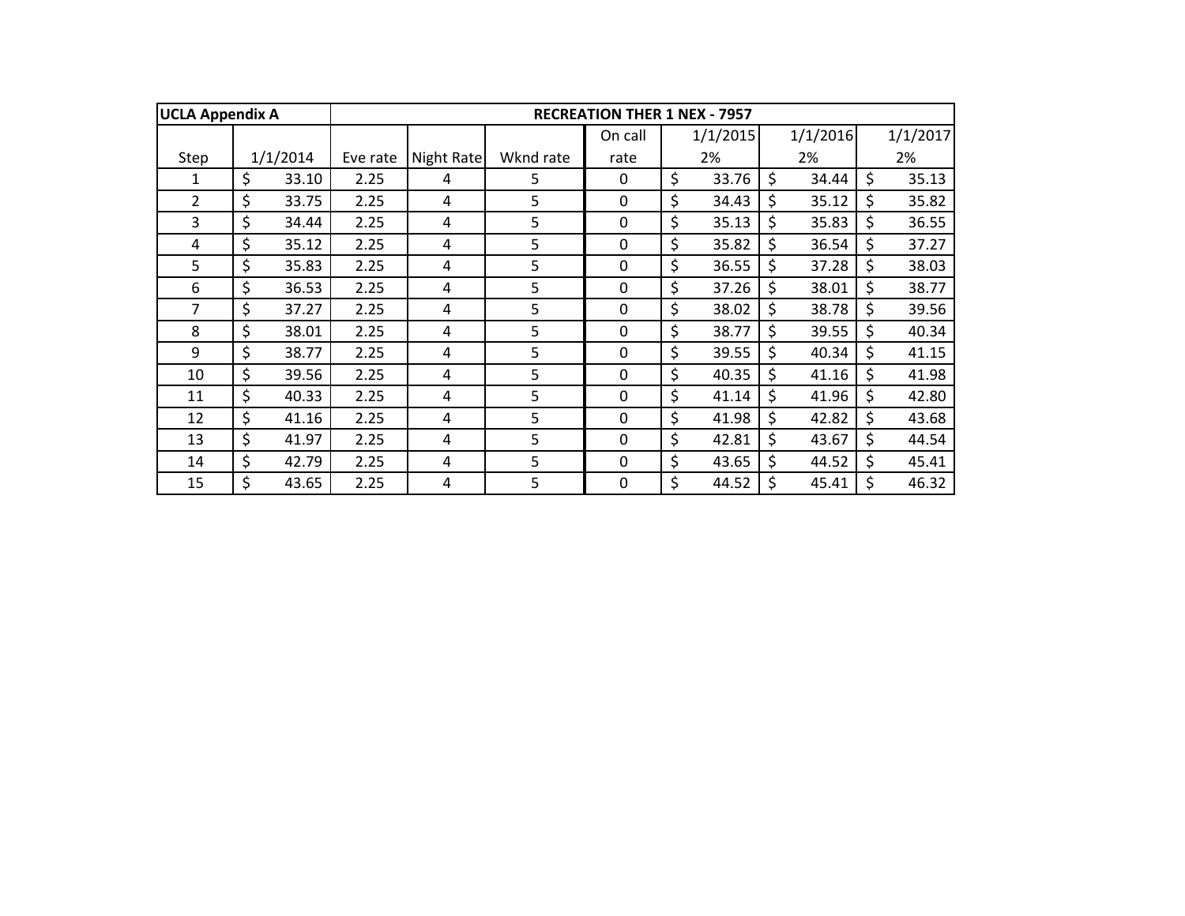| <b>UCLA Appendix A</b> |             |          |            |           | <b>RECREATION THER 1 NEX - 7957</b> |             |         |          |    |          |
|------------------------|-------------|----------|------------|-----------|-------------------------------------|-------------|---------|----------|----|----------|
|                        |             |          |            |           | On call                             | 1/1/2015    |         | 1/1/2016 |    | 1/1/2017 |
| Step                   | 1/1/2014    | Eve rate | Night Rate | Wknd rate | rate                                | 2%          |         | 2%       |    | 2%       |
| 1                      | \$<br>33.10 | 2.25     | 4          | 5         | $\Omega$                            | \$<br>33.76 | \$      | 34.44    | \$ | 35.13    |
| $\overline{2}$         | \$<br>33.75 | 2.25     | 4          | 5         | $\mathbf 0$                         | \$<br>34.43 | \$      | 35.12    | \$ | 35.82    |
| 3                      | \$<br>34.44 | 2.25     | 4          | 5         | 0                                   | \$<br>35.13 | \$      | 35.83    | Ś. | 36.55    |
| 4                      | \$<br>35.12 | 2.25     | 4          | 5         | $\mathbf 0$                         | \$<br>35.82 | \$      | 36.54    | \$ | 37.27    |
| 5                      | \$<br>35.83 | 2.25     | 4          | 5         | $\mathbf 0$                         | \$<br>36.55 | \$      | 37.28    | \$ | 38.03    |
| 6                      | \$<br>36.53 | 2.25     | 4          | 5         | 0                                   | \$<br>37.26 | \$      | 38.01    | \$ | 38.77    |
| 7                      | \$<br>37.27 | 2.25     | 4          | 5         | 0                                   | \$<br>38.02 | \$      | 38.78    | \$ | 39.56    |
| 8                      | \$<br>38.01 | 2.25     | 4          | 5         | $\mathbf 0$                         | \$<br>38.77 | \$      | 39.55    | \$ | 40.34    |
| 9                      | \$<br>38.77 | 2.25     | 4          | 5         | $\mathbf 0$                         | \$<br>39.55 | \$      | 40.34    | \$ | 41.15    |
| 10                     | \$<br>39.56 | 2.25     | 4          | 5         | $\mathbf 0$                         | \$<br>40.35 | Ś.      | 41.16    | \$ | 41.98    |
| 11                     | \$<br>40.33 | 2.25     | 4          | 5         | $\Omega$                            | \$<br>41.14 | $\zeta$ | 41.96    | \$ | 42.80    |
| 12                     | \$<br>41.16 | 2.25     | 4          | 5         | $\mathbf 0$                         | \$<br>41.98 | \$      | 42.82    | \$ | 43.68    |
| 13                     | \$<br>41.97 | 2.25     | 4          | 5         | 0                                   | \$<br>42.81 | \$      | 43.67    | \$ | 44.54    |
| 14                     | \$<br>42.79 | 2.25     | 4          | 5         | 0                                   | \$<br>43.65 | \$      | 44.52    | \$ | 45.41    |
| 15                     | \$<br>43.65 | 2.25     | 4          | 5         | 0                                   | \$<br>44.52 | \$      | 45.41    |    | 46.32    |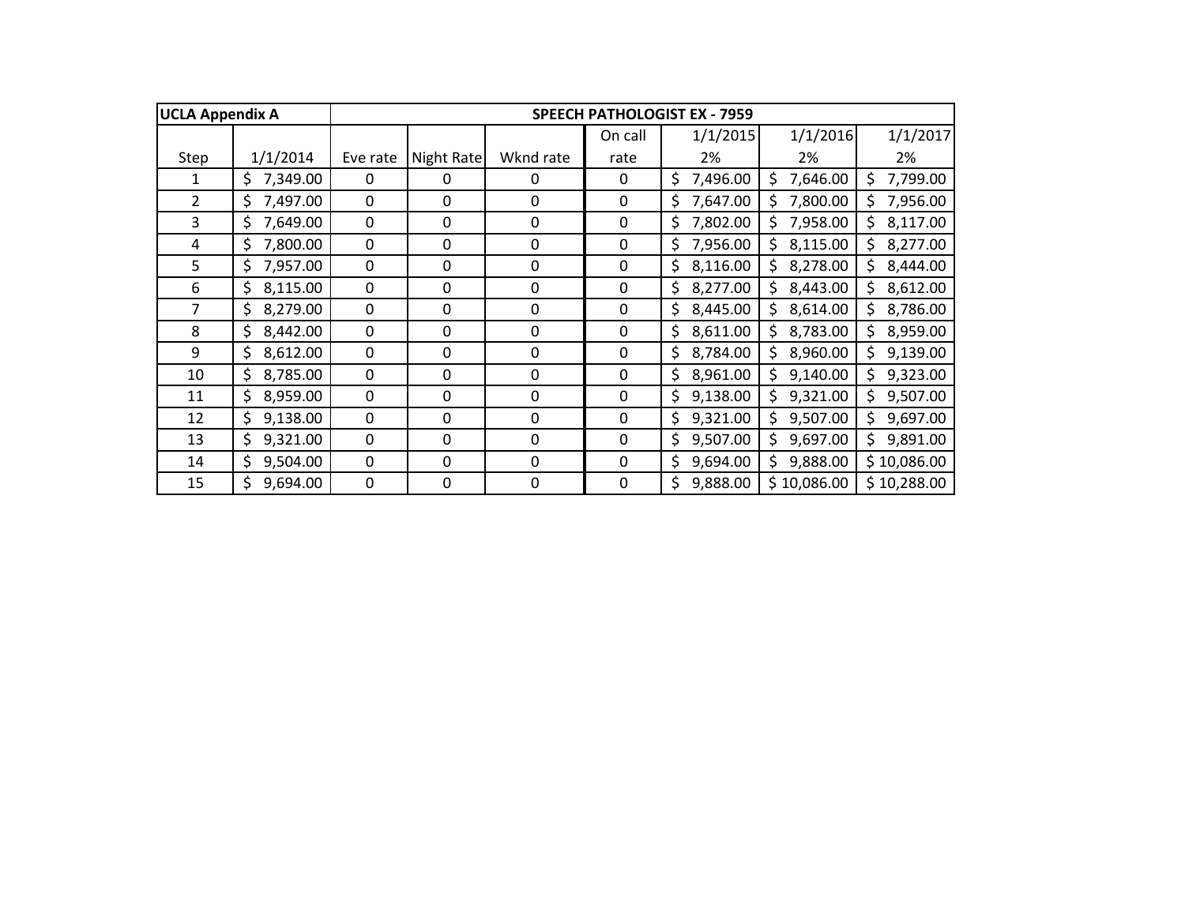| <b>UCLA Appendix A</b> |                |             |             |             |             | <b>SPEECH PATHOLOGIST EX - 7959</b> |                 |                 |
|------------------------|----------------|-------------|-------------|-------------|-------------|-------------------------------------|-----------------|-----------------|
|                        |                |             |             |             | On call     | 1/1/2015                            | 1/1/2016        | 1/1/2017        |
| Step                   | 1/1/2014       | Eve rate    | Night Rate  | Wknd rate   | rate        | 2%                                  | 2%              | 2%              |
| 1                      | 7,349.00<br>\$ | $\Omega$    | 0           | 0           | 0           | \$<br>7,496.00                      | 7,646.00<br>S   | 7,799.00<br>Ś.  |
| $\overline{2}$         | 7,497.00<br>\$ | $\mathbf 0$ | 0           | $\mathbf 0$ | 0           | \$<br>7,647.00                      | 7,800.00<br>\$  | 7,956.00<br>\$  |
| 3                      | \$<br>7,649.00 | 0           | 0           | $\mathbf 0$ | 0           | \$<br>7,802.00                      | 7,958.00<br>Ś   | \$.<br>8,117.00 |
| 4                      | \$<br>7,800.00 | 0           | 0           | $\mathbf 0$ | 0           | \$<br>7,956.00                      | 8,115.00<br>\$. | \$<br>8,277.00  |
| 5                      | \$<br>7,957.00 | 0           | 0           | $\mathbf 0$ | 0           | \$<br>8,116.00                      | \$<br>8,278.00  | \$<br>8,444.00  |
| 6                      | \$<br>8,115.00 | 0           | 0           | $\mathbf 0$ | 0           | \$<br>8,277.00                      | \$<br>8,443.00  | \$<br>8,612.00  |
| 7                      | \$<br>8,279.00 | 0           | 0           | 0           | 0           | \$<br>8,445.00                      | \$<br>8,614.00  | \$<br>8,786.00  |
| 8                      | \$<br>8,442.00 | 0           | 0           | 0           | 0           | \$<br>8,611.00                      | 8,783.00<br>Ś   | 8,959.00<br>\$. |
| 9                      | \$<br>8,612.00 | $\mathbf 0$ | $\mathbf 0$ | $\mathbf 0$ | $\mathbf 0$ | \$<br>8,784.00                      | 8,960.00<br>\$  | 9,139.00<br>\$. |
| 10                     | \$<br>8,785.00 | $\mathbf 0$ | 0           | $\mathbf 0$ | $\mathbf 0$ | \$<br>8,961.00                      | 9,140.00<br>\$  | 9,323.00<br>\$  |
| 11                     | \$<br>8,959.00 | 0           | 0           | 0           | 0           | 9,138.00<br>\$                      | 9,321.00<br>\$  | \$<br>9,507.00  |
| 12                     | \$<br>9,138.00 | 0           | 0           | 0           | 0           | \$<br>9,321.00                      | \$<br>9,507.00  | \$<br>9,697.00  |
| 13                     | \$<br>9,321.00 | 0           | 0           | 0           | 0           | \$<br>9,507.00                      | 9,697.00<br>\$  | \$<br>9,891.00  |
| 14                     | \$<br>9,504.00 | 0           | 0           | $\Omega$    | 0           | \$<br>9,694.00                      | \$<br>9,888.00  | \$10,086.00     |
| 15                     | \$<br>9,694.00 | 0           | 0           | $\mathbf 0$ | 0           | \$<br>9,888.00                      | \$10,086.00     | \$10,288.00     |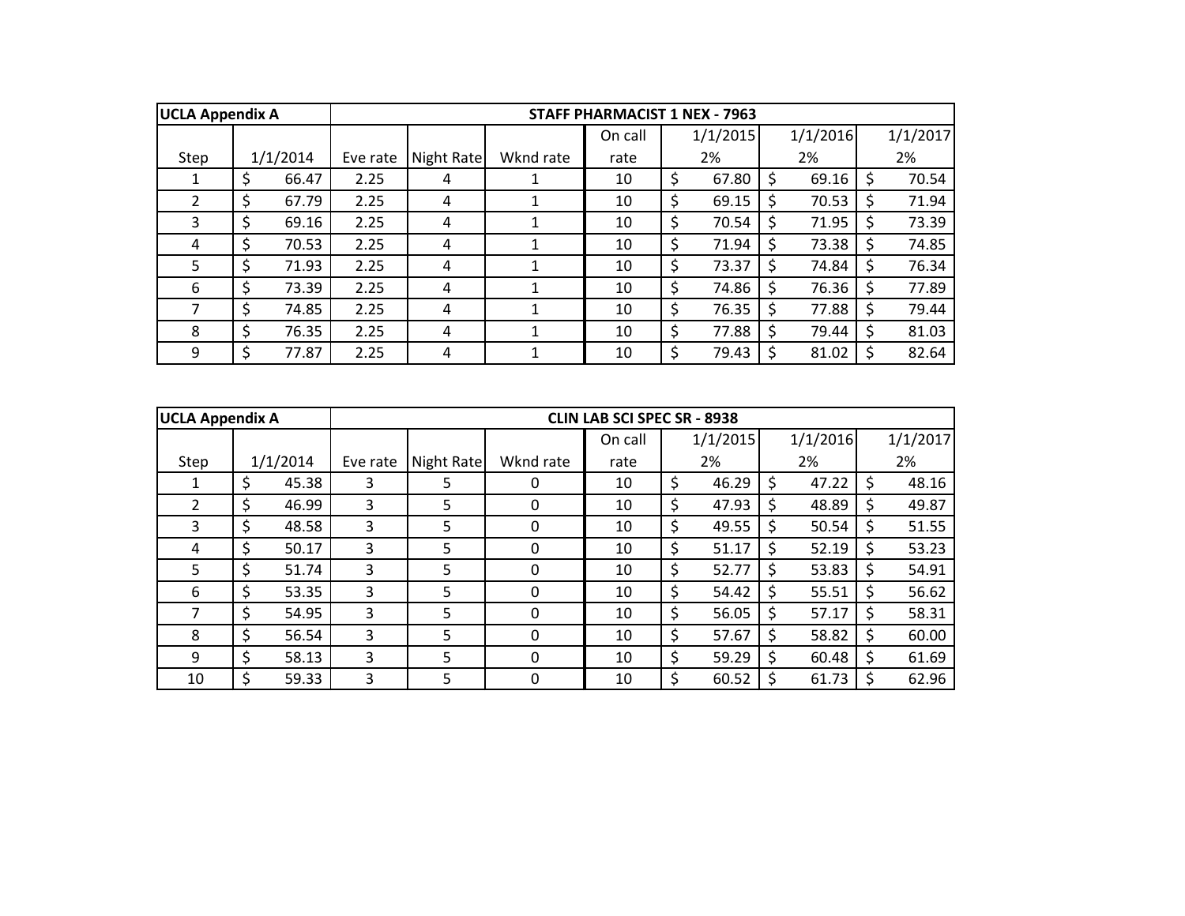| <b>UCLA Appendix A</b> |             |          |            |           | <b>STAFF PHARMACIST 1 NEX - 7963</b> |             |               |          |   |          |
|------------------------|-------------|----------|------------|-----------|--------------------------------------|-------------|---------------|----------|---|----------|
|                        |             |          |            |           | On call                              | 1/1/2015    |               | 1/1/2016 |   | 1/1/2017 |
| Step                   | 1/1/2014    | Eve rate | Night Rate | Wknd rate | rate                                 | 2%          |               | 2%       |   | 2%       |
| 1                      | \$<br>66.47 | 2.25     | 4          |           | 10                                   | \$<br>67.80 | Ŝ             | 69.16    | Ś | 70.54    |
| 2                      | \$<br>67.79 | 2.25     | 4          |           | 10                                   | \$<br>69.15 | Ŝ             | 70.53    |   | 71.94    |
| 3                      | \$<br>69.16 | 2.25     | 4          |           | 10                                   | \$<br>70.54 |               | 71.95    |   | 73.39    |
| 4                      | \$<br>70.53 | 2.25     | 4          |           | 10                                   | \$<br>71.94 |               | 73.38    |   | 74.85    |
| 5                      | \$<br>71.93 | 2.25     | 4          |           | 10                                   | \$<br>73.37 | \$.           | 74.84    |   | 76.34    |
| 6                      | \$<br>73.39 | 2.25     | 4          |           | 10                                   | \$<br>74.86 | \$.           | 76.36    |   | 77.89    |
|                        | \$<br>74.85 | 2.25     | 4          |           | 10                                   | \$<br>76.35 |               | 77.88    |   | 79.44    |
| 8                      | \$<br>76.35 | 2.25     | 4          |           | 10                                   | \$<br>77.88 | <sup>\$</sup> | 79.44    | S | 81.03    |
| 9                      | \$<br>77.87 | 2.25     | 4          |           | 10                                   | \$<br>79.43 | Ŝ             | 81.02    |   | 82.64    |

| <b>UCLA Appendix A</b> |             |          |            |              | <b>CLIN LAB SCI SPEC SR - 8938</b> |             |              |          |    |          |
|------------------------|-------------|----------|------------|--------------|------------------------------------|-------------|--------------|----------|----|----------|
|                        |             |          |            |              | On call                            | 1/1/2015    |              | 1/1/2016 |    | 1/1/2017 |
| Step                   | 1/1/2014    | Eve rate | Night Rate | Wknd rate    | rate                               | 2%          |              | 2%       |    | 2%       |
|                        | \$<br>45.38 | 3        | 5          | O            | 10                                 | \$<br>46.29 | S            | 47.22    | -S | 48.16    |
| $\overline{2}$         | \$<br>46.99 | 3        | 5          | 0            | 10                                 | \$<br>47.93 | S            | 48.89    |    | 49.87    |
| 3                      | \$<br>48.58 | 3        | 5          | 0            | 10                                 | \$<br>49.55 | <sub>S</sub> | 50.54    |    | 51.55    |
| 4                      | \$<br>50.17 | 3        | 5          | 0            | 10                                 | \$<br>51.17 | S            | 52.19    |    | 53.23    |
| 5                      | \$<br>51.74 | 3        | 5          | 0            | 10                                 | \$<br>52.77 | Ś            | 53.83    |    | 54.91    |
| 6                      | \$<br>53.35 | 3        | 5          | $\Omega$     | 10                                 | \$<br>54.42 | S            | 55.51    |    | 56.62    |
|                        | \$<br>54.95 | 3        | 5          | O            | 10                                 | \$<br>56.05 | <sub>S</sub> | 57.17    |    | 58.31    |
| 8                      | \$<br>56.54 | 3        | 5          | <sup>0</sup> | 10                                 | \$<br>57.67 | S            | 58.82    |    | 60.00    |
| 9                      | \$<br>58.13 | 3        | 5          | $\Omega$     | 10                                 | \$<br>59.29 | S            | 60.48    |    | 61.69    |
| 10                     | \$<br>59.33 | 3        | 5          | 0            | 10                                 | \$<br>60.52 | -S           | 61.73    |    | 62.96    |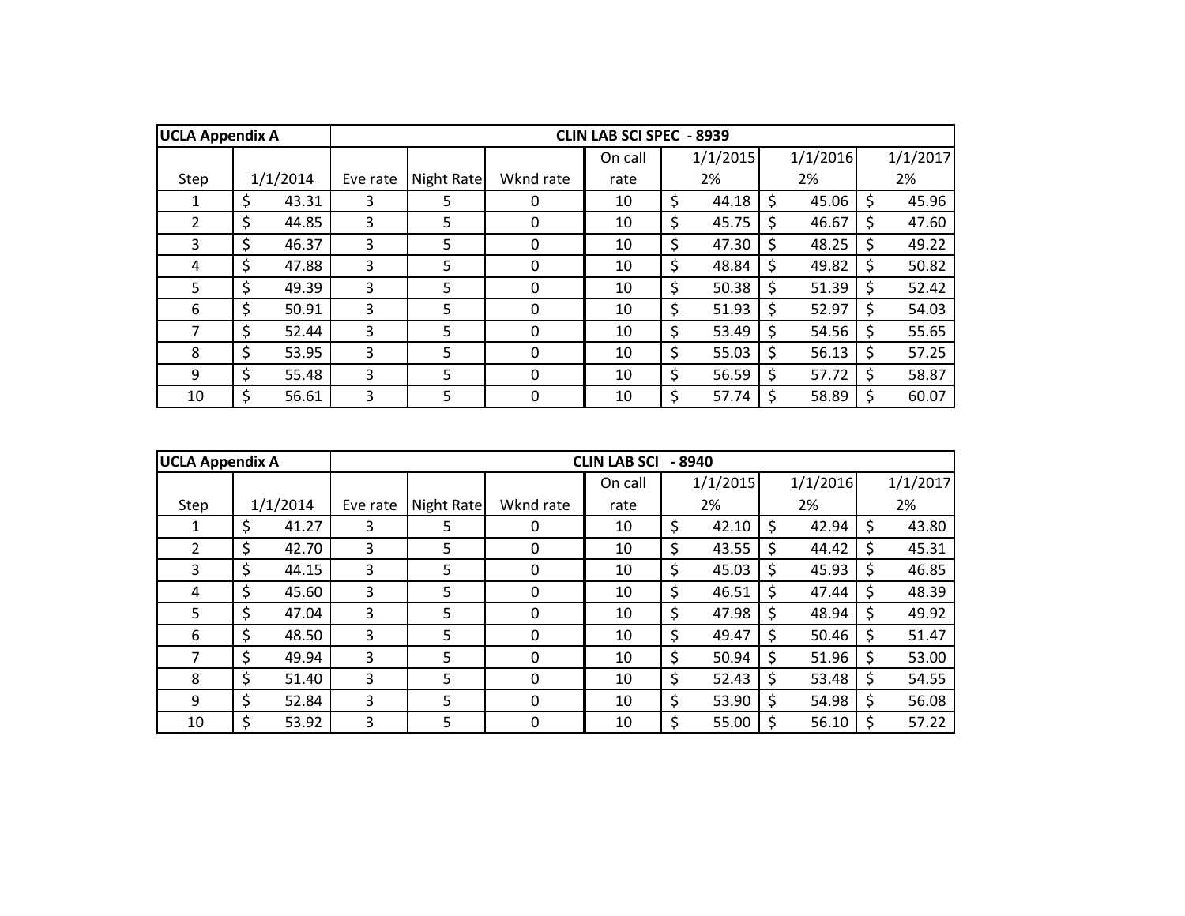| <b>UCLA Appendix A</b> |             |          |            |           | <b>CLIN LAB SCI SPEC - 8939</b> |             |    |          |    |          |
|------------------------|-------------|----------|------------|-----------|---------------------------------|-------------|----|----------|----|----------|
|                        |             |          |            |           | On call                         | 1/1/2015    |    | 1/1/2016 |    | 1/1/2017 |
| Step                   | 1/1/2014    | Eve rate | Night Rate | Wknd rate | rate                            | 2%          |    | 2%       |    | 2%       |
|                        | \$<br>43.31 | 3        | 5          | 0         | 10                              | \$<br>44.18 | S  | 45.06    |    | 45.96    |
| $\overline{2}$         | \$<br>44.85 | 3        | 5          | 0         | 10                              | \$<br>45.75 | S  | 46.67    | S  | 47.60    |
| 3                      | \$<br>46.37 | 3        | 5          | 0         | 10                              | \$<br>47.30 | S. | 48.25    | S. | 49.22    |
| 4                      | \$<br>47.88 | 3        | 5          | 0         | 10                              | \$<br>48.84 | Ś  | 49.82    |    | 50.82    |
| 5                      | \$<br>49.39 | 3        | 5          | 0         | 10                              | \$<br>50.38 | Ś  | 51.39    |    | 52.42    |
| 6                      | \$<br>50.91 | 3        | 5          | $\Omega$  | 10                              | \$<br>51.93 | S  | 52.97    |    | 54.03    |
| 7                      | \$<br>52.44 | 3        | 5.         | $\Omega$  | 10                              | \$<br>53.49 | Ś  | 54.56    | Ś. | 55.65    |
| 8                      | \$<br>53.95 | 3        | 5          | $\Omega$  | 10                              | \$<br>55.03 | S  | 56.13    | S  | 57.25    |
| 9                      | \$<br>55.48 | 3        | 5          | $\Omega$  | 10                              | \$<br>56.59 | \$ | 57.72    |    | 58.87    |
| 10                     | \$<br>56.61 | 3        | 5          | 0         | 10                              | \$<br>57.74 |    | 58.89    |    | 60.07    |

| <b>UCLA Appendix A</b> |             |          |            |           | <b>CLIN LAB SCI</b> | $-8940$     |    |          |    |          |
|------------------------|-------------|----------|------------|-----------|---------------------|-------------|----|----------|----|----------|
|                        |             |          |            |           | On call             | 1/1/2015    |    | 1/1/2016 |    | 1/1/2017 |
| Step                   | 1/1/2014    | Eve rate | Night Rate | Wknd rate | rate                | 2%          |    | 2%       |    | 2%       |
|                        | \$<br>41.27 | 3        | 5.         | 0         | 10                  | \$<br>42.10 | Ś  | 42.94    |    | 43.80    |
| 2                      | \$<br>42.70 | 3        | 5.         | 0         | 10                  | \$<br>43.55 | Ś  | 44.42    | -S | 45.31    |
| 3                      | \$<br>44.15 | 3        | 5          | 0         | 10                  | \$<br>45.03 | Ś  | 45.93    | -S | 46.85    |
| 4                      | \$<br>45.60 | 3        | 5          | $\Omega$  | 10                  | \$<br>46.51 | \$ | 47.44    | -S | 48.39    |
| 5                      | \$<br>47.04 | 3        | 5          | $\Omega$  | 10                  | \$<br>47.98 | Ś  | 48.94    |    | 49.92    |
| 6                      | \$<br>48.50 | 3        | 5          | 0         | 10                  | \$<br>49.47 | S  | 50.46    |    | 51.47    |
| 7                      | \$<br>49.94 | 3        | 5          | $\Omega$  | 10                  | \$<br>50.94 | \$ | 51.96    |    | 53.00    |
| 8                      | \$<br>51.40 | 3        | 5          | $\Omega$  | 10                  | \$<br>52.43 | Ś  | 53.48    |    | 54.55    |
| 9                      | \$<br>52.84 | 3        | 5          | $\Omega$  | 10                  | \$<br>53.90 | \$ | 54.98    |    | 56.08    |
| 10                     | \$<br>53.92 | 3        | 5          | 0         | 10                  | \$<br>55.00 | S  | 56.10    |    | 57.22    |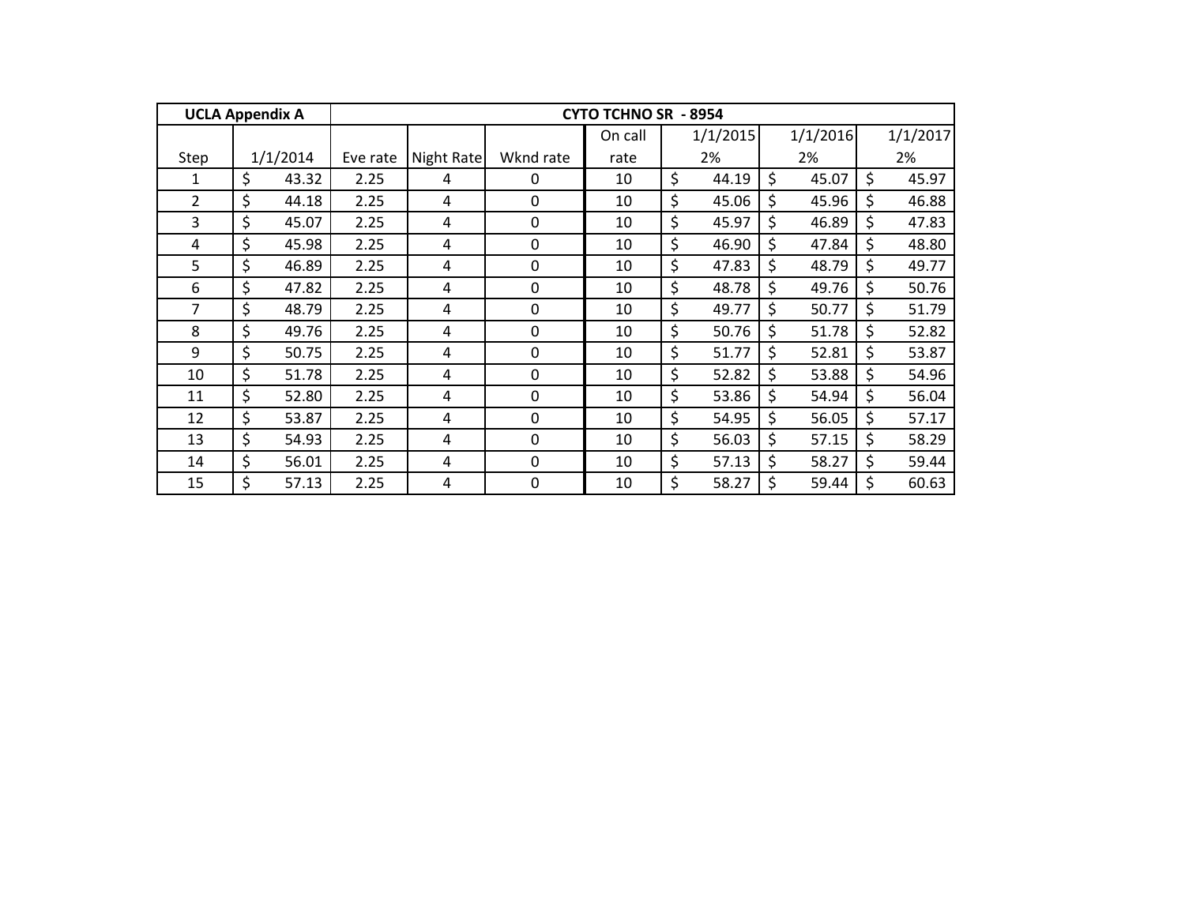| <b>UCLA Appendix A</b> |             |          |            |             | <b>CYTO TCHNO SR - 8954</b> |             |             |             |
|------------------------|-------------|----------|------------|-------------|-----------------------------|-------------|-------------|-------------|
|                        |             |          |            |             | On call                     | 1/1/2015    | 1/1/2016    | 1/1/2017    |
| Step                   | 1/1/2014    | Eve rate | Night Rate | Wknd rate   | rate                        | 2%          | 2%          | 2%          |
| $\mathbf{1}$           | \$<br>43.32 | 2.25     | 4          | 0           | 10                          | \$<br>44.19 | \$<br>45.07 | \$<br>45.97 |
| $\overline{2}$         | \$<br>44.18 | 2.25     | 4          | $\Omega$    | 10                          | \$<br>45.06 | \$<br>45.96 | \$<br>46.88 |
| 3                      | \$<br>45.07 | 2.25     | 4          | $\mathbf 0$ | 10                          | \$<br>45.97 | \$<br>46.89 | \$<br>47.83 |
| 4                      | \$<br>45.98 | 2.25     | 4          | $\mathbf 0$ | 10                          | \$<br>46.90 | \$<br>47.84 | \$<br>48.80 |
| 5                      | \$<br>46.89 | 2.25     | 4          | $\mathbf 0$ | 10                          | \$<br>47.83 | \$<br>48.79 | \$<br>49.77 |
| 6                      | \$<br>47.82 | 2.25     | 4          | 0           | 10                          | \$<br>48.78 | \$<br>49.76 | \$<br>50.76 |
| 7                      | \$<br>48.79 | 2.25     | 4          | $\Omega$    | 10                          | \$<br>49.77 | \$<br>50.77 | \$<br>51.79 |
| 8                      | \$<br>49.76 | 2.25     | 4          | $\Omega$    | 10                          | \$<br>50.76 | \$<br>51.78 | \$<br>52.82 |
| 9                      | \$<br>50.75 | 2.25     | 4          | $\mathbf 0$ | 10                          | \$<br>51.77 | \$<br>52.81 | \$<br>53.87 |
| 10                     | \$<br>51.78 | 2.25     | 4          | $\mathbf 0$ | 10                          | \$<br>52.82 | \$<br>53.88 | \$<br>54.96 |
| 11                     | \$<br>52.80 | 2.25     | 4          | $\mathbf 0$ | 10                          | \$<br>53.86 | \$<br>54.94 | \$<br>56.04 |
| 12                     | \$<br>53.87 | 2.25     | 4          | $\mathbf 0$ | 10                          | \$<br>54.95 | \$<br>56.05 | \$<br>57.17 |
| 13                     | \$<br>54.93 | 2.25     | 4          | 0           | 10                          | \$<br>56.03 | \$<br>57.15 | \$<br>58.29 |
| 14                     | \$<br>56.01 | 2.25     | 4          | $\Omega$    | 10                          | \$<br>57.13 | \$<br>58.27 | \$<br>59.44 |
| 15                     | \$<br>57.13 | 2.25     | 4          | 0           | 10                          | \$<br>58.27 | \$<br>59.44 | 60.63       |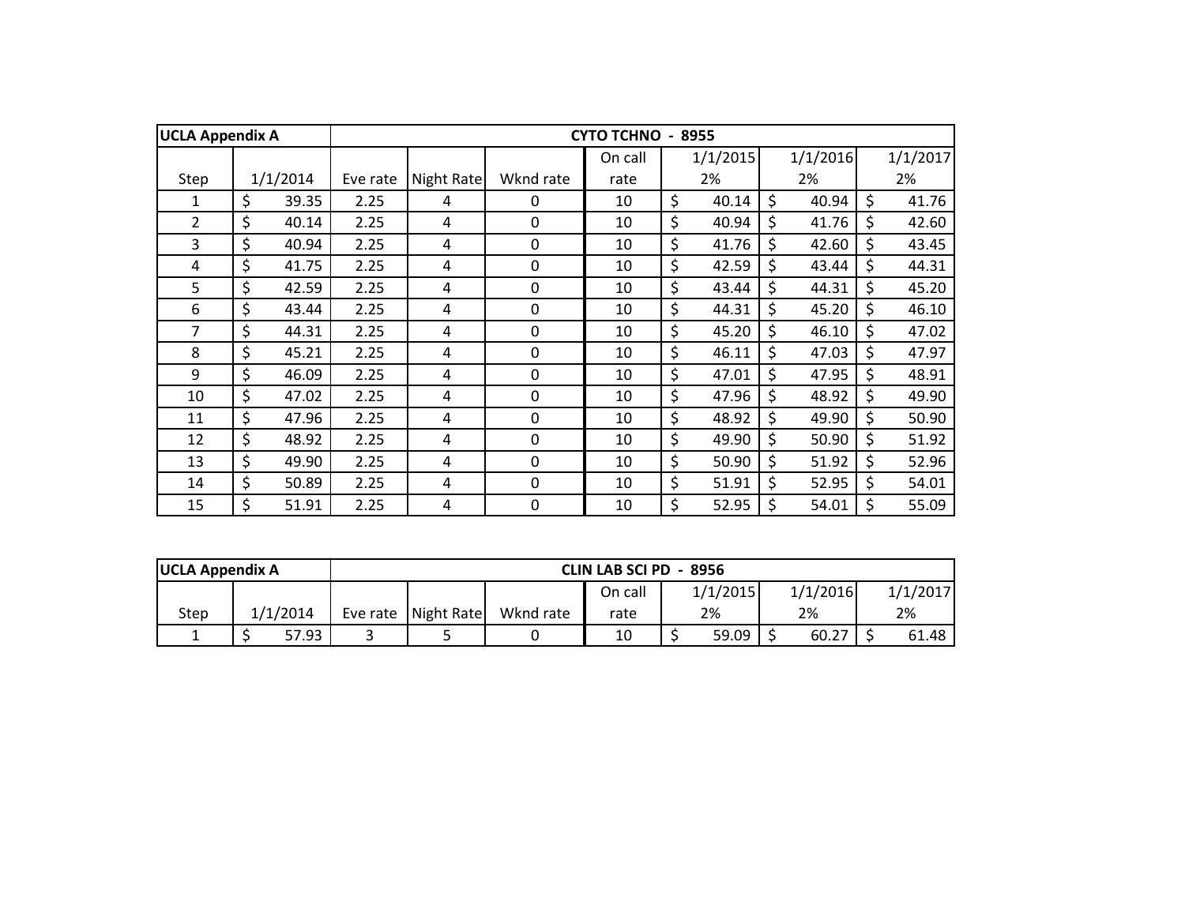| <b>UCLA Appendix A</b> |             |          |            |             | <b>CYTO TCHNO</b> | 8955        |             |             |
|------------------------|-------------|----------|------------|-------------|-------------------|-------------|-------------|-------------|
|                        |             |          |            |             | On call           | 1/1/2015    | 1/1/2016    | 1/1/2017    |
| Step                   | 1/1/2014    | Eve rate | Night Rate | Wknd rate   | rate              | 2%          | 2%          | 2%          |
| 1                      | \$<br>39.35 | 2.25     | 4          | $\Omega$    | 10                | \$<br>40.14 | \$<br>40.94 | \$<br>41.76 |
| $\overline{2}$         | \$<br>40.14 | 2.25     | 4          | $\mathbf 0$ | 10                | \$<br>40.94 | \$<br>41.76 | \$<br>42.60 |
| $\overline{3}$         | \$<br>40.94 | 2.25     | 4          | 0           | 10                | \$<br>41.76 | \$<br>42.60 | \$<br>43.45 |
| 4                      | \$<br>41.75 | 2.25     | 4          | $\mathbf 0$ | 10                | \$<br>42.59 | \$<br>43.44 | \$<br>44.31 |
| 5                      | \$<br>42.59 | 2.25     | 4          | $\mathbf 0$ | 10                | \$<br>43.44 | \$<br>44.31 | \$<br>45.20 |
| 6                      | \$<br>43.44 | 2.25     | 4          | 0           | 10                | \$<br>44.31 | \$<br>45.20 | \$<br>46.10 |
| 7                      | \$<br>44.31 | 2.25     | 4          | 0           | 10                | \$<br>45.20 | \$<br>46.10 | \$<br>47.02 |
| 8                      | \$<br>45.21 | 2.25     | 4          | 0           | 10                | \$<br>46.11 | \$<br>47.03 | \$<br>47.97 |
| 9                      | \$<br>46.09 | 2.25     | 4          | 0           | 10                | \$<br>47.01 | \$<br>47.95 | \$<br>48.91 |
| 10                     | \$<br>47.02 | 2.25     | 4          | $\mathbf 0$ | 10                | \$<br>47.96 | \$<br>48.92 | \$<br>49.90 |
| 11                     | \$<br>47.96 | 2.25     | 4          | $\mathbf 0$ | 10                | \$<br>48.92 | \$<br>49.90 | \$<br>50.90 |
| 12                     | \$<br>48.92 | 2.25     | 4          | $\mathbf 0$ | 10                | \$<br>49.90 | \$<br>50.90 | \$<br>51.92 |
| 13                     | \$<br>49.90 | 2.25     | 4          | $\mathbf 0$ | 10                | \$<br>50.90 | \$<br>51.92 | \$<br>52.96 |
| 14                     | \$<br>50.89 | 2.25     | 4          | 0           | 10                | \$<br>51.91 | \$<br>52.95 | \$<br>54.01 |
| 15                     | \$<br>51.91 | 2.25     | 4          | 0           | 10                | \$<br>52.95 | \$<br>54.01 | \$<br>55.09 |

| <b>UCLA Appendix A</b> |          |                     |           | CLIN LAB SCI PD - 8956 |          |          |          |
|------------------------|----------|---------------------|-----------|------------------------|----------|----------|----------|
|                        |          |                     |           | On call                | 1/1/2015 | 1/1/2016 | 1/1/2017 |
| Step                   | 1/1/2014 | Eve rate Night Rate | Wknd rate | rate                   | 2%       | 2%       | 2%       |
|                        | 57.93    |                     |           | 10                     | 59.09    | 60.27    | 61.48 l  |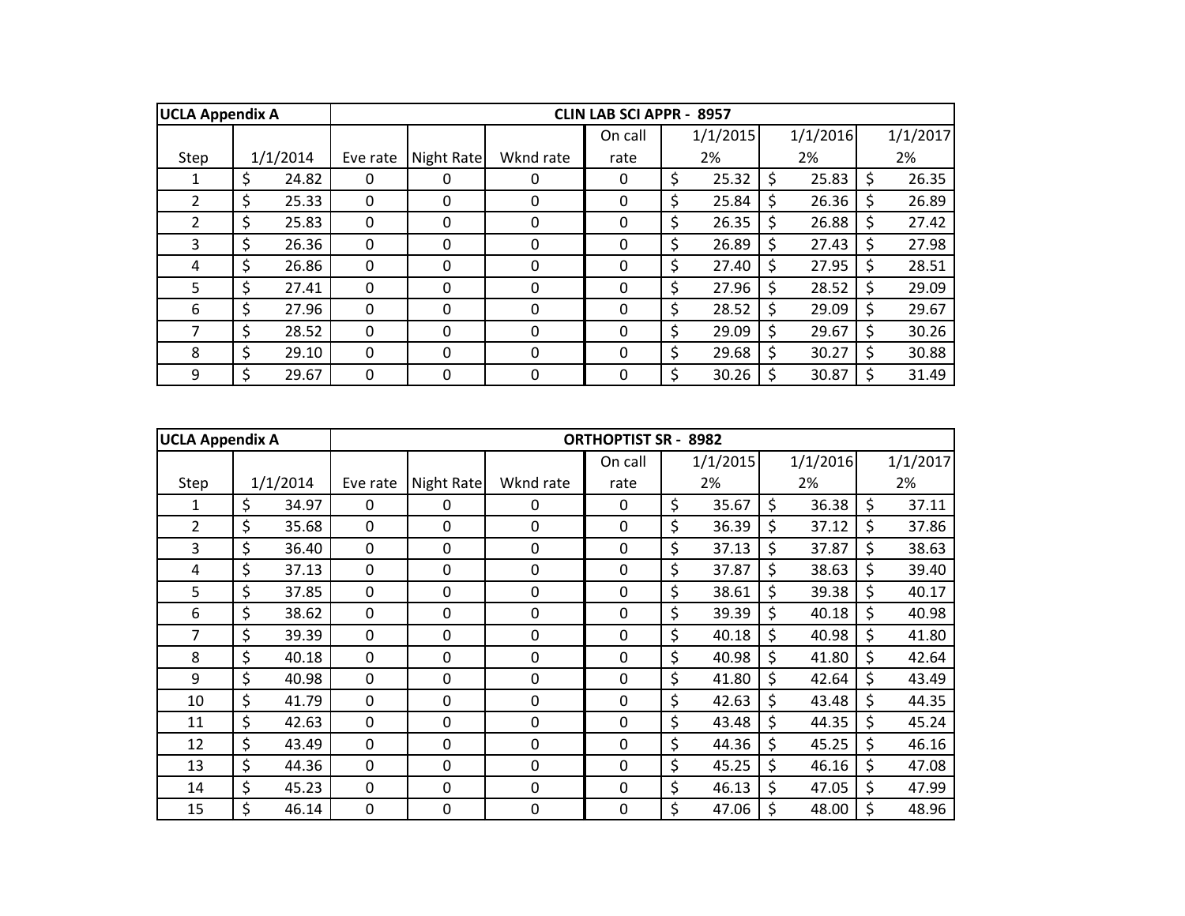| <b>UCLA Appendix A</b> |             |          |            |              | <b>CLIN LAB SCI APPR - 8957</b> |             |    |          |    |          |
|------------------------|-------------|----------|------------|--------------|---------------------------------|-------------|----|----------|----|----------|
|                        |             |          |            |              | On call                         | 1/1/2015    |    | 1/1/2016 |    | 1/1/2017 |
| Step                   | 1/1/2014    | Eve rate | Night Rate | Wknd rate    | rate                            | 2%          |    | 2%       |    | 2%       |
|                        | \$<br>24.82 | $\Omega$ | 0          | 0            | 0                               | \$<br>25.32 | \$ | 25.83    | S. | 26.35    |
| $\overline{2}$         | \$<br>25.33 | $\Omega$ | 0          | 0            | $\Omega$                        | \$<br>25.84 | S  | 26.36    |    | 26.89    |
| $\overline{2}$         | \$<br>25.83 | $\Omega$ | $\Omega$   | 0            | $\Omega$                        | \$<br>26.35 | Ŝ  | 26.88    |    | 27.42    |
| 3                      | \$<br>26.36 | $\Omega$ | 0          | 0            | $\Omega$                        | \$<br>26.89 | Ś  | 27.43    |    | 27.98    |
| 4                      | \$<br>26.86 | 0        | 0          | 0            | 0                               | \$<br>27.40 | Ŝ  | 27.95    |    | 28.51    |
| 5                      | \$<br>27.41 | $\Omega$ | 0          | 0            | $\Omega$                        | \$<br>27.96 | Ŝ  | 28.52    |    | 29.09    |
| 6                      | \$<br>27.96 | $\Omega$ | 0          | <sup>0</sup> | 0                               | \$<br>28.52 | Ŝ  | 29.09    |    | 29.67    |
| 7                      | \$<br>28.52 | $\Omega$ | 0          | $\Omega$     | $\Omega$                        | \$<br>29.09 | S  | 29.67    | -S | 30.26    |
| 8                      | \$<br>29.10 | $\Omega$ | 0          | $\Omega$     | $\Omega$                        | \$<br>29.68 | Ś  | 30.27    |    | 30.88    |
| 9                      | \$<br>29.67 | $\Omega$ | 0          | 0            | 0                               | \$<br>30.26 |    | 30.87    |    | 31.49    |

| <b>UCLA Appendix A</b> |             |             |             |           | <b>ORTHOPTIST SR - 8982</b> |             |                    |          |             |
|------------------------|-------------|-------------|-------------|-----------|-----------------------------|-------------|--------------------|----------|-------------|
|                        |             |             |             |           | On call                     | 1/1/2015    |                    | 1/1/2016 | 1/1/2017    |
| Step                   | 1/1/2014    | Eve rate    | Night Rate  | Wknd rate | rate                        | 2%          |                    | 2%       | 2%          |
| 1                      | \$<br>34.97 | $\Omega$    | 0           | 0         | $\mathbf{0}$                | \$<br>35.67 | \$                 | 36.38    | \$<br>37.11 |
| $\overline{2}$         | \$<br>35.68 | $\mathbf 0$ | 0           | 0         | $\mathbf 0$                 | \$<br>36.39 | \$                 | 37.12    | \$<br>37.86 |
| 3                      | \$<br>36.40 | $\mathbf 0$ | 0           | 0         | $\mathbf 0$                 | \$<br>37.13 | \$                 | 37.87    | \$<br>38.63 |
| 4                      | \$<br>37.13 | $\mathbf 0$ | $\Omega$    | 0         | $\mathbf 0$                 | \$<br>37.87 | \$                 | 38.63    | \$<br>39.40 |
| 5                      | \$<br>37.85 | $\mathbf 0$ | 0           | 0         | $\mathbf 0$                 | \$<br>38.61 | \$                 | 39.38    | \$<br>40.17 |
| 6                      | \$<br>38.62 | $\mathbf 0$ | 0           | 0         | $\mathbf 0$                 | \$<br>39.39 | \$                 | 40.18    | \$<br>40.98 |
| $\overline{7}$         | \$<br>39.39 | $\mathbf 0$ | 0           | 0         | $\Omega$                    | \$<br>40.18 | $\zeta$            | 40.98    | \$<br>41.80 |
| 8                      | \$<br>40.18 | $\mathbf 0$ | 0           | 0         | $\mathbf 0$                 | \$<br>40.98 | \$                 | 41.80    | \$<br>42.64 |
| 9                      | \$<br>40.98 | $\mathbf 0$ | 0           | 0         | $\mathbf 0$                 | \$<br>41.80 | \$                 | 42.64    | \$<br>43.49 |
| 10                     | \$<br>41.79 | $\mathbf 0$ | 0           | 0         | $\mathbf 0$                 | \$<br>42.63 | \$                 | 43.48    | \$<br>44.35 |
| 11                     | \$<br>42.63 | $\mathbf 0$ | $\mathbf 0$ | 0         | $\mathbf 0$                 | \$<br>43.48 | $\zeta$            | 44.35    | \$<br>45.24 |
| 12                     | \$<br>43.49 | $\mathbf 0$ | 0           | 0         | $\mathbf 0$                 | \$<br>44.36 | $\zeta$            | 45.25    | \$<br>46.16 |
| 13                     | \$<br>44.36 | $\mathbf 0$ | 0           | 0         | $\mathbf 0$                 | \$<br>45.25 | \$                 | 46.16    | \$<br>47.08 |
| 14                     | \$<br>45.23 | $\mathbf 0$ | 0           | 0         | $\mathbf 0$                 | \$<br>46.13 | Ŝ.                 | 47.05    | \$<br>47.99 |
| 15                     | \$<br>46.14 | $\mathbf 0$ | 0           | 0         | $\mathbf 0$                 | \$<br>47.06 | $\mathsf{\hat{S}}$ | 48.00    | \$<br>48.96 |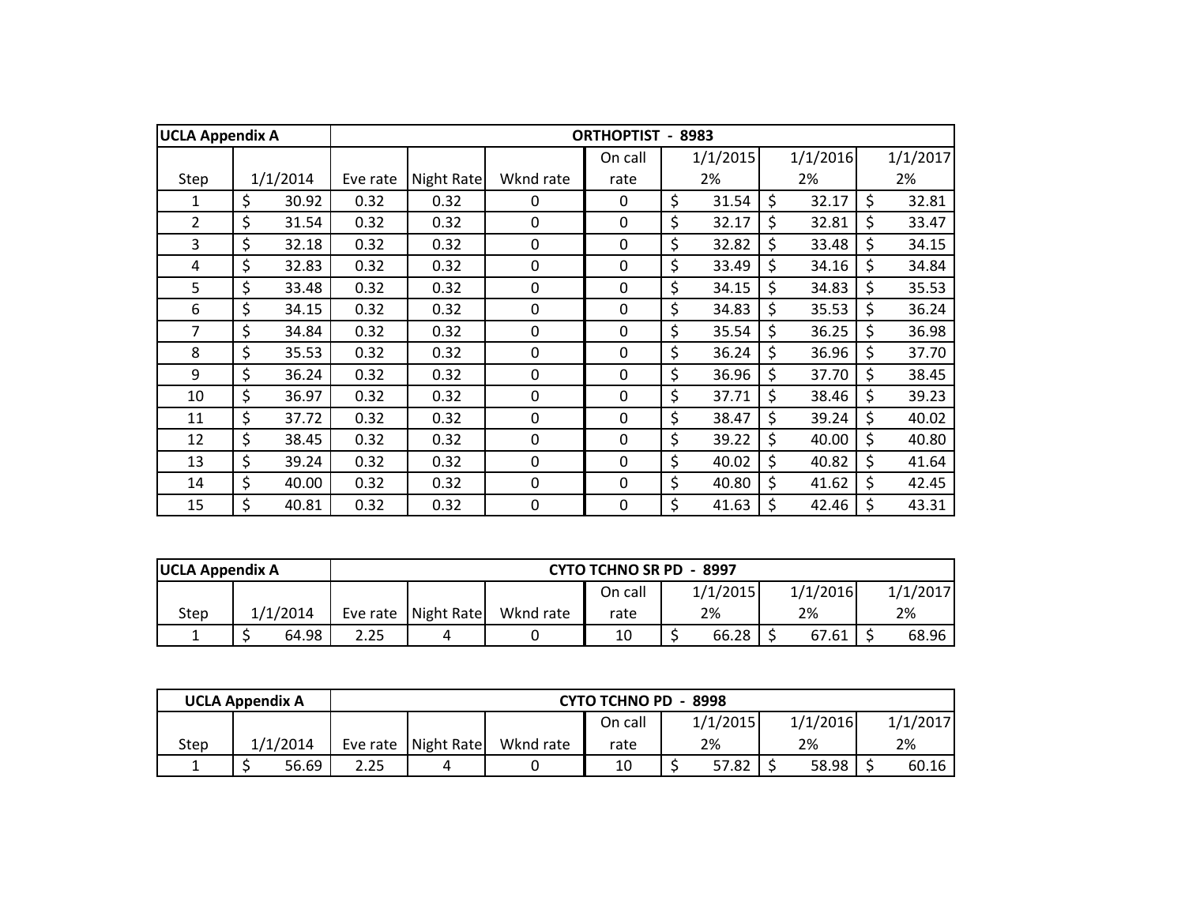| <b>UCLA Appendix A</b> |             |          |            |             | <b>ORTHOPTIST</b> | 8983        |             |         |          |
|------------------------|-------------|----------|------------|-------------|-------------------|-------------|-------------|---------|----------|
|                        |             |          |            |             | On call           | 1/1/2015    | 1/1/2016    |         | 1/1/2017 |
| Step                   | 1/1/2014    | Eve rate | Night Rate | Wknd rate   | rate              | 2%          | 2%          |         | 2%       |
| 1                      | \$<br>30.92 | 0.32     | 0.32       | 0           | 0                 | \$<br>31.54 | \$<br>32.17 | \$      | 32.81    |
| $\overline{2}$         | \$<br>31.54 | 0.32     | 0.32       | 0           | $\mathbf 0$       | \$<br>32.17 | \$<br>32.81 | \$      | 33.47    |
| 3                      | \$<br>32.18 | 0.32     | 0.32       | 0           | $\mathbf 0$       | \$<br>32.82 | \$<br>33.48 | \$      | 34.15    |
| 4                      | \$<br>32.83 | 0.32     | 0.32       | $\mathbf 0$ | $\mathbf 0$       | \$<br>33.49 | \$<br>34.16 | $\zeta$ | 34.84    |
| 5                      | \$<br>33.48 | 0.32     | 0.32       | 0           | $\mathbf 0$       | \$<br>34.15 | \$<br>34.83 | $\zeta$ | 35.53    |
| 6                      | \$<br>34.15 | 0.32     | 0.32       | 0           | 0                 | \$<br>34.83 | \$<br>35.53 | \$      | 36.24    |
| 7                      | \$<br>34.84 | 0.32     | 0.32       | 0           | 0                 | \$<br>35.54 | \$<br>36.25 | \$      | 36.98    |
| 8                      | \$<br>35.53 | 0.32     | 0.32       | 0           | $\mathbf 0$       | \$<br>36.24 | \$<br>36.96 | \$      | 37.70    |
| 9                      | \$<br>36.24 | 0.32     | 0.32       | 0           | 0                 | \$<br>36.96 | \$<br>37.70 | \$      | 38.45    |
| 10                     | \$<br>36.97 | 0.32     | 0.32       | $\mathbf 0$ | $\mathbf 0$       | \$<br>37.71 | \$<br>38.46 | \$      | 39.23    |
| 11                     | \$<br>37.72 | 0.32     | 0.32       | $\mathbf 0$ | $\mathbf 0$       | \$<br>38.47 | \$<br>39.24 | \$      | 40.02    |
| 12                     | \$<br>38.45 | 0.32     | 0.32       | $\mathbf 0$ | $\mathbf 0$       | \$<br>39.22 | \$<br>40.00 | \$      | 40.80    |
| 13                     | \$<br>39.24 | 0.32     | 0.32       | 0           | $\mathbf 0$       | \$<br>40.02 | \$<br>40.82 | \$      | 41.64    |
| 14                     | \$<br>40.00 | 0.32     | 0.32       | 0           | 0                 | \$<br>40.80 | \$<br>41.62 | \$      | 42.45    |
| 15                     | \$<br>40.81 | 0.32     | 0.32       | 0           | $\mathbf 0$       | \$<br>41.63 | \$<br>42.46 | \$      | 43.31    |

| <b>UCLA Appendix A</b> |          |      |                       |           |         | <b>CYTO TCHNO SR PD - 8997</b> |  |          |          |
|------------------------|----------|------|-----------------------|-----------|---------|--------------------------------|--|----------|----------|
|                        |          |      |                       |           | On call | 1/1/2015                       |  | 1/1/2016 | 1/1/2017 |
| Step                   | 1/1/2014 |      | Eve rate   Night Rate | Wknd rate | rate    | 2%                             |  | 2%       | 2%       |
|                        | 64.98    | 2.25 |                       |           | 10      | 66.28                          |  | 67.61    | 68.96    |

| <b>UCLA Appendix A</b> |          |      |                       |           | <b>CYTO TCHNO PD - 8998</b> |       |          |          |          |
|------------------------|----------|------|-----------------------|-----------|-----------------------------|-------|----------|----------|----------|
|                        |          |      |                       |           | On call                     |       | 1/1/2015 | 1/1/2016 | 1/1/2017 |
| Step                   | 1/1/2014 |      | Eve rate   Night Rate | Wknd rate | rate                        |       | 2%       | 2%       | 2%       |
|                        | 56.69    | 2.25 |                       |           | 10                          | 57.82 |          | 58.98    | 60.16    |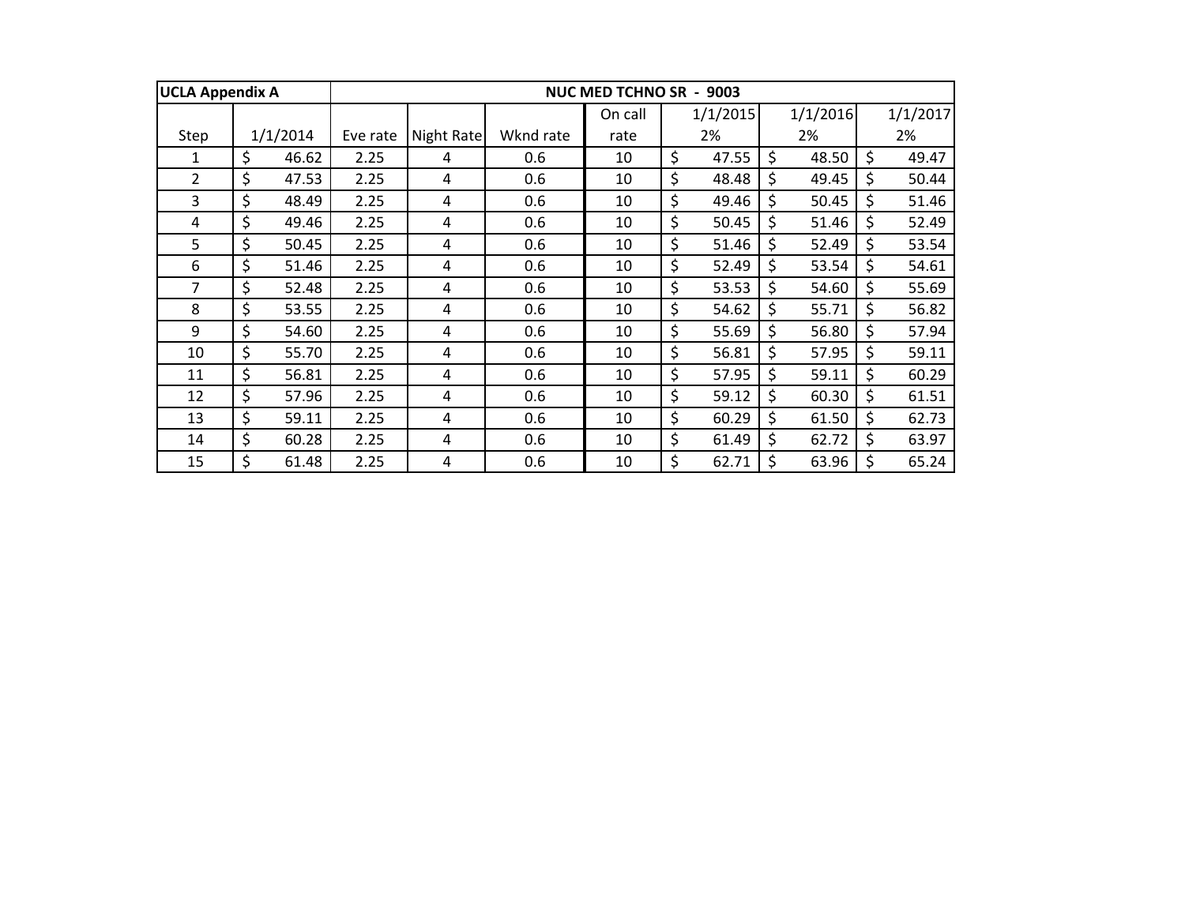| <b>UCLA Appendix A</b> |             |          |            |           | <b>NUC MED TCHNO SR - 9003</b> |             |    |          |             |
|------------------------|-------------|----------|------------|-----------|--------------------------------|-------------|----|----------|-------------|
|                        |             |          |            |           | On call                        | 1/1/2015    |    | 1/1/2016 | 1/1/2017    |
| Step                   | 1/1/2014    | Eve rate | Night Rate | Wknd rate | rate                           | 2%          |    | 2%       | 2%          |
| $\mathbf{1}$           | \$<br>46.62 | 2.25     | 4          | 0.6       | 10                             | \$<br>47.55 | Ś. | 48.50    | \$<br>49.47 |
| 2                      | \$<br>47.53 | 2.25     | 4          | 0.6       | 10                             | \$<br>48.48 | \$ | 49.45    | \$<br>50.44 |
| 3                      | \$<br>48.49 | 2.25     | 4          | 0.6       | 10                             | \$<br>49.46 | \$ | 50.45    | \$<br>51.46 |
| 4                      | \$<br>49.46 | 2.25     | 4          | 0.6       | 10                             | \$<br>50.45 | \$ | 51.46    | \$<br>52.49 |
| 5                      | \$<br>50.45 | 2.25     | 4          | 0.6       | 10                             | \$<br>51.46 | \$ | 52.49    | \$<br>53.54 |
| 6                      | \$<br>51.46 | 2.25     | 4          | 0.6       | 10                             | \$<br>52.49 | \$ | 53.54    | \$<br>54.61 |
| 7                      | \$<br>52.48 | 2.25     | 4          | 0.6       | 10                             | \$<br>53.53 | \$ | 54.60    | \$<br>55.69 |
| 8                      | \$<br>53.55 | 2.25     | 4          | 0.6       | 10                             | \$<br>54.62 | \$ | 55.71    | \$<br>56.82 |
| 9                      | \$<br>54.60 | 2.25     | 4          | 0.6       | 10                             | \$<br>55.69 | \$ | 56.80    | \$<br>57.94 |
| 10                     | \$<br>55.70 | 2.25     | 4          | 0.6       | 10                             | \$<br>56.81 | \$ | 57.95    | \$<br>59.11 |
| 11                     | \$<br>56.81 | 2.25     | 4          | 0.6       | 10                             | \$<br>57.95 | \$ | 59.11    | \$<br>60.29 |
| 12                     | \$<br>57.96 | 2.25     | 4          | 0.6       | 10                             | \$<br>59.12 | \$ | 60.30    | \$<br>61.51 |
| 13                     | \$<br>59.11 | 2.25     | 4          | 0.6       | 10                             | \$<br>60.29 | \$ | 61.50    | \$<br>62.73 |
| 14                     | \$<br>60.28 | 2.25     | 4          | 0.6       | 10                             | \$<br>61.49 | \$ | 62.72    | \$<br>63.97 |
| 15                     | \$<br>61.48 | 2.25     | 4          | 0.6       | 10                             | \$<br>62.71 | \$ | 63.96    | \$<br>65.24 |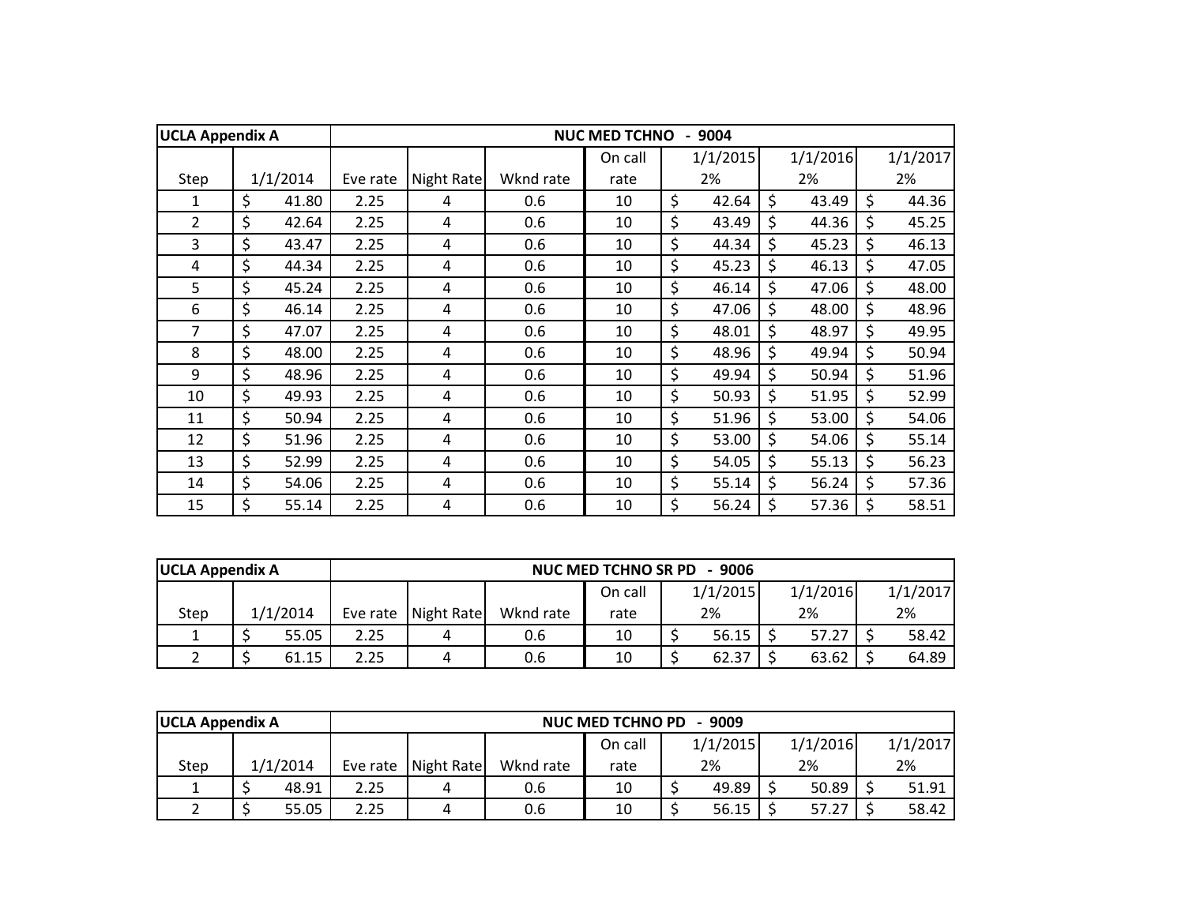| <b>UCLA Appendix A</b> |             |          |            |           | <b>NUC MED TCHNO</b> | 9004        |             |             |
|------------------------|-------------|----------|------------|-----------|----------------------|-------------|-------------|-------------|
|                        |             |          |            |           | On call              | 1/1/2015    | 1/1/2016    | 1/1/2017    |
| Step                   | 1/1/2014    | Eve rate | Night Rate | Wknd rate | rate                 | 2%          | 2%          | 2%          |
| 1                      | \$<br>41.80 | 2.25     | 4          | 0.6       | 10                   | \$<br>42.64 | \$<br>43.49 | \$<br>44.36 |
| $\overline{2}$         | \$<br>42.64 | 2.25     | 4          | 0.6       | 10                   | \$<br>43.49 | \$<br>44.36 | \$<br>45.25 |
| $\overline{3}$         | \$<br>43.47 | 2.25     | 4          | 0.6       | 10                   | \$<br>44.34 | \$<br>45.23 | \$<br>46.13 |
| 4                      | \$<br>44.34 | 2.25     | 4          | 0.6       | 10                   | \$<br>45.23 | \$<br>46.13 | \$<br>47.05 |
| 5                      | \$<br>45.24 | 2.25     | 4          | 0.6       | 10                   | \$<br>46.14 | \$<br>47.06 | \$<br>48.00 |
| 6                      | \$<br>46.14 | 2.25     | 4          | 0.6       | 10                   | \$<br>47.06 | \$<br>48.00 | \$<br>48.96 |
| 7                      | \$<br>47.07 | 2.25     | 4          | 0.6       | 10                   | \$<br>48.01 | \$<br>48.97 | \$<br>49.95 |
| 8                      | \$<br>48.00 | 2.25     | 4          | 0.6       | 10                   | \$<br>48.96 | \$<br>49.94 | \$<br>50.94 |
| 9                      | \$<br>48.96 | 2.25     | 4          | 0.6       | 10                   | \$<br>49.94 | \$<br>50.94 | \$<br>51.96 |
| 10                     | \$<br>49.93 | 2.25     | 4          | 0.6       | 10                   | \$<br>50.93 | \$<br>51.95 | \$<br>52.99 |
| 11                     | \$<br>50.94 | 2.25     | 4          | 0.6       | 10                   | \$<br>51.96 | \$<br>53.00 | \$<br>54.06 |
| 12                     | \$<br>51.96 | 2.25     | 4          | 0.6       | 10                   | \$<br>53.00 | \$<br>54.06 | \$<br>55.14 |
| 13                     | \$<br>52.99 | 2.25     | 4          | 0.6       | 10                   | \$<br>54.05 | \$<br>55.13 | \$<br>56.23 |
| 14                     | \$<br>54.06 | 2.25     | 4          | 0.6       | 10                   | \$<br>55.14 | \$<br>56.24 | \$<br>57.36 |
| 15                     | \$<br>55.14 | 2.25     | 4          | 0.6       | 10                   | \$<br>56.24 | \$<br>57.36 | \$<br>58.51 |

| <b>UCLA Appendix A</b> |          |      |                     |           | <b>NUC MED TCHNO SR PD</b> | - 9006   |       |          |          |
|------------------------|----------|------|---------------------|-----------|----------------------------|----------|-------|----------|----------|
|                        |          |      |                     |           | On call                    | 1/1/2015 |       | 1/1/2016 | 1/1/2017 |
| Step                   | 1/1/2014 |      | Eve rate Night Rate | Wknd rate | rate                       | 2%       |       | 2%       | 2%       |
|                        | 55.05    | 2.25 |                     | 0.6       | 10                         | 56.15    | 57.27 |          | 58.42    |
|                        | 61.15    | 2.25 |                     | 0.6       | 10                         | 62.37    |       | 63.62    | 64.89    |

| <b>UCLA Appendix A</b> |          |      |                       |           | <b>NUC MED TCHNO PD</b> | - 9009   |       |          |          |
|------------------------|----------|------|-----------------------|-----------|-------------------------|----------|-------|----------|----------|
|                        |          |      |                       |           | On call                 | 1/1/2015 |       | 1/1/2016 | 1/1/2017 |
| Step                   | 1/1/2014 |      | Eve rate   Night Rate | Wknd rate | rate                    | 2%       |       | 2%       | 2%       |
|                        | 48.91    | 2.25 |                       | 0.6       | 10                      | 49.89    | 50.89 |          | 51.91    |
|                        | 55.05    | 2.25 |                       | 0.6       | 10                      | 56.15    | 57.27 |          | 58.42    |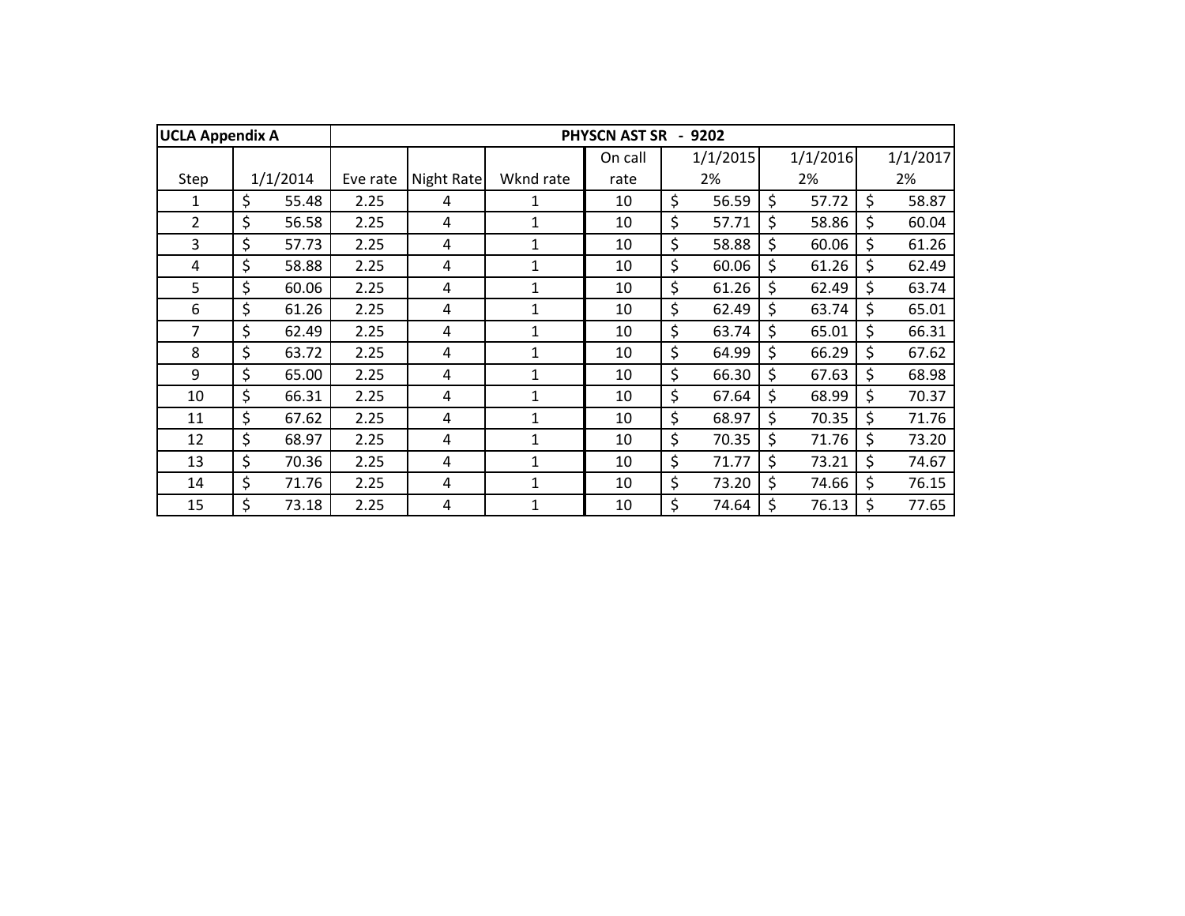| <b>UCLA Appendix A</b> |             |          |            |              | <b>PHYSCN AST SR</b> | 9202        |             |             |
|------------------------|-------------|----------|------------|--------------|----------------------|-------------|-------------|-------------|
|                        |             |          |            |              | On call              | 1/1/2015    | 1/1/2016    | 1/1/2017    |
| Step                   | 1/1/2014    | Eve rate | Night Rate | Wknd rate    | rate                 | 2%          | 2%          | 2%          |
| 1                      | \$<br>55.48 | 2.25     | 4          | 1            | 10                   | \$<br>56.59 | \$<br>57.72 | \$<br>58.87 |
| $\overline{2}$         | \$<br>56.58 | 2.25     | 4          | 1            | 10                   | \$<br>57.71 | \$<br>58.86 | \$<br>60.04 |
| 3                      | \$<br>57.73 | 2.25     | 4          | 1            | 10                   | \$<br>58.88 | \$<br>60.06 | \$<br>61.26 |
| 4                      | \$<br>58.88 | 2.25     | 4          | 1            | 10                   | \$<br>60.06 | \$<br>61.26 | \$<br>62.49 |
| 5                      | \$<br>60.06 | 2.25     | 4          | 1            | 10                   | \$<br>61.26 | \$<br>62.49 | \$<br>63.74 |
| 6                      | \$<br>61.26 | 2.25     | 4          |              | 10                   | \$<br>62.49 | \$<br>63.74 | \$<br>65.01 |
| 7                      | \$<br>62.49 | 2.25     | 4          | 1            | 10                   | \$<br>63.74 | \$<br>65.01 | \$<br>66.31 |
| 8                      | \$<br>63.72 | 2.25     | 4          | 1            | 10                   | \$<br>64.99 | \$<br>66.29 | \$<br>67.62 |
| 9                      | \$<br>65.00 | 2.25     | 4          | 1            | 10                   | \$<br>66.30 | \$<br>67.63 | \$<br>68.98 |
| 10                     | \$<br>66.31 | 2.25     | 4          | $\mathbf{1}$ | 10                   | \$<br>67.64 | \$<br>68.99 | \$<br>70.37 |
| 11                     | \$<br>67.62 | 2.25     | 4          | $\mathbf{1}$ | 10                   | \$<br>68.97 | \$<br>70.35 | \$<br>71.76 |
| 12                     | \$<br>68.97 | 2.25     | 4          | $\mathbf{1}$ | 10                   | \$<br>70.35 | \$<br>71.76 | \$<br>73.20 |
| 13                     | \$<br>70.36 | 2.25     | 4          | $\mathbf{1}$ | 10                   | \$<br>71.77 | \$<br>73.21 | \$<br>74.67 |
| 14                     | \$<br>71.76 | 2.25     | 4          | $\mathbf{1}$ | 10                   | \$<br>73.20 | \$<br>74.66 | \$<br>76.15 |
| 15                     | \$<br>73.18 | 2.25     | 4          | $\mathbf{1}$ | 10                   | \$<br>74.64 | \$<br>76.13 | \$<br>77.65 |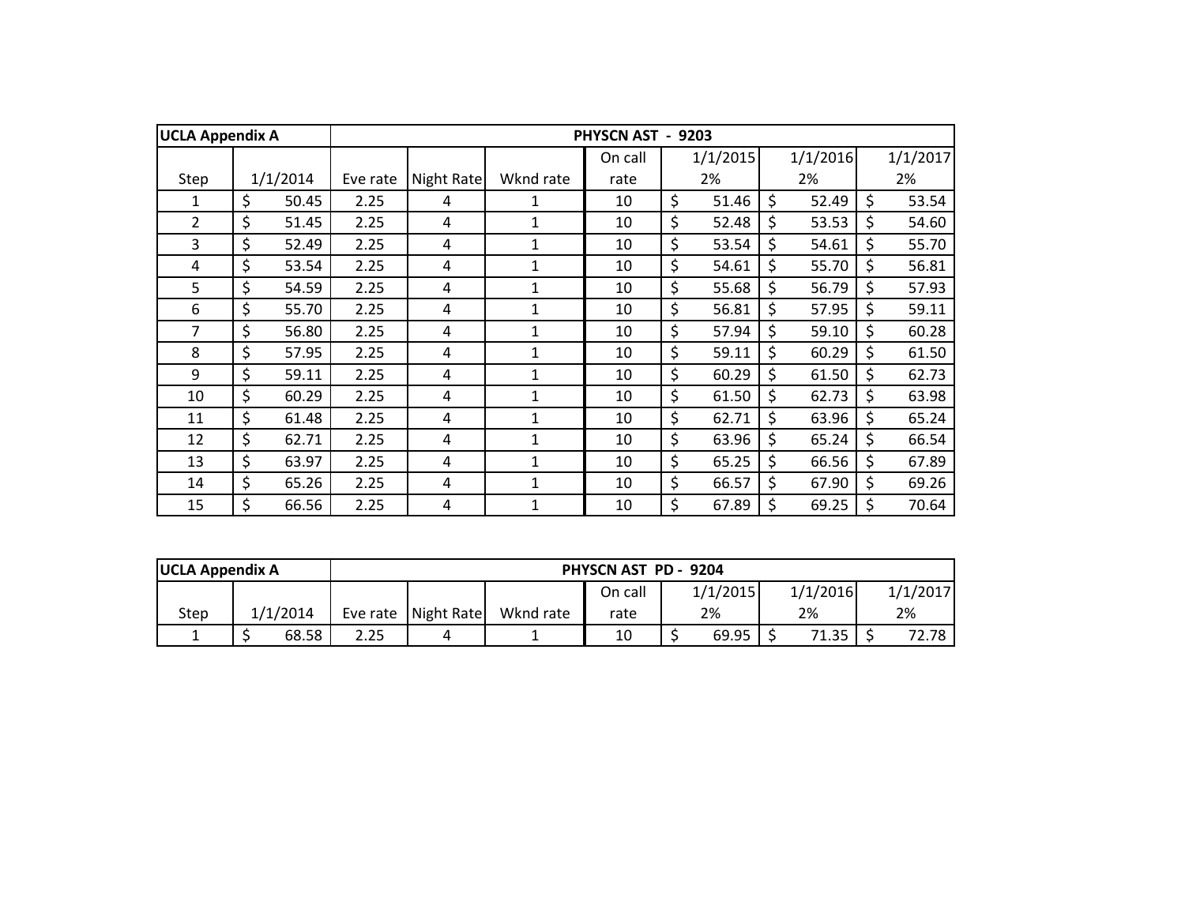| <b>UCLA Appendix A</b> |             |          |            |              | <b>PHYSCN AST</b> | $-9203$     |             |             |
|------------------------|-------------|----------|------------|--------------|-------------------|-------------|-------------|-------------|
|                        |             |          |            |              | On call           | 1/1/2015    | 1/1/2016    | 1/1/2017    |
| Step                   | 1/1/2014    | Eve rate | Night Rate | Wknd rate    | rate              | 2%          | 2%          | 2%          |
| 1                      | \$<br>50.45 | 2.25     | 4          | 1            | 10                | \$<br>51.46 | \$<br>52.49 | \$<br>53.54 |
| $\overline{2}$         | \$<br>51.45 | 2.25     | 4          | 1            | 10                | \$<br>52.48 | \$<br>53.53 | \$<br>54.60 |
| 3                      | \$<br>52.49 | 2.25     | 4          | $\mathbf{1}$ | 10                | \$<br>53.54 | \$<br>54.61 | \$<br>55.70 |
| 4                      | \$<br>53.54 | 2.25     | 4          | 1            | 10                | \$<br>54.61 | \$<br>55.70 | \$<br>56.81 |
| 5                      | \$<br>54.59 | 2.25     | 4          | 1            | 10                | \$<br>55.68 | \$<br>56.79 | \$<br>57.93 |
| 6                      | \$<br>55.70 | 2.25     | 4          | 1            | 10                | \$<br>56.81 | \$<br>57.95 | \$<br>59.11 |
| 7                      | \$<br>56.80 | 2.25     | 4          | 1            | 10                | \$<br>57.94 | \$<br>59.10 | \$<br>60.28 |
| 8                      | \$<br>57.95 | 2.25     | 4          | 1            | 10                | \$<br>59.11 | \$<br>60.29 | \$<br>61.50 |
| 9                      | \$<br>59.11 | 2.25     | 4          | $\mathbf{1}$ | 10                | \$<br>60.29 | \$<br>61.50 | \$<br>62.73 |
| 10                     | \$<br>60.29 | 2.25     | 4          | 1            | 10                | \$<br>61.50 | \$<br>62.73 | \$<br>63.98 |
| 11                     | \$<br>61.48 | 2.25     | 4          | $\mathbf{1}$ | 10                | \$<br>62.71 | \$<br>63.96 | \$<br>65.24 |
| 12                     | \$<br>62.71 | 2.25     | 4          | 1            | 10                | \$<br>63.96 | \$<br>65.24 | \$<br>66.54 |
| 13                     | \$<br>63.97 | 2.25     | 4          | $\mathbf{1}$ | 10                | \$<br>65.25 | \$<br>66.56 | \$<br>67.89 |
| 14                     | \$<br>65.26 | 2.25     | 4          | 1            | 10                | \$<br>66.57 | \$<br>67.90 | \$<br>69.26 |
| 15                     | \$<br>66.56 | 2.25     | 4          | 1            | 10                | \$<br>67.89 | \$<br>69.25 | \$<br>70.64 |

| <b>UCLA Appendix A</b> |          |      |                     |           | PHYSCN AST PD - 9204 |          |          |          |
|------------------------|----------|------|---------------------|-----------|----------------------|----------|----------|----------|
|                        |          |      |                     |           | On call              | 1/1/2015 | 1/1/2016 | 1/1/2017 |
| Step                   | 1/1/2014 |      | Eve rate Night Rate | Wknd rate | rate                 | 2%       | 2%       | 2%       |
|                        | 68.58    | 2.25 |                     |           | 10                   | 69.95    | 71.35    | 72.78    |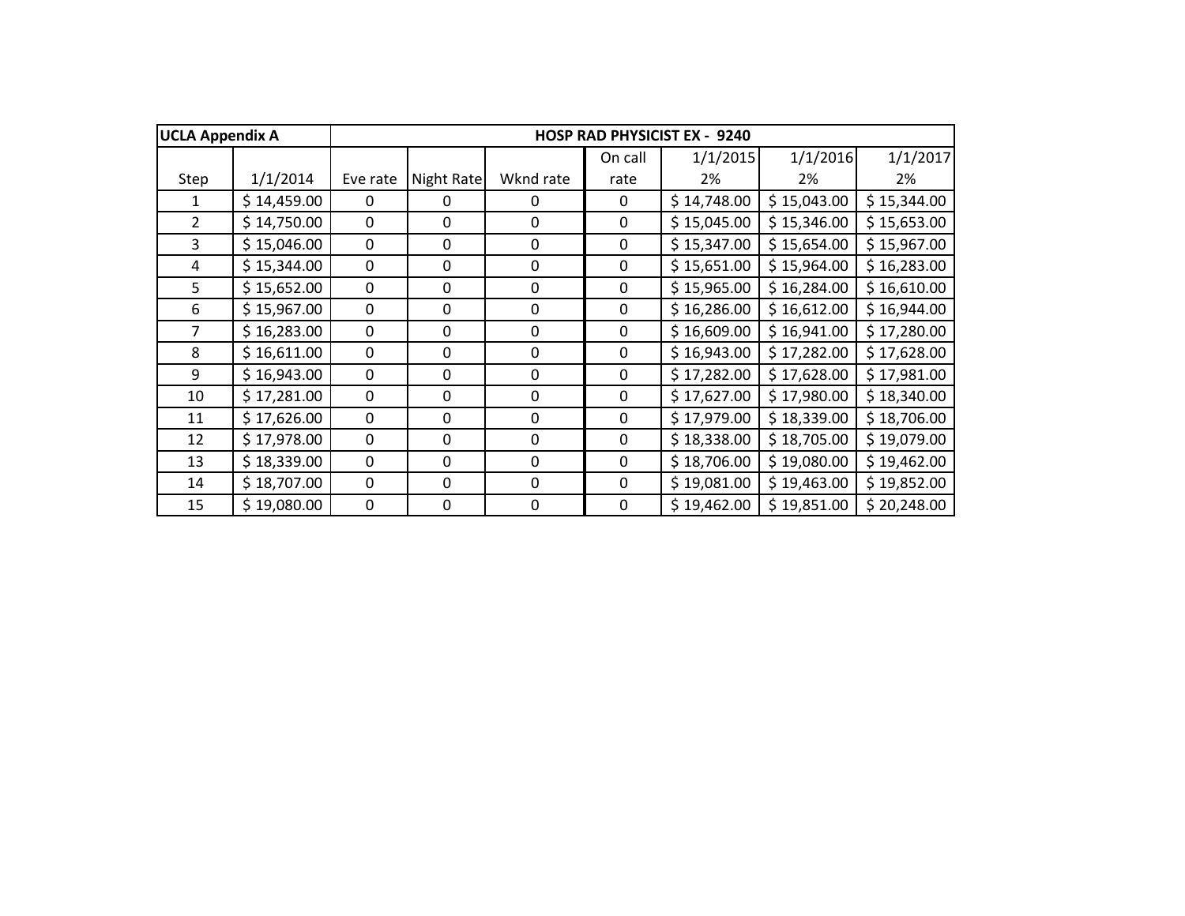| <b>UCLA Appendix A</b> |             |             |             |                  |              | <b>HOSP RAD PHYSICIST EX - 9240</b> |             |             |
|------------------------|-------------|-------------|-------------|------------------|--------------|-------------------------------------|-------------|-------------|
|                        |             |             |             |                  | On call      | 1/1/2015                            | 1/1/2016    | 1/1/2017    |
| Step                   | 1/1/2014    | Eve rate    | Night Rate  | Wknd rate        | rate         | 2%                                  | 2%          | 2%          |
| 1                      | \$14,459.00 | 0           | 0           | 0                | 0            | \$14,748.00                         | \$15,043.00 | \$15,344.00 |
| $\overline{2}$         | \$14,750.00 | $\mathbf 0$ | 0           | $\mathbf 0$      | $\mathbf 0$  | \$15,045.00                         | \$15,346.00 | \$15,653.00 |
| 3                      | \$15,046.00 | 0           | 0           | 0                | $\Omega$     | \$15,347.00                         | \$15,654.00 | \$15,967.00 |
| 4                      | \$15,344.00 | 0           | $\mathbf 0$ | $\boldsymbol{0}$ | 0            | \$15,651.00                         | \$15,964.00 | \$16,283.00 |
| 5                      | \$15,652.00 | 0           | $\mathbf 0$ | $\boldsymbol{0}$ | 0            | \$15,965.00                         | \$16,284.00 | \$16,610.00 |
| 6                      | \$15,967.00 | 0           | $\mathbf 0$ | $\boldsymbol{0}$ | 0            | \$16,286.00                         | \$16,612.00 | \$16,944.00 |
| $\overline{7}$         | \$16,283.00 | 0           | 0           | 0                | 0            | \$16,609.00                         | \$16,941.00 | \$17,280.00 |
| 8                      | \$16,611.00 | 0           | 0           | 0                | 0            | \$16,943.00                         | \$17,282.00 | \$17,628.00 |
| 9                      | \$16,943.00 | 0           | 0           | 0                | $\mathbf{0}$ | \$17,282.00                         | \$17,628.00 | \$17,981.00 |
| 10                     | \$17,281.00 | 0           | $\mathbf 0$ | $\mathbf 0$      | $\mathbf{0}$ | \$17,627.00                         | \$17,980.00 | \$18,340.00 |
| 11                     | \$17,626.00 | $\mathbf 0$ | $\mathbf 0$ | $\mathbf 0$      | $\mathbf 0$  | \$17,979.00                         | \$18,339.00 | \$18,706.00 |
| 12                     | \$17,978.00 | $\mathbf 0$ | $\mathbf 0$ | $\mathbf 0$      | $\mathbf 0$  | \$18,338.00                         | \$18,705.00 | \$19,079.00 |
| 13                     | \$18,339.00 | 0           | $\mathbf 0$ | 0                | $\mathbf{0}$ | \$18,706.00                         | \$19,080.00 | \$19,462.00 |
| 14                     | \$18,707.00 | 0           | $\mathbf 0$ | $\mathbf 0$      | $\mathbf 0$  | \$19,081.00                         | \$19,463.00 | \$19,852.00 |
| 15                     | \$19,080.00 | $\Omega$    | 0           | $\mathbf 0$      | 0            | \$19,462.00                         | \$19,851.00 | \$20,248.00 |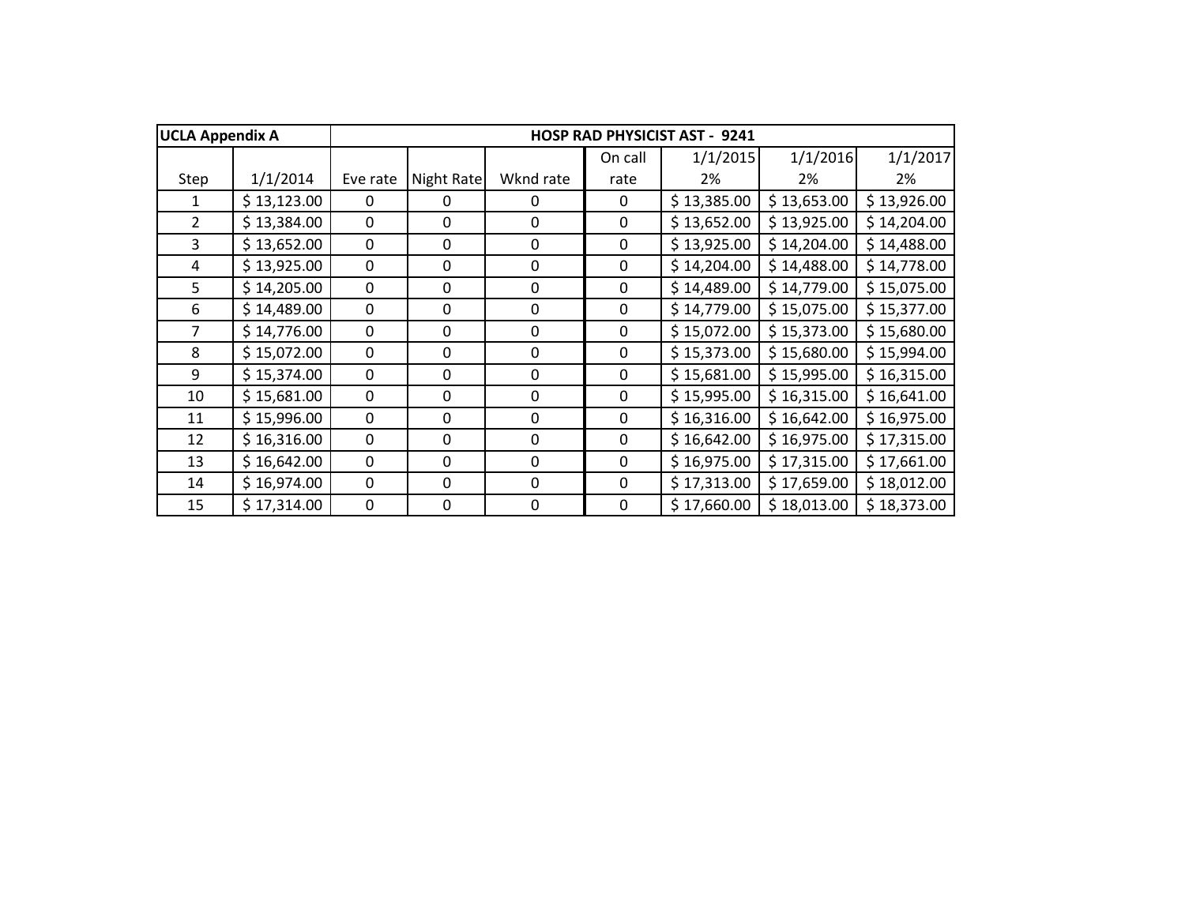| <b>UCLA Appendix A</b> |             |              |             |             |             | <b>HOSP RAD PHYSICIST AST - 9241</b> |             |             |
|------------------------|-------------|--------------|-------------|-------------|-------------|--------------------------------------|-------------|-------------|
|                        |             |              |             |             | On call     | 1/1/2015                             | 1/1/2016    | 1/1/2017    |
| Step                   | 1/1/2014    | Eve rate     | Night Rate  | Wknd rate   | rate        | 2%                                   | 2%          | 2%          |
| 1                      | \$13,123.00 | 0            | 0           | 0           | 0           | \$13,385.00                          | \$13,653.00 | \$13,926.00 |
| $\overline{2}$         | \$13,384.00 | 0            | 0           | $\mathbf 0$ | 0           | \$13,652.00                          | \$13,925.00 | \$14,204.00 |
| 3                      | \$13,652.00 | 0            | 0           | 0           | $\mathbf 0$ | \$13,925.00                          | \$14,204.00 | \$14,488.00 |
| 4                      | \$13,925.00 | 0            | 0           | $\mathbf 0$ | $\mathbf 0$ | \$14,204.00                          | \$14,488.00 | \$14,778.00 |
| 5                      | \$14,205.00 | 0            | 0           | $\mathbf 0$ | $\mathbf 0$ | \$14,489.00                          | \$14,779.00 | \$15,075.00 |
| 6                      | \$14,489.00 | 0            | 0           | $\mathbf 0$ | 0           | \$14,779.00                          | \$15,075.00 | \$15,377.00 |
| $\overline{7}$         | \$14,776.00 | 0            | 0           | 0           | 0           | \$15,072.00                          | \$15,373.00 | \$15,680.00 |
| 8                      | \$15,072.00 | 0            | 0           | 0           | 0           | \$15,373.00                          | \$15,680.00 | \$15,994.00 |
| 9                      | \$15,374.00 | 0            | 0           | 0           | 0           | \$15,681.00                          | \$15,995.00 | \$16,315.00 |
| 10                     | \$15,681.00 | $\Omega$     | 0           | $\Omega$    | $\mathbf 0$ | \$15,995.00                          | \$16,315.00 | \$16,641.00 |
| 11                     | \$15,996.00 | 0            | $\mathbf 0$ | $\mathbf 0$ | $\mathbf 0$ | \$16,316.00                          | \$16,642.00 | \$16,975.00 |
| 12                     | \$16,316.00 | $\mathbf 0$  | $\mathbf 0$ | $\mathbf 0$ | $\mathbf 0$ | \$16,642.00                          | \$16,975.00 | \$17,315.00 |
| 13                     | \$16,642.00 | 0            | 0           | 0           | $\mathbf 0$ | \$16,975.00                          | \$17,315.00 | \$17,661.00 |
| 14                     | \$16,974.00 | 0            | 0           | 0           | $\mathbf 0$ | \$17,313.00                          | \$17,659.00 | \$18,012.00 |
| 15                     | \$17,314.00 | $\mathbf{0}$ | 0           | 0           | $\mathbf 0$ | \$17,660.00                          | \$18,013.00 | \$18,373.00 |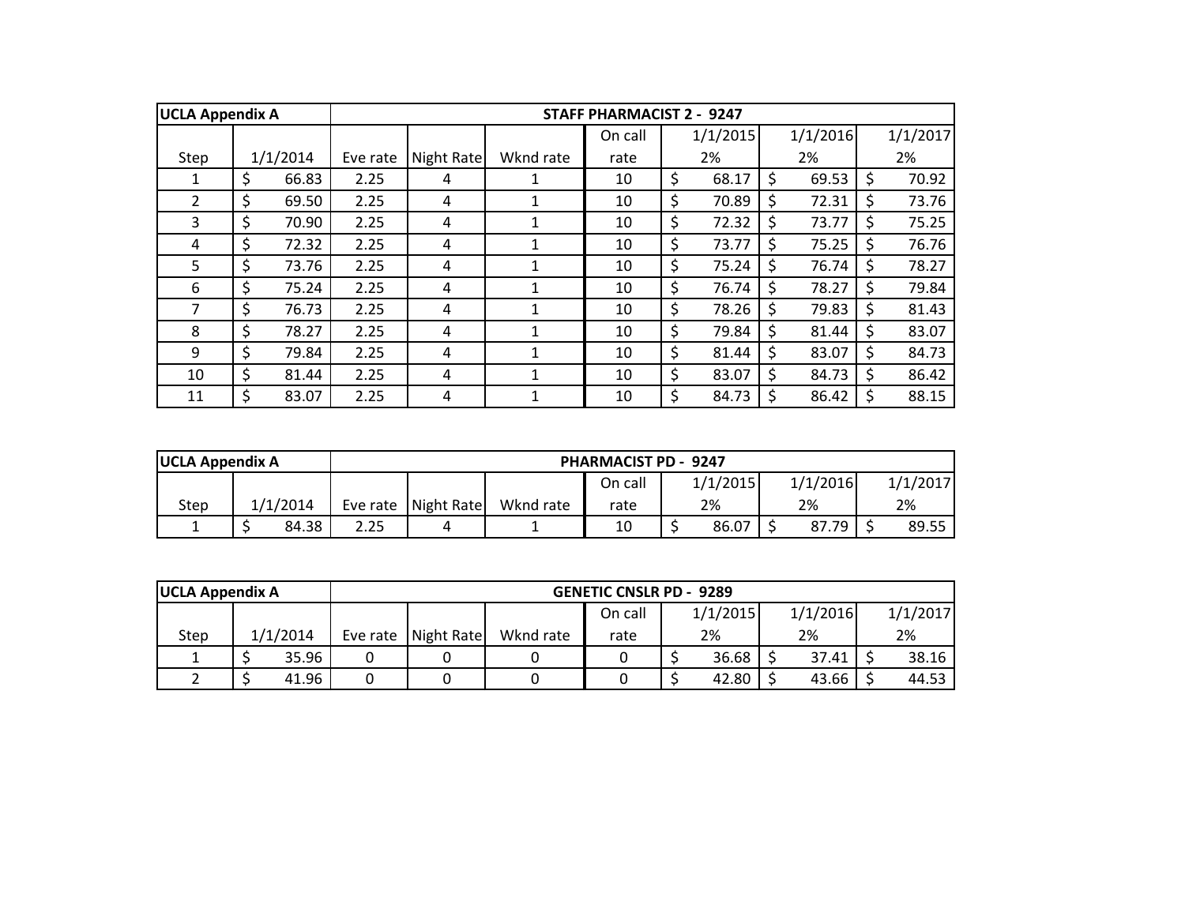| <b>UCLA Appendix A</b> |             |          |            |           | <b>STAFF PHARMACIST 2 - 9247</b> |             |    |          |              |          |
|------------------------|-------------|----------|------------|-----------|----------------------------------|-------------|----|----------|--------------|----------|
|                        |             |          |            |           | On call                          | 1/1/2015    |    | 1/1/2016 |              | 1/1/2017 |
| Step                   | 1/1/2014    | Eve rate | Night Rate | Wknd rate | rate                             | 2%          |    | 2%       |              | 2%       |
| 1                      | \$<br>66.83 | 2.25     | 4          |           | 10                               | \$<br>68.17 | \$ | 69.53    |              | 70.92    |
| $\overline{2}$         | \$<br>69.50 | 2.25     | 4          |           | 10                               | \$<br>70.89 | Ś  | 72.31    | S            | 73.76    |
| 3                      | \$<br>70.90 | 2.25     | 4          |           | 10                               | \$<br>72.32 | \$ | 73.77    |              | 75.25    |
| 4                      | \$<br>72.32 | 2.25     | 4          |           | 10                               | \$<br>73.77 | Ś. | 75.25    |              | 76.76    |
| 5                      | \$<br>73.76 | 2.25     | 4          |           | 10                               | \$<br>75.24 | Ś. | 76.74    | S.           | 78.27    |
| 6                      | \$<br>75.24 | 2.25     | 4          |           | 10                               | \$<br>76.74 | \$ | 78.27    |              | 79.84    |
| 7                      | \$<br>76.73 | 2.25     | 4          |           | 10                               | \$<br>78.26 | \$ | 79.83    |              | 81.43    |
| 8                      | \$<br>78.27 | 2.25     | 4          |           | 10                               | \$<br>79.84 | \$ | 81.44    | <sub>S</sub> | 83.07    |
| 9                      | \$<br>79.84 | 2.25     | 4          |           | 10                               | \$<br>81.44 | \$ | 83.07    | \$           | 84.73    |
| 10                     | \$<br>81.44 | 2.25     | 4          |           | 10                               | \$<br>83.07 | \$ | 84.73    | S.           | 86.42    |
| 11                     | \$<br>83.07 | 2.25     | 4          |           | 10                               | \$<br>84.73 | \$ | 86.42    |              | 88.15    |

| <b>UCLA Appendix A</b> |  |       | <b>PHARMACIST PD - 9247</b> |                     |           |         |  |          |  |          |  |          |
|------------------------|--|-------|-----------------------------|---------------------|-----------|---------|--|----------|--|----------|--|----------|
|                        |  |       |                             |                     |           | On call |  | 1/1/2015 |  | 1/1/2016 |  | 1/1/2017 |
| 1/1/2014<br>Step       |  |       |                             | Eve rate Night Rate | Wknd rate | rate    |  | 2%       |  | 2%       |  | 2%       |
|                        |  | 84.38 | 2.25                        |                     |           | 10      |  | 86.07    |  | 87.79    |  | 89.55    |

| <b>UCLA Appendix A</b> |          |       |                     |           | <b>GENETIC CNSLR PD - 9289</b> |          |          |          |
|------------------------|----------|-------|---------------------|-----------|--------------------------------|----------|----------|----------|
|                        |          |       |                     |           | On call                        | 1/1/2015 | 1/1/2016 | 1/1/2017 |
| Step                   | 1/1/2014 |       | Eve rate Night Rate | Wknd rate | rate                           | 2%       | 2%       | 2%       |
|                        |          | 35.96 |                     |           |                                | 36.68    | 37.41    | 38.16    |
|                        |          | 41.96 |                     |           |                                | 42.80    | 43.66    | 44.53    |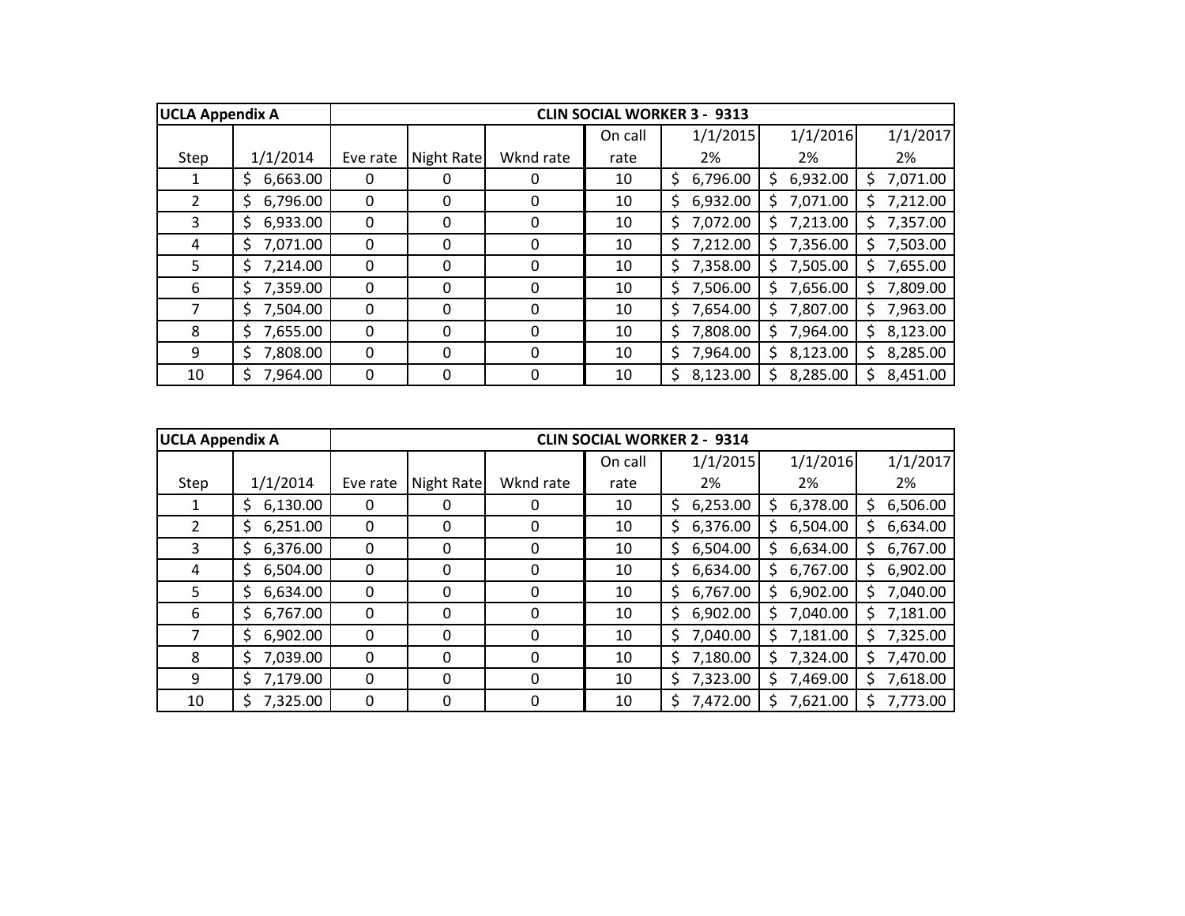| <b>UCLA Appendix A</b> |                 |              |            |           |         | <b>CLIN SOCIAL WORKER 3 - 9313</b> |                |                |
|------------------------|-----------------|--------------|------------|-----------|---------|------------------------------------|----------------|----------------|
|                        |                 |              |            |           | On call | 1/1/2015                           | 1/1/2016       | 1/1/2017       |
| Step                   | 1/1/2014        | Eve rate     | Night Rate | Wknd rate | rate    | 2%                                 | 2%             | 2%             |
|                        | 6,663.00<br>\$  | $\mathbf{0}$ | 0          | 0         | 10      | 6,796.00<br>\$                     | 6,932.00<br>S. | 7,071.00<br>S. |
| $\overline{2}$         | 6,796.00<br>S.  | $\Omega$     | 0          | 0         | 10      | 6,932.00<br>\$                     | 7,071.00       | 7,212.00<br>S. |
| 3                      | 6,933.00<br>\$  | 0            | 0          | 0         | 10      | 7,072.00<br>\$                     | 7,213.00       | 7,357.00<br>S. |
| 4                      | 7,071.00<br>\$  | 0            | 0          | 0         | 10      | 7,212.00<br>\$                     | 7,356.00<br>Ś. | 7,503.00<br>S. |
| 5                      | 7,214.00<br>S   | 0            | 0          | 0         | 10      | 7,358.00<br>\$                     | 7,505.00       | 7,655.00<br>Ś. |
| 6                      | 7,359.00<br>\$  | 0            | 0          | 0         | 10      | 7,506.00<br>\$                     | 7,656.00<br>S  | 7,809.00<br>Ś. |
| 7                      | 7,504.00<br>Ś   | $\mathbf{0}$ | 0          | 0         | 10      | 7,654.00<br>\$                     | 7,807.00       | 7,963.00<br>S. |
| 8                      | 7,655.00<br>\$. | $\mathbf{0}$ | 0          | 0         | 10      | 7,808.00<br>S                      | 7,964.00       | 8,123.00<br>S. |
| 9                      | 7,808.00<br>Ś   | $\Omega$     | 0          | 0         | 10      | 7,964.00<br>\$                     | 8,123.00       | 8,285.00<br>Ś. |
| 10                     | 7,964.00<br>\$  | $\Omega$     | 0          | 0         | 10      | 8,123.00<br>Ś                      | 8,285.00       | 8,451.00<br>Ś. |

| <b>UCLA Appendix A</b> |                 |          |            |           |         | <b>CLIN SOCIAL WORKER 2 - 9314</b> |          |                |
|------------------------|-----------------|----------|------------|-----------|---------|------------------------------------|----------|----------------|
|                        |                 |          |            |           | On call | 1/1/2015                           | 1/1/2016 | 1/1/2017       |
| Step                   | 1/1/2014        | Eve rate | Night Rate | Wknd rate | rate    | 2%                                 | 2%       | 2%             |
|                        | 6,130.00<br>S   | 0        | 0          | 0         | 10      | 6,253.00<br>\$                     | 6,378.00 | 6,506.00       |
| 2                      | 6,251.00<br>\$. | 0        | 0          | 0         | 10      | 6,376.00<br>\$                     | 6,504.00 | 6,634.00<br>S  |
| 3                      | 6,376.00<br>\$  | 0        | 0          | 0         | 10      | 6,504.00<br>\$                     | 6,634.00 | 6,767.00<br>S. |
| 4                      | 6,504.00<br>\$  | 0        | 0          | 0         | 10      | 6,634.00<br>\$                     | 6,767.00 | 6,902.00<br>S  |
| 5                      | 6,634.00<br>S.  | 0        | 0          | 0         | 10      | 6,767.00<br>\$.                    | 6,902.00 | 7,040.00       |
| 6                      | 6,767.00<br>S.  | 0        | 0          | 0         | 10      | 6,902.00<br>\$                     | 7,040.00 | 7,181.00<br>S. |
| 7                      | 6,902.00<br>Ś   | $\Omega$ | 0          | $\Omega$  | 10      | 7,040.00<br>\$.                    | 7,181.00 | 7,325.00<br>S. |
| 8                      | 7,039.00<br>S   | $\Omega$ | 0          | 0         | 10      | 7,180.00<br>Ś                      | 7,324.00 | 7,470.00       |
| 9                      | 7,179.00<br>S.  | $\Omega$ | 0          | 0         | 10      | 7,323.00<br>\$                     | 7,469.00 | 7,618.00       |
| 10                     | 7,325.00<br>\$  | 0        | 0          | 0         | 10      | 7,472.00<br>Ś                      | 7,621.00 | 7,773.00       |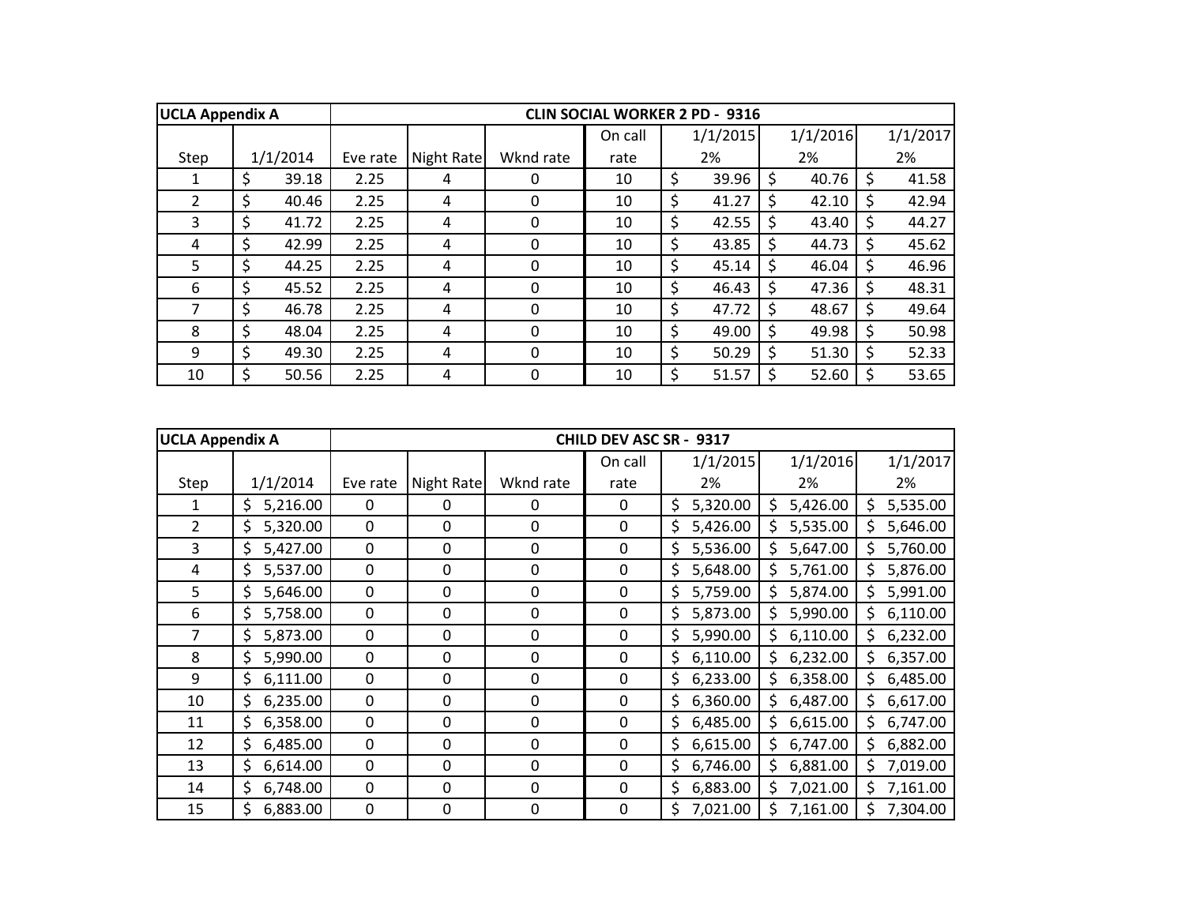| <b>UCLA Appendix A</b> |             |          |            |           | <b>CLIN SOCIAL WORKER 2 PD - 9316</b> |             |              |          |    |          |
|------------------------|-------------|----------|------------|-----------|---------------------------------------|-------------|--------------|----------|----|----------|
|                        |             |          |            |           | On call                               | 1/1/2015    |              | 1/1/2016 |    | 1/1/2017 |
| Step                   | 1/1/2014    | Eve rate | Night Rate | Wknd rate | rate                                  | 2%          |              | 2%       |    | 2%       |
|                        | \$<br>39.18 | 2.25     | 4          | 0         | 10                                    | \$<br>39.96 | Ś            | 40.76    | Ś  | 41.58    |
| $\overline{2}$         | \$<br>40.46 | 2.25     | 4          | 0         | 10                                    | \$<br>41.27 | <sup>S</sup> | 42.10    |    | 42.94    |
| 3                      | \$<br>41.72 | 2.25     | 4          | 0         | 10                                    | \$<br>42.55 | S            | 43.40    | S  | 44.27    |
| 4                      | \$<br>42.99 | 2.25     | 4          | 0         | 10                                    | \$<br>43.85 | S            | 44.73    | Ś. | 45.62    |
| 5                      | \$<br>44.25 | 2.25     | 4          | 0         | 10                                    | \$<br>45.14 | S            | 46.04    |    | 46.96    |
| 6                      | \$<br>45.52 | 2.25     | 4          | 0         | 10                                    | \$<br>46.43 |              | 47.36    |    | 48.31    |
| 7                      | \$<br>46.78 | 2.25     | 4          | $\Omega$  | 10                                    | \$<br>47.72 |              | 48.67    |    | 49.64    |
| 8                      | \$<br>48.04 | 2.25     | 4          | $\Omega$  | 10                                    | \$<br>49.00 | S            | 49.98    |    | 50.98    |
| 9                      | \$<br>49.30 | 2.25     | 4          | 0         | 10                                    | \$<br>50.29 | <sup>S</sup> | 51.30    |    | 52.33    |
| 10                     | \$<br>50.56 | 2.25     | 4          | 0         | 10                                    | \$<br>51.57 |              | 52.60    |    | 53.65    |

| <b>UCLA Appendix A</b> |                 |             |             |             | CHILD DEV ASC SR - 9317 |                 |                 |                 |
|------------------------|-----------------|-------------|-------------|-------------|-------------------------|-----------------|-----------------|-----------------|
|                        |                 |             |             |             | On call                 | 1/1/2015        | 1/1/2016        | 1/1/2017        |
| Step                   | 1/1/2014        | Eve rate    | Night Rate  | Wknd rate   | rate                    | 2%              | 2%              | 2%              |
| 1                      | 5,216.00<br>\$. | $\mathbf 0$ | 0           | 0           | 0                       | 5,320.00<br>\$. | 5,426.00<br>\$. | 5,535.00<br>\$. |
| $\overline{2}$         | 5,320.00<br>\$. | $\mathbf 0$ | 0           | 0           | $\mathbf 0$             | \$.<br>5,426.00 | 5,535.00<br>S   | 5,646.00<br>\$. |
| 3                      | 5,427.00<br>\$. | $\mathbf 0$ | $\mathbf 0$ | 0           | $\mathbf 0$             | 5,536.00<br>\$. | 5,647.00<br>S   | 5,760.00<br>\$  |
| 4                      | 5,537.00<br>\$. | $\mathbf 0$ | $\mathbf 0$ | 0           | $\mathbf 0$             | 5,648.00<br>\$  | 5,761.00<br>S   | 5,876.00<br>\$. |
| 5                      | 5,646.00<br>\$. | $\mathbf 0$ | 0           | 0           | $\mathbf 0$             | \$<br>5,759.00  | 5,874.00<br>S   | 5,991.00<br>\$  |
| 6                      | 5,758.00<br>\$  | $\mathbf 0$ | $\mathbf 0$ | 0           | $\mathbf 0$             | 5,873.00<br>\$  | 5,990.00<br>S   | 6,110.00<br>\$  |
| 7                      | 5,873.00<br>\$  | $\mathbf 0$ | 0           | 0           | 0                       | \$.<br>5,990.00 | 6,110.00<br>Ŝ.  | 6,232.00<br>\$. |
| 8                      | \$<br>5,990.00  | $\pmb{0}$   | 0           | $\mathbf 0$ | $\mathbf 0$             | \$<br>6,110.00  | 6,232.00<br>\$  | 6,357.00<br>\$  |
| 9                      | \$<br>6,111.00  | $\mathbf 0$ | 0           | 0           | $\mathbf 0$             | 6,233.00<br>\$. | 6,358.00<br>Ś   | 6,485.00<br>\$  |
| 10                     | \$.<br>6,235.00 | $\mathbf 0$ | 0           | 0           | $\mathbf 0$             | \$.<br>6,360.00 | 6,487.00<br>\$  | 6,617.00<br>\$. |
| 11                     | \$<br>6,358.00  | $\mathbf 0$ | 0           | 0           | $\mathbf 0$             | \$.<br>6,485.00 | 6,615.00<br>Ś   | 6,747.00<br>\$. |
| 12                     | \$<br>6,485.00  | $\mathbf 0$ | 0           | $\mathbf 0$ | $\mathbf 0$             | \$<br>6,615.00  | 6,747.00<br>S   | 6,882.00<br>\$  |
| 13                     | \$.<br>6,614.00 | $\mathbf 0$ | 0           | 0           | 0                       | \$.<br>6,746.00 | Ś<br>6,881.00   | 7,019.00<br>\$. |
| 14                     | \$<br>6,748.00  | $\mathbf 0$ | 0           | 0           | $\mathbf 0$             | Ś.<br>6,883.00  | 7,021.00<br>S   | 7,161.00<br>\$. |
| 15                     | \$<br>6,883.00  | $\mathbf 0$ | 0           | 0           | $\mathbf 0$             | \$<br>7,021.00  | \$<br>7,161.00  | \$<br>7,304.00  |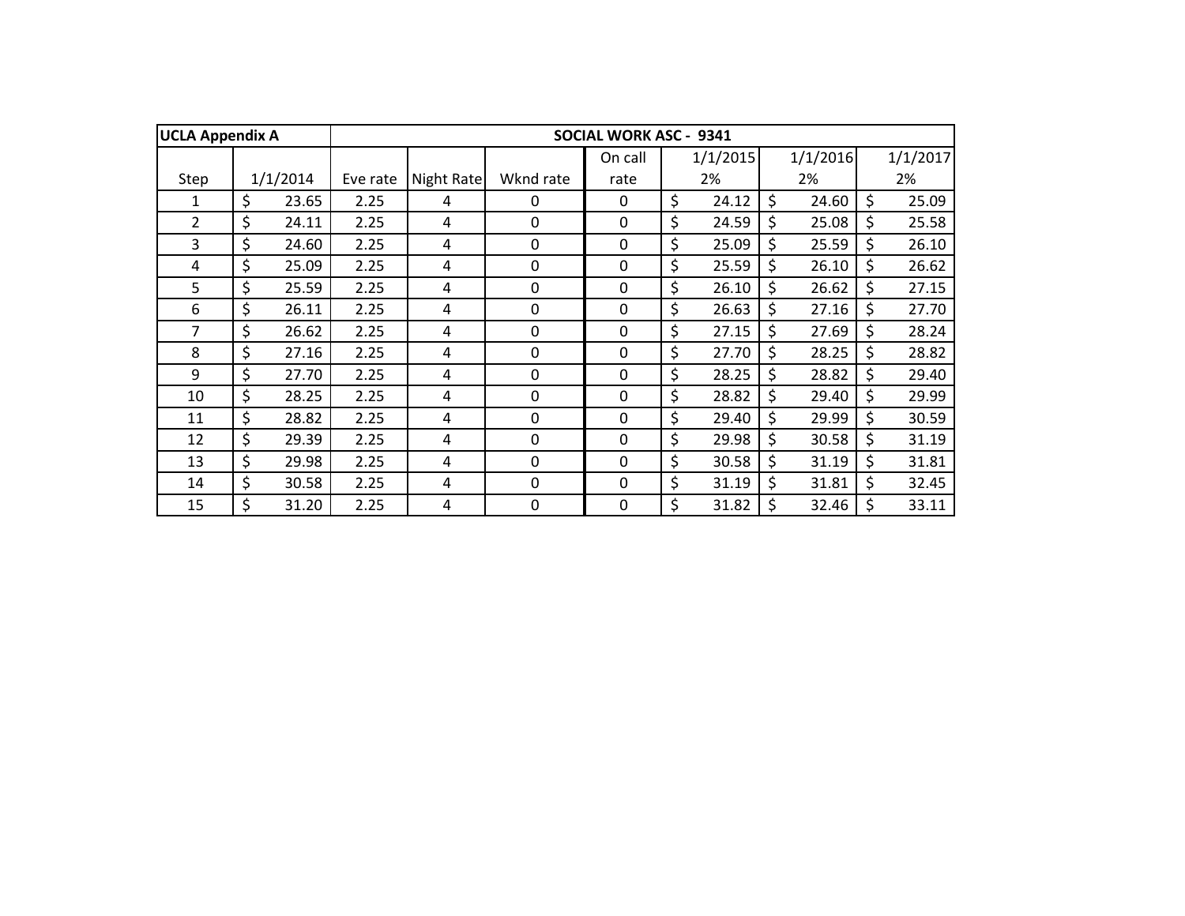| <b>UCLA Appendix A</b> |             |          |            |             | <b>SOCIAL WORK ASC - 9341</b> |             |         |          |         |          |
|------------------------|-------------|----------|------------|-------------|-------------------------------|-------------|---------|----------|---------|----------|
|                        |             |          |            |             | On call                       | 1/1/2015    |         | 1/1/2016 |         | 1/1/2017 |
| Step                   | 1/1/2014    | Eve rate | Night Rate | Wknd rate   | rate                          | 2%          |         | 2%       |         | 2%       |
| 1                      | \$<br>23.65 | 2.25     | 4          | $\Omega$    | 0                             | \$<br>24.12 | Ś.      | 24.60    | $\zeta$ | 25.09    |
| $\overline{2}$         | \$<br>24.11 | 2.25     | 4          | 0           | 0                             | \$<br>24.59 | \$      | 25.08    | \$      | 25.58    |
| 3                      | \$<br>24.60 | 2.25     | 4          | 0           | 0                             | \$<br>25.09 | \$      | 25.59    | \$      | 26.10    |
| 4                      | \$<br>25.09 | 2.25     | 4          | 0           | $\mathbf 0$                   | \$<br>25.59 | \$      | 26.10    | \$      | 26.62    |
| 5                      | \$<br>25.59 | 2.25     | 4          | $\mathbf 0$ | 0                             | \$<br>26.10 | \$      | 26.62    | \$      | 27.15    |
| 6                      | \$<br>26.11 | 2.25     | 4          | 0           | $\mathbf 0$                   | \$<br>26.63 | \$      | 27.16    | \$      | 27.70    |
| 7                      | \$<br>26.62 | 2.25     | 4          | 0           | 0                             | \$<br>27.15 | \$      | 27.69    | \$      | 28.24    |
| 8                      | \$<br>27.16 | 2.25     | 4          | 0           | $\mathbf 0$                   | \$<br>27.70 | \$      | 28.25    | \$      | 28.82    |
| 9                      | \$<br>27.70 | 2.25     | 4          | $\Omega$    | $\mathbf 0$                   | \$<br>28.25 | \$      | 28.82    | \$      | 29.40    |
| 10                     | \$<br>28.25 | 2.25     | 4          | $\mathbf 0$ | $\mathbf 0$                   | \$<br>28.82 | \$      | 29.40    | \$      | 29.99    |
| 11                     | \$<br>28.82 | 2.25     | 4          | $\mathbf 0$ | $\mathbf 0$                   | \$<br>29.40 | \$      | 29.99    | \$      | 30.59    |
| 12                     | \$<br>29.39 | 2.25     | 4          | $\mathbf 0$ | $\mathbf 0$                   | \$<br>29.98 | $\zeta$ | 30.58    | \$      | 31.19    |
| 13                     | \$<br>29.98 | 2.25     | 4          | $\Omega$    | $\Omega$                      | \$<br>30.58 | \$      | 31.19    | \$      | 31.81    |
| 14                     | \$<br>30.58 | 2.25     | 4          | $\mathbf 0$ | 0                             | \$<br>31.19 | \$      | 31.81    | \$      | 32.45    |
| 15                     | \$<br>31.20 | 2.25     | 4          | 0           | 0                             | \$<br>31.82 | \$      | 32.46    | \$      | 33.11    |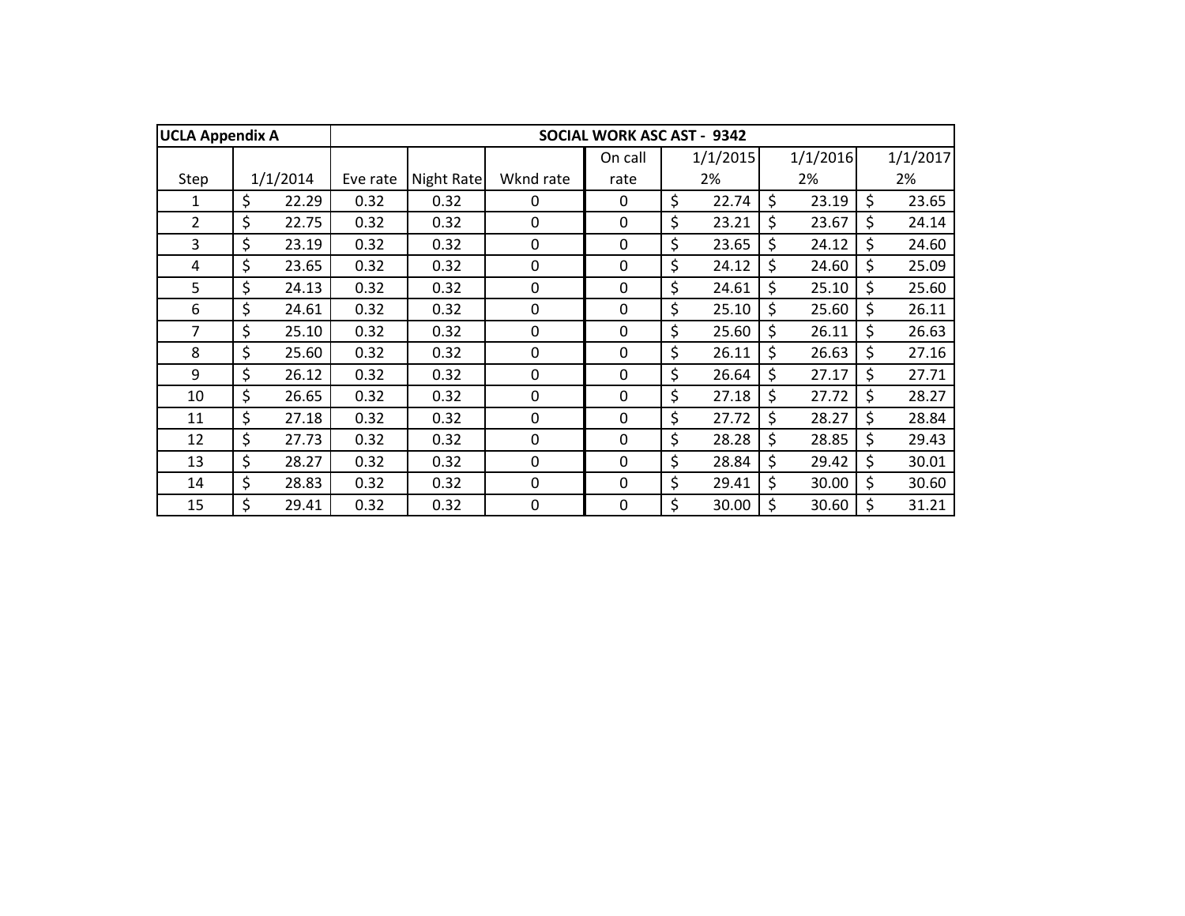| <b>UCLA Appendix A</b> |             |          |            |             | <b>SOCIAL WORK ASC AST - 9342</b> |             |             |         |          |
|------------------------|-------------|----------|------------|-------------|-----------------------------------|-------------|-------------|---------|----------|
|                        |             |          |            |             | On call                           | 1/1/2015    | 1/1/2016    |         | 1/1/2017 |
| Step                   | 1/1/2014    | Eve rate | Night Rate | Wknd rate   | rate                              | 2%          | 2%          |         | 2%       |
| 1                      | \$<br>22.29 | 0.32     | 0.32       | $\Omega$    | 0                                 | \$<br>22.74 | \$<br>23.19 | \$      | 23.65    |
| $\overline{2}$         | \$<br>22.75 | 0.32     | 0.32       | $\Omega$    | $\mathbf 0$                       | \$<br>23.21 | \$<br>23.67 | \$      | 24.14    |
| $\overline{3}$         | \$<br>23.19 | 0.32     | 0.32       | 0           | 0                                 | \$<br>23.65 | \$<br>24.12 | $\zeta$ | 24.60    |
| 4                      | \$<br>23.65 | 0.32     | 0.32       | 0           | 0                                 | \$<br>24.12 | \$<br>24.60 | \$      | 25.09    |
| 5                      | \$<br>24.13 | 0.32     | 0.32       | 0           | 0                                 | \$<br>24.61 | \$<br>25.10 | \$      | 25.60    |
| 6                      | \$<br>24.61 | 0.32     | 0.32       | 0           | 0                                 | \$<br>25.10 | \$<br>25.60 | $\zeta$ | 26.11    |
| 7                      | \$<br>25.10 | 0.32     | 0.32       | 0           | 0                                 | \$<br>25.60 | \$<br>26.11 | \$      | 26.63    |
| 8                      | \$<br>25.60 | 0.32     | 0.32       | 0           | $\mathbf 0$                       | \$<br>26.11 | \$<br>26.63 | \$      | 27.16    |
| 9                      | \$<br>26.12 | 0.32     | 0.32       | 0           | 0                                 | \$<br>26.64 | \$<br>27.17 | \$      | 27.71    |
| 10                     | \$<br>26.65 | 0.32     | 0.32       | $\Omega$    | $\mathbf 0$                       | \$<br>27.18 | \$<br>27.72 | \$      | 28.27    |
| 11                     | \$<br>27.18 | 0.32     | 0.32       | $\Omega$    | $\mathbf 0$                       | \$<br>27.72 | \$<br>28.27 | \$      | 28.84    |
| 12                     | \$<br>27.73 | 0.32     | 0.32       | $\mathbf 0$ | $\mathbf 0$                       | \$<br>28.28 | \$<br>28.85 | \$      | 29.43    |
| 13                     | \$<br>28.27 | 0.32     | 0.32       | $\mathbf 0$ | $\mathbf 0$                       | \$<br>28.84 | \$<br>29.42 | \$      | 30.01    |
| 14                     | \$<br>28.83 | 0.32     | 0.32       | 0           | $\Omega$                          | \$<br>29.41 | \$<br>30.00 | \$      | 30.60    |
| 15                     | \$<br>29.41 | 0.32     | 0.32       | 0           | 0                                 | \$<br>30.00 | \$<br>30.60 | \$      | 31.21    |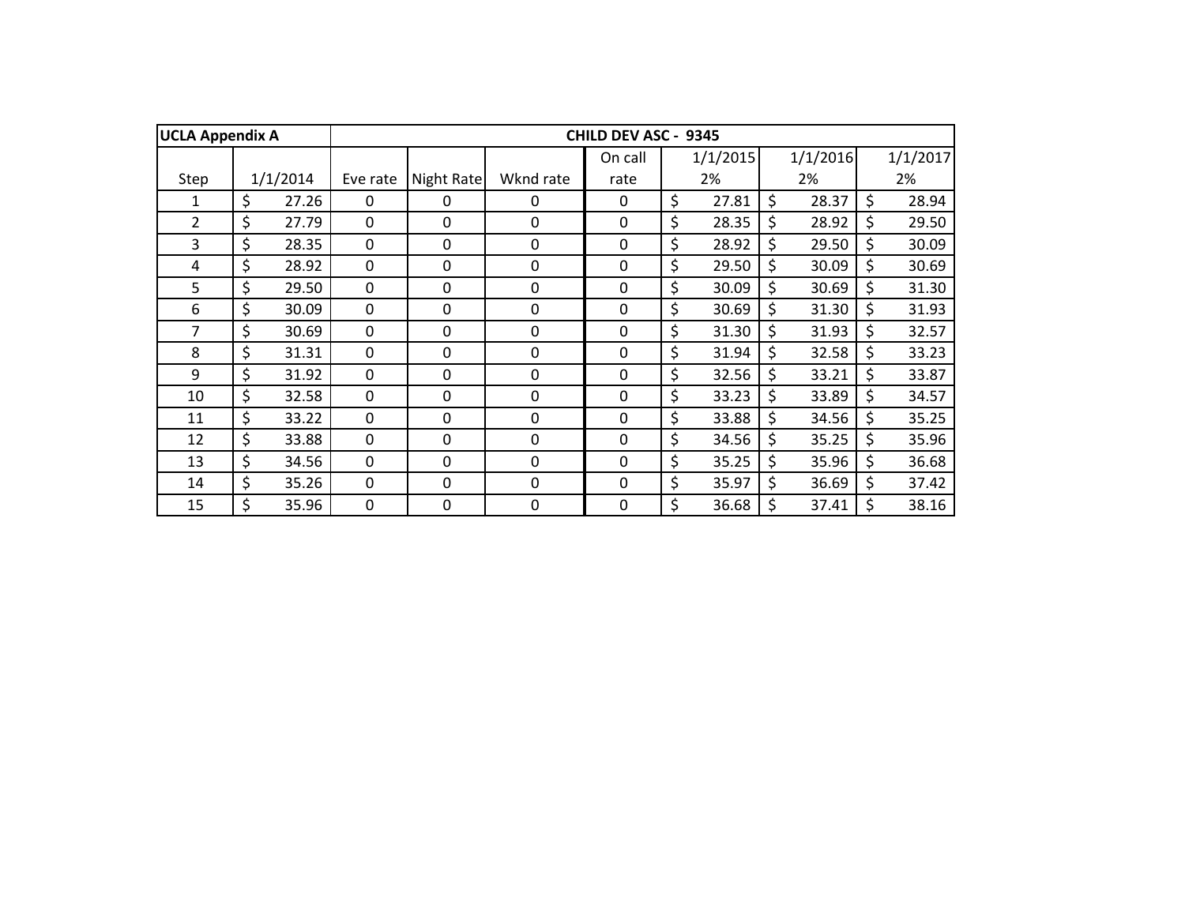| <b>UCLA Appendix A</b> |             |             |             |             | CHILD DEV ASC - 9345 |             |             |             |
|------------------------|-------------|-------------|-------------|-------------|----------------------|-------------|-------------|-------------|
|                        |             |             |             |             | On call              | 1/1/2015    | 1/1/2016    | 1/1/2017    |
| Step                   | 1/1/2014    | Eve rate    | Night Rate  | Wknd rate   | rate                 | 2%          | 2%          | 2%          |
| 1                      | \$<br>27.26 | 0           | $\mathbf 0$ | 0           | $\mathbf 0$          | \$<br>27.81 | \$<br>28.37 | \$<br>28.94 |
| $\overline{2}$         | \$<br>27.79 | 0           | $\Omega$    | 0           | 0                    | \$<br>28.35 | \$<br>28.92 | \$<br>29.50 |
| $\overline{3}$         | \$<br>28.35 | $\mathbf 0$ | 0           | 0           | $\mathbf 0$          | \$<br>28.92 | \$<br>29.50 | \$<br>30.09 |
| 4                      | \$<br>28.92 | $\mathbf 0$ | 0           | $\mathbf 0$ | $\mathbf 0$          | \$<br>29.50 | \$<br>30.09 | \$<br>30.69 |
| 5                      | \$<br>29.50 | $\mathbf 0$ | 0           | 0           | $\mathbf 0$          | \$<br>30.09 | \$<br>30.69 | \$<br>31.30 |
| 6                      | \$<br>30.09 | 0           | 0           | 0           | 0                    | \$<br>30.69 | \$<br>31.30 | \$<br>31.93 |
| 7                      | \$<br>30.69 | 0           | 0           | 0           | $\mathbf 0$          | \$<br>31.30 | \$<br>31.93 | \$<br>32.57 |
| 8                      | \$<br>31.31 | $\mathbf 0$ | 0           | 0           | $\mathbf 0$          | \$<br>31.94 | \$<br>32.58 | \$<br>33.23 |
| 9                      | \$<br>31.92 | $\mathbf 0$ | $\Omega$    | $\Omega$    | $\Omega$             | \$<br>32.56 | \$<br>33.21 | \$<br>33.87 |
| 10                     | \$<br>32.58 | $\mathbf 0$ | $\mathbf 0$ | $\Omega$    | $\mathbf 0$          | \$<br>33.23 | \$<br>33.89 | \$<br>34.57 |
| 11                     | \$<br>33.22 | $\mathbf 0$ | $\mathbf 0$ | $\Omega$    | $\mathbf 0$          | \$<br>33.88 | \$<br>34.56 | \$<br>35.25 |
| 12                     | \$<br>33.88 | $\mathbf 0$ | 0           | $\mathbf 0$ | $\mathbf 0$          | \$<br>34.56 | \$<br>35.25 | \$<br>35.96 |
| 13                     | \$<br>34.56 | $\mathbf 0$ | $\mathbf 0$ | $\Omega$    | $\mathbf 0$          | \$<br>35.25 | \$<br>35.96 | \$<br>36.68 |
| 14                     | \$<br>35.26 | 0           | 0           | 0           | $\Omega$             | \$<br>35.97 | \$<br>36.69 | \$<br>37.42 |
| 15                     | \$<br>35.96 | 0           | 0           | 0           | 0                    | \$<br>36.68 | \$<br>37.41 | \$<br>38.16 |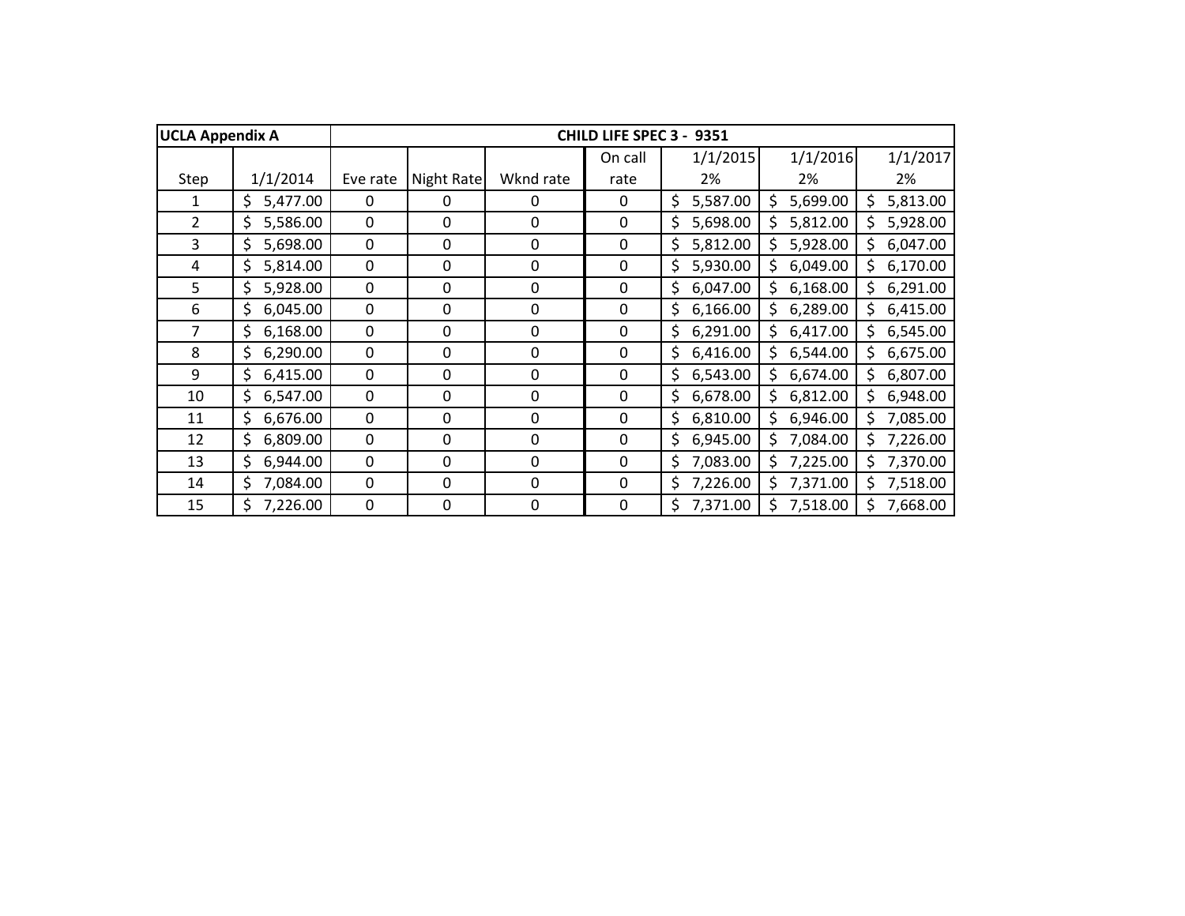| <b>UCLA Appendix A</b> |                |          |             |             | <b>CHILD LIFE SPEC 3 -</b> | 9351           |                |                 |
|------------------------|----------------|----------|-------------|-------------|----------------------------|----------------|----------------|-----------------|
|                        |                |          |             |             | On call                    | 1/1/2015       | 1/1/2016       | 1/1/2017        |
| Step                   | 1/1/2014       | Eve rate | Night Rate  | Wknd rate   | rate                       | 2%             | 2%             | 2%              |
| 1                      | \$<br>5,477.00 | $\Omega$ | 0           | 0           | 0                          | \$<br>5,587.00 | 5,699.00<br>\$ | 5,813.00<br>\$  |
| $\overline{2}$         | \$<br>5,586.00 | 0        | 0           | 0           | 0                          | \$<br>5,698.00 | 5,812.00       | Ś.<br>5,928.00  |
| 3                      | \$<br>5,698.00 | 0        | 0           | 0           | 0                          | \$<br>5,812.00 | 5,928.00       | \$.<br>6,047.00 |
| 4                      | \$<br>5,814.00 | 0        | 0           | 0           | 0                          | \$<br>5,930.00 | \$<br>6,049.00 | 6,170.00<br>\$. |
| 5                      | \$<br>5,928.00 | 0        | 0           | 0           | 0                          | \$<br>6,047.00 | 6,168.00<br>\$ | \$<br>6,291.00  |
| 6                      | \$<br>6,045.00 | 0        | 0           | $\mathbf 0$ | 0                          | \$<br>6,166.00 | \$<br>6,289.00 | 6,415.00<br>\$  |
| 7                      | \$<br>6,168.00 | 0        | 0           | 0           | 0                          | \$<br>6,291.00 | \$<br>6,417.00 | \$<br>6,545.00  |
| 8                      | \$<br>6,290.00 | 0        | 0           | 0           | 0                          | \$<br>6,416.00 | 6,544.00<br>Ś  | 6,675.00<br>Ś.  |
| 9                      | \$<br>6,415.00 | 0        | 0           | 0           | 0                          | 6,543.00<br>\$ | 6,674.00<br>\$ | 6,807.00<br>Ś.  |
| 10                     | 6,547.00<br>\$ | $\Omega$ | $\mathbf 0$ | $\mathbf 0$ | $\mathbf{0}$               | 6,678.00<br>\$ | 6,812.00       | 6,948.00<br>Ś.  |
| 11                     | \$<br>6,676.00 | 0        | 0           | $\mathbf 0$ | $\mathbf 0$                | \$<br>6,810.00 | 6,946.00<br>\$ | 7,085.00<br>Ś.  |
| 12                     | \$<br>6,809.00 | 0        | 0           | $\mathbf 0$ | $\mathbf 0$                | \$<br>6,945.00 | 7,084.00<br>\$ | 7,226.00<br>Ś.  |
| 13                     | \$<br>6,944.00 | 0        | 0           | 0           | $\mathbf{0}$               | \$<br>7,083.00 | 7,225.00<br>\$ | 7,370.00<br>\$. |
| 14                     | \$<br>7,084.00 | 0        | 0           | $\mathbf 0$ | $\mathbf{0}$               | \$<br>7,226.00 | \$<br>7,371.00 | 7,518.00<br>\$. |
| 15                     | Ś.<br>7,226.00 | 0        | 0           | 0           | 0                          | Ś.<br>7,371.00 | \$<br>7,518.00 | \$.<br>7,668.00 |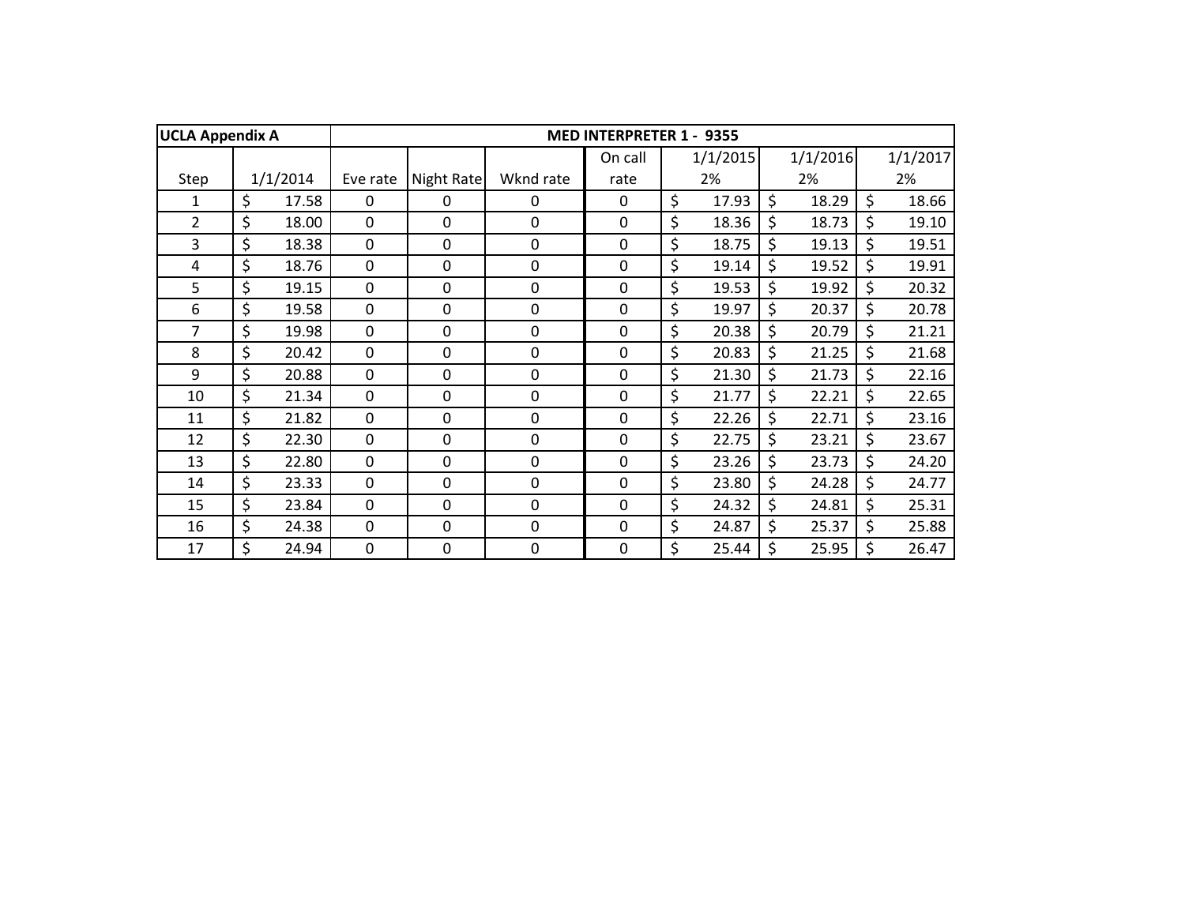| <b>UCLA Appendix A</b> |             |                |             |             | <b>MED INTERPRETER 1 -</b> | 9355        |             |         |          |
|------------------------|-------------|----------------|-------------|-------------|----------------------------|-------------|-------------|---------|----------|
|                        |             |                |             |             | On call                    | 1/1/2015    | 1/1/2016    |         | 1/1/2017 |
| Step                   | 1/1/2014    | Eve rate       | Night Rate  | Wknd rate   | rate                       | 2%          | 2%          |         | 2%       |
| 1                      | \$<br>17.58 | 0              | 0           | 0           | 0                          | \$<br>17.93 | \$<br>18.29 | \$      | 18.66    |
| $\overline{2}$         | \$<br>18.00 | $\mathbf 0$    | 0           | $\Omega$    | 0                          | \$<br>18.36 | \$<br>18.73 | $\zeta$ | 19.10    |
| 3                      | \$<br>18.38 | $\mathbf 0$    | 0           | $\mathbf 0$ | $\mathbf 0$                | \$<br>18.75 | \$<br>19.13 | \$      | 19.51    |
| 4                      | \$<br>18.76 | $\mathbf 0$    | $\mathbf 0$ | 0           | $\mathbf 0$                | \$<br>19.14 | \$<br>19.52 | \$      | 19.91    |
| 5                      | \$<br>19.15 | $\mathbf 0$    | 0           | $\Omega$    | 0                          | \$<br>19.53 | \$<br>19.92 | \$      | 20.32    |
| 6                      | \$<br>19.58 | $\mathbf 0$    | $\mathbf 0$ | $\mathbf 0$ | $\mathbf 0$                | \$<br>19.97 | \$<br>20.37 | $\zeta$ | 20.78    |
| 7                      | \$<br>19.98 | $\mathbf 0$    | 0           | 0           | $\mathbf 0$                | \$<br>20.38 | \$<br>20.79 | \$      | 21.21    |
| 8                      | \$<br>20.42 | $\mathbf 0$    | 0           | $\Omega$    | 0                          | \$<br>20.83 | \$<br>21.25 | \$      | 21.68    |
| 9                      | \$<br>20.88 | $\mathbf 0$    | $\mathbf 0$ | 0           | $\mathbf 0$                | \$<br>21.30 | \$<br>21.73 | \$      | 22.16    |
| 10                     | \$<br>21.34 | $\overline{0}$ | 0           | 0           | 0                          | \$<br>21.77 | \$<br>22.21 | \$      | 22.65    |
| 11                     | \$<br>21.82 | $\mathbf 0$    | 0           | 0           | 0                          | \$<br>22.26 | \$<br>22.71 | \$      | 23.16    |
| 12                     | \$<br>22.30 | $\mathbf 0$    | $\Omega$    | $\Omega$    | $\mathbf 0$                | \$<br>22.75 | \$<br>23.21 | \$      | 23.67    |
| 13                     | \$<br>22.80 | $\mathbf 0$    | $\mathbf 0$ | $\mathbf 0$ | $\mathbf 0$                | \$<br>23.26 | \$<br>23.73 | \$      | 24.20    |
| 14                     | \$<br>23.33 | $\mathbf 0$    | 0           | 0           | 0                          | \$<br>23.80 | \$<br>24.28 | \$      | 24.77    |
| 15                     | \$<br>23.84 | $\mathbf 0$    | $\mathbf 0$ | 0           | $\mathbf 0$                | \$<br>24.32 | \$<br>24.81 | \$      | 25.31    |
| 16                     | \$<br>24.38 | $\mathbf 0$    | 0           | $\Omega$    | 0                          | \$<br>24.87 | \$<br>25.37 | \$      | 25.88    |
| 17                     | \$<br>24.94 | $\mathbf 0$    | 0           | 0           | $\mathbf 0$                | \$<br>25.44 | \$<br>25.95 | \$      | 26.47    |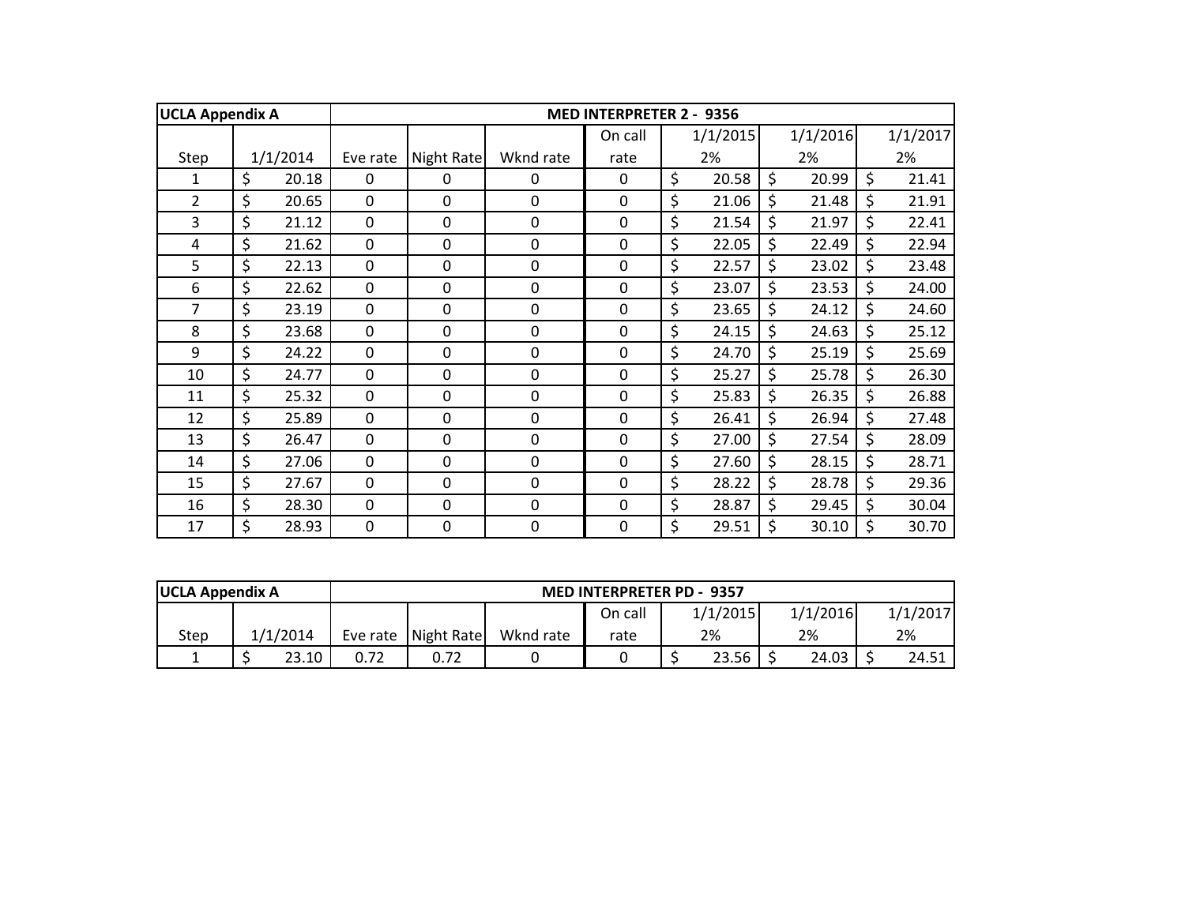| <b>UCLA Appendix A</b> |             |              |            |             | <b>MED INTERPRETER 2 - 9356</b> |             |             |         |          |
|------------------------|-------------|--------------|------------|-------------|---------------------------------|-------------|-------------|---------|----------|
|                        |             |              |            |             | On call                         | 1/1/2015    | 1/1/2016    |         | 1/1/2017 |
| Step                   | 1/1/2014    | Eve rate     | Night Rate | Wknd rate   | rate                            | 2%          | 2%          |         | 2%       |
| 1                      | \$<br>20.18 | 0            | 0          | 0           | 0                               | \$<br>20.58 | \$<br>20.99 | $\zeta$ | 21.41    |
| $\overline{2}$         | \$<br>20.65 | $\mathbf{0}$ | 0          | $\mathbf 0$ | 0                               | \$<br>21.06 | \$<br>21.48 | \$      | 21.91    |
| 3                      | \$<br>21.12 | $\mathbf 0$  | 0          | $\mathbf 0$ | 0                               | \$<br>21.54 | \$<br>21.97 | \$      | 22.41    |
| 4                      | \$<br>21.62 | $\mathbf 0$  | 0          | $\mathbf 0$ | 0                               | \$<br>22.05 | \$<br>22.49 | \$      | 22.94    |
| 5                      | \$<br>22.13 | $\mathbf 0$  | 0          | $\mathbf 0$ | 0                               | \$<br>22.57 | \$<br>23.02 | $\zeta$ | 23.48    |
| 6                      | \$<br>22.62 | $\mathbf 0$  | 0          | $\mathbf 0$ | 0                               | \$<br>23.07 | \$<br>23.53 | \$      | 24.00    |
| 7                      | \$<br>23.19 | $\mathbf 0$  | 0          | $\mathbf 0$ | 0                               | \$<br>23.65 | \$<br>24.12 | \$      | 24.60    |
| 8                      | \$<br>23.68 | $\Omega$     | 0          | $\Omega$    | 0                               | \$<br>24.15 | \$<br>24.63 | $\zeta$ | 25.12    |
| 9                      | \$<br>24.22 | $\mathbf 0$  | 0          | $\mathbf 0$ | 0                               | \$<br>24.70 | \$<br>25.19 | $\zeta$ | 25.69    |
| 10                     | \$<br>24.77 | $\mathbf 0$  | 0          | $\mathbf 0$ | 0                               | \$<br>25.27 | \$<br>25.78 | \$      | 26.30    |
| 11                     | \$<br>25.32 | $\mathbf 0$  | 0          | $\mathbf 0$ | 0                               | \$<br>25.83 | \$<br>26.35 | \$      | 26.88    |
| 12                     | \$<br>25.89 | $\mathbf 0$  | 0          | $\mathbf 0$ | 0                               | \$<br>26.41 | \$<br>26.94 | \$      | 27.48    |
| 13                     | \$<br>26.47 | $\mathbf 0$  | 0          | $\mathbf 0$ | 0                               | \$<br>27.00 | \$<br>27.54 | \$      | 28.09    |
| 14                     | \$<br>27.06 | $\mathbf 0$  | 0          | 0           | 0                               | \$<br>27.60 | \$<br>28.15 | $\zeta$ | 28.71    |
| 15                     | \$<br>27.67 | $\mathbf 0$  | 0          | $\mathbf 0$ | 0                               | \$<br>28.22 | \$<br>28.78 | \$      | 29.36    |
| 16                     | \$<br>28.30 | $\mathbf 0$  | 0          | 0           | 0                               | \$<br>28.87 | \$<br>29.45 | \$      | 30.04    |
| 17                     | \$<br>28.93 | 0            | 0          | 0           | 0                               | \$<br>29.51 | \$<br>30.10 | \$      | 30.70    |

| <b>UCLA Appendix A</b> |          |      |                       |           | <b>MED INTERPRETER PD - 9357</b> |  |       |  |          |          |  |
|------------------------|----------|------|-----------------------|-----------|----------------------------------|--|-------|--|----------|----------|--|
|                        |          |      |                       |           | 1/1/2015<br>On call              |  |       |  | 1/1/2016 | 1/1/2017 |  |
| Step                   | 1/1/2014 |      | Eve rate   Night Rate | Wknd rate | rate                             |  | 2%    |  | 2%       | 2%       |  |
|                        | 23.10    | 0.72 |                       |           |                                  |  | 23.56 |  | 24.03    | 24.51    |  |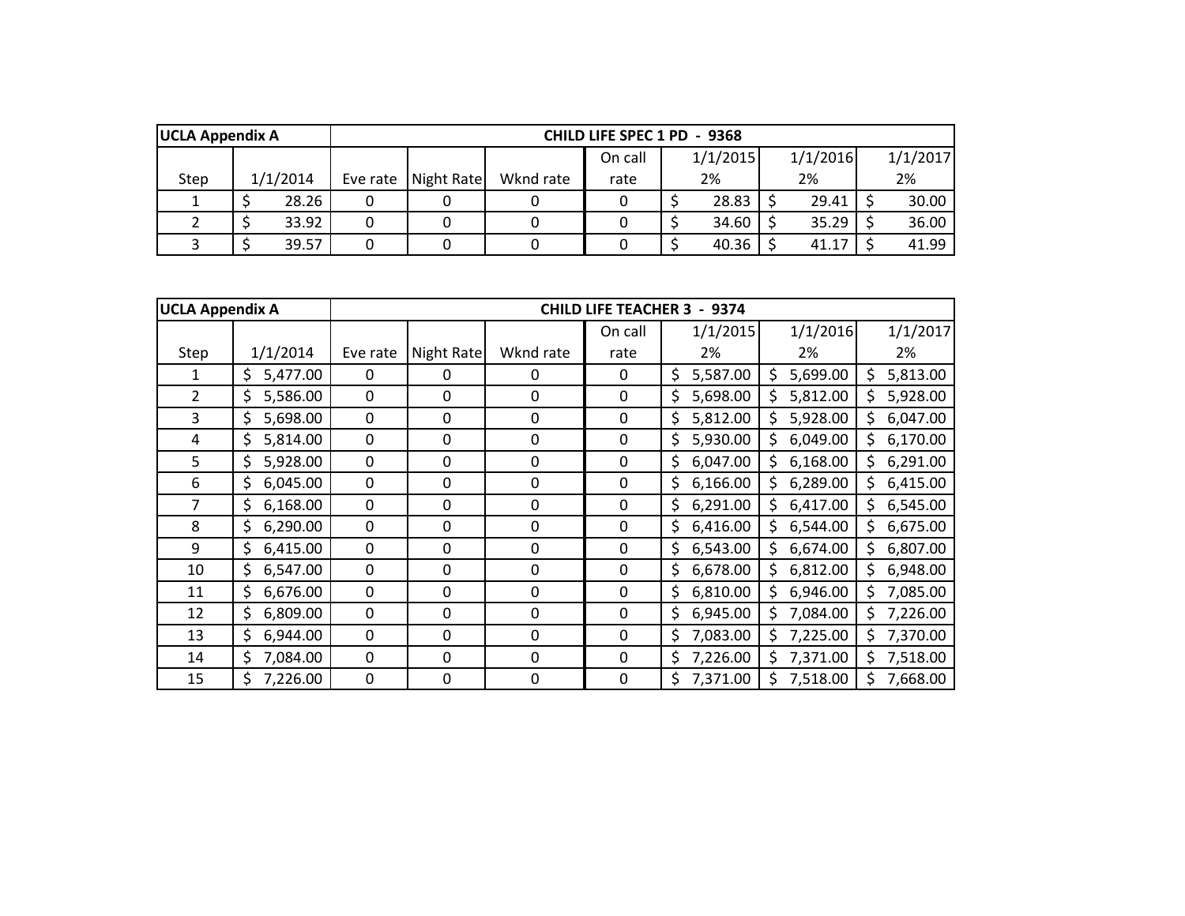|      | <b>UCLA Appendix A</b><br>CHILD LIFE SPEC 1 PD - 9368 |          |          |            |           |         |  |          |          |          |
|------|-------------------------------------------------------|----------|----------|------------|-----------|---------|--|----------|----------|----------|
|      |                                                       |          |          |            |           | On call |  | 1/1/2015 | 1/1/2016 | 1/1/2017 |
| Step |                                                       | 1/1/2014 | Eve rate | Night Rate | Wknd rate | rate    |  | 2%       | 2%       | 2%       |
|      |                                                       | 28.26    |          |            |           |         |  | 28.83    | 29.41    | 30.00    |
|      |                                                       | 33.92    |          |            |           |         |  | 34.60    | 35.29    | 36.00    |
|      |                                                       | 39.57    |          |            |           |         |  | 40.36    | 41.17    | 41.99    |

| <b>UCLA Appendix A</b> |                |             |            |                  | <b>CHILD LIFE TEACHER 3</b> | - 9374         |                |                |
|------------------------|----------------|-------------|------------|------------------|-----------------------------|----------------|----------------|----------------|
|                        |                |             |            |                  | On call                     | 1/1/2015       | 1/1/2016       | 1/1/2017       |
| Step                   | 1/1/2014       | Eve rate    | Night Rate | Wknd rate        | rate                        | 2%             | 2%             | 2%             |
| 1                      | \$<br>5,477.00 | $\Omega$    | 0          | 0                | 0                           | \$<br>5,587.00 | \$<br>5,699.00 | 5,813.00       |
| $\overline{2}$         | 5,586.00<br>\$ | 0           | 0          | $\mathbf{0}$     | 0                           | \$<br>5,698.00 | 5,812.00<br>S  | 5,928.00       |
| 3                      | \$<br>5,698.00 | $\mathbf 0$ | 0          | $\mathbf 0$      | $\mathbf 0$                 | \$<br>5,812.00 | 5,928.00<br>Ś  | 6,047.00<br>\$ |
| 4                      | \$<br>5,814.00 | $\mathbf 0$ | 0          | $\boldsymbol{0}$ | 0                           | \$<br>5,930.00 | 6,049.00<br>\$ | 6,170.00<br>\$ |
| 5                      | \$<br>5,928.00 | 0           | 0          | $\boldsymbol{0}$ | 0                           | \$<br>6,047.00 | 6,168.00<br>\$ | \$<br>6,291.00 |
| 6                      | 6,045.00<br>\$ | $\mathbf 0$ | 0          | $\boldsymbol{0}$ | 0                           | \$<br>6,166.00 | 6,289.00<br>\$ | 6,415.00<br>\$ |
| 7                      | \$<br>6,168.00 | 0           | 0          | $\mathbf 0$      | 0                           | \$<br>6,291.00 | \$<br>6,417.00 | \$<br>6,545.00 |
| 8                      | \$<br>6,290.00 | 0           | 0          | 0                | 0                           | \$<br>6,416.00 | 6,544.00<br>\$ | 6,675.00<br>\$ |
| 9                      | 6,415.00<br>\$ | $\mathbf 0$ | 0          | 0                | 0                           | \$<br>6,543.00 | 6,674.00<br>Ś  | 6,807.00<br>\$ |
| 10                     | \$<br>6,547.00 | $\mathbf 0$ | 0          | 0                | 0                           | \$<br>6,678.00 | 6,812.00<br>\$ | 6,948.00<br>\$ |
| 11                     | \$<br>6,676.00 | $\mathbf 0$ | 0          | $\mathbf 0$      | 0                           | \$<br>6,810.00 | \$<br>6,946.00 | \$<br>7,085.00 |
| 12                     | \$<br>6,809.00 | 0           | 0          | 0                | 0                           | \$<br>6,945.00 | \$<br>7,084.00 | \$<br>7,226.00 |
| 13                     | \$<br>6,944.00 | 0           | 0          | $\Omega$         | 0                           | \$<br>7,083.00 | 7,225.00<br>\$ | \$<br>7,370.00 |
| 14                     | \$<br>7,084.00 | 0           | 0          | 0                | 0                           | \$<br>7,226.00 | \$<br>7,371.00 | \$<br>7,518.00 |
| 15                     | \$<br>7,226.00 | $\mathbf 0$ | 0          | $\mathbf 0$      | $\pmb{0}$                   | \$<br>7,371.00 | 7,518.00       | 7,668.00       |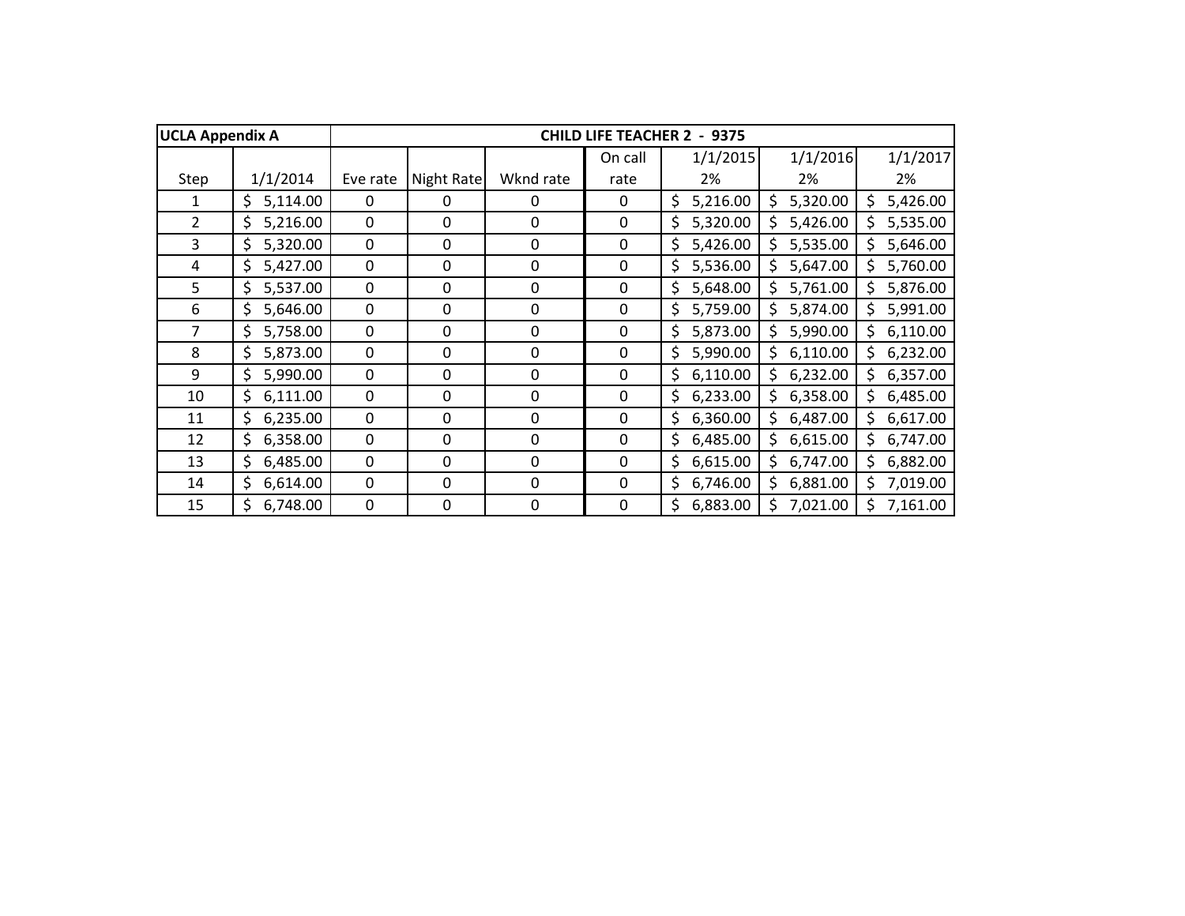| <b>UCLA Appendix A</b> |                |          |            |             | <b>CHILD LIFE TEACHER 2</b> | 9375<br>$\blacksquare$ |                |                 |
|------------------------|----------------|----------|------------|-------------|-----------------------------|------------------------|----------------|-----------------|
|                        |                |          |            |             | On call                     | 1/1/2015               | 1/1/2016       | 1/1/2017        |
| Step                   | 1/1/2014       | Eve rate | Night Rate | Wknd rate   | rate                        | 2%                     | 2%             | 2%              |
| 1                      | 5,114.00<br>\$ | 0        | 0          | 0           | 0                           | \$<br>5,216.00         | 5,320.00<br>Ś  | 5,426.00<br>Ś.  |
| $\overline{2}$         | \$<br>5,216.00 | 0        | 0          | 0           | 0                           | \$<br>5,320.00         | 5,426.00       | 5,535.00<br>Ś.  |
| 3                      | \$<br>5,320.00 | 0        | 0          | 0           | 0                           | \$<br>5,426.00         | 5,535.00       | 5,646.00        |
| 4                      | \$<br>5,427.00 | 0        | 0          | 0           | 0                           | \$<br>5,536.00         | 5,647.00       | 5,760.00<br>Ś.  |
| 5                      | \$<br>5,537.00 | 0        | 0          | 0           | 0                           | \$<br>5,648.00         | 5,761.00<br>Ś  | \$.<br>5,876.00 |
| 6                      | \$<br>5,646.00 | 0        | 0          | 0           | 0                           | 5,759.00<br>\$         | \$<br>5,874.00 | \$.<br>5,991.00 |
| 7                      | \$<br>5,758.00 | 0        | 0          | 0           | 0                           | \$<br>5,873.00         | \$<br>5,990.00 | \$<br>6,110.00  |
| 8                      | \$<br>5,873.00 | 0        | 0          | 0           | 0                           | \$<br>5,990.00         | \$<br>6,110.00 | \$<br>6,232.00  |
| 9                      | \$<br>5,990.00 | 0        | 0          | 0           | $\mathbf{0}$                | \$<br>6,110.00         | 6,232.00<br>Ś  | 6,357.00<br>Ś.  |
| 10                     | \$<br>6,111.00 | 0        | 0          | $\mathbf 0$ | $\mathbf 0$                 | 6,233.00<br>\$         | 6,358.00<br>Ś  | 6,485.00<br>Ś.  |
| 11                     | 6,235.00<br>\$ | 0        | 0          | $\mathbf 0$ | $\mathbf 0$                 | 6,360.00<br>\$         | 6,487.00<br>\$ | 6,617.00<br>\$. |
| 12                     | 6,358.00<br>\$ | 0        | 0          | $\mathbf 0$ | $\mathbf 0$                 | \$<br>6,485.00         | 6,615.00<br>\$ | 6,747.00<br>Ś.  |
| 13                     | \$<br>6,485.00 | 0        | 0          | 0           | $\mathbf{0}$                | \$<br>6,615.00         | \$<br>6,747.00 | \$.<br>6,882.00 |
| 14                     | \$<br>6,614.00 | 0        | 0          | 0           | $\mathbf{0}$                | \$<br>6,746.00         | 6,881.00       | 7,019.00<br>Ś.  |
| 15                     | Ś<br>6,748.00  | 0        | 0          | 0           | 0                           | Ś<br>6,883.00          | 7,021.00       | 7,161.00        |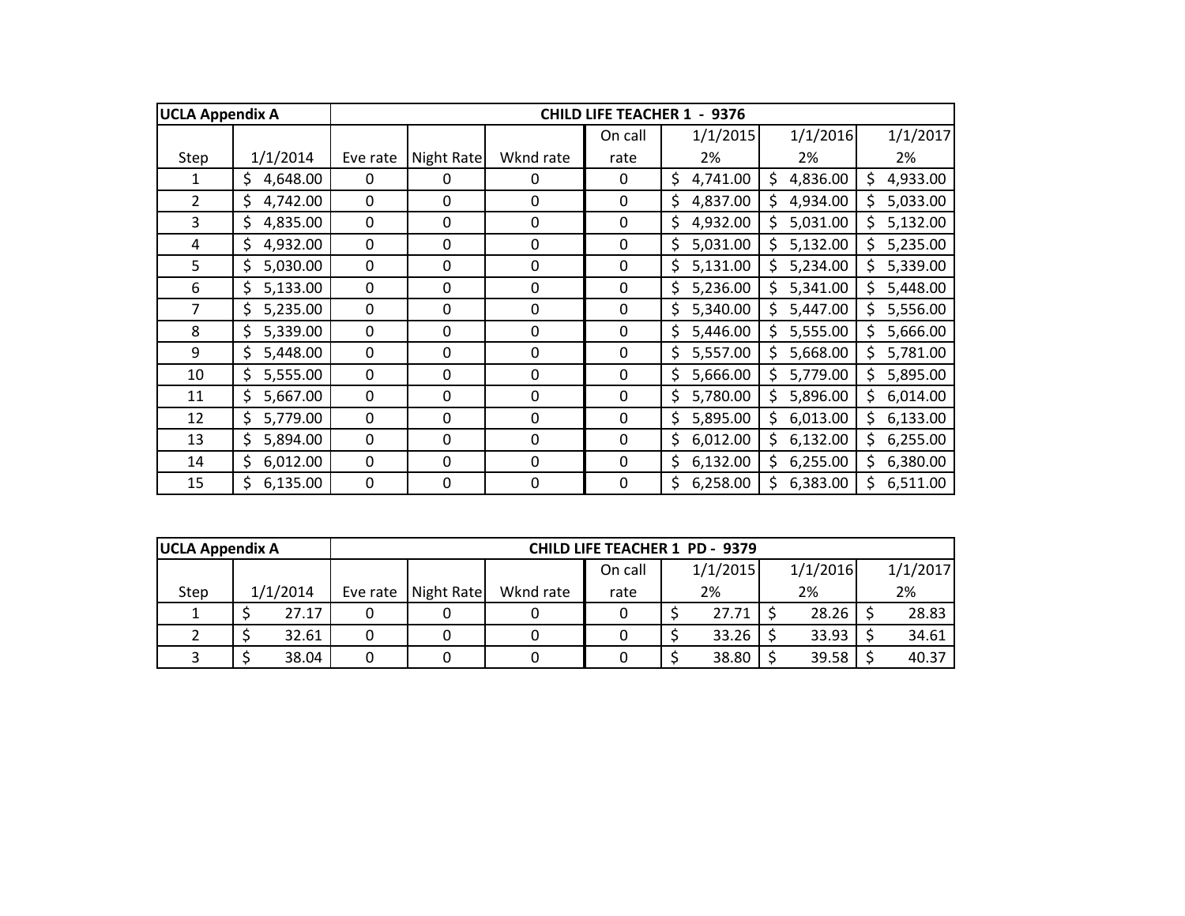| <b>UCLA Appendix A</b> |                |                  |             |                  | <b>CHILD LIFE TEACHER 1</b> | $-9376$        |                |                 |
|------------------------|----------------|------------------|-------------|------------------|-----------------------------|----------------|----------------|-----------------|
|                        |                |                  |             |                  | On call                     | 1/1/2015       | 1/1/2016       | 1/1/2017        |
| Step                   | 1/1/2014       | Eve rate         | Night Rate  | Wknd rate        | rate                        | 2%             | 2%             | 2%              |
| 1                      | \$<br>4,648.00 | $\Omega$         | 0           | 0                | 0                           | \$<br>4,741.00 | 4,836.00<br>\$ | \$<br>4,933.00  |
| $\overline{2}$         | \$<br>4,742.00 | 0                | 0           | 0                | 0                           | \$<br>4,837.00 | 4,934.00<br>\$ | 5,033.00<br>S   |
| $\overline{3}$         | \$<br>4,835.00 | $\mathbf 0$      | 0           | $\mathbf 0$      | 0                           | \$<br>4,932.00 | 5,031.00<br>Ś  | 5,132.00<br>\$  |
| 4                      | \$<br>4,932.00 | $\boldsymbol{0}$ | 0           | $\mathbf 0$      | 0                           | \$<br>5,031.00 | 5,132.00<br>\$ | 5,235.00<br>Ś.  |
| 5                      | \$<br>5,030.00 | 0                | 0           | $\boldsymbol{0}$ | 0                           | \$<br>5,131.00 | 5,234.00<br>Ś  | 5,339.00<br>Ś.  |
| 6                      | \$<br>5,133.00 | 0                | 0           | $\boldsymbol{0}$ | 0                           | \$<br>5,236.00 | \$<br>5,341.00 | \$.<br>5,448.00 |
| 7                      | \$<br>5,235.00 | 0                | $\mathbf 0$ | $\boldsymbol{0}$ | 0                           | \$<br>5,340.00 | 5,447.00<br>\$ | \$<br>5,556.00  |
| 8                      | \$<br>5,339.00 | 0                | $\mathbf 0$ | $\mathbf 0$      | 0                           | \$<br>5,446.00 | \$<br>5,555.00 | \$<br>5,666.00  |
| 9                      | \$<br>5,448.00 | 0                | 0           | 0                | 0                           | \$<br>5,557.00 | 5,668.00<br>Ś  | Ś.<br>5,781.00  |
| 10                     | \$<br>5,555.00 | 0                | 0           | 0                | 0                           | 5,666.00<br>\$ | 5,779.00<br>\$ | 5,895.00<br>\$. |
| 11                     | \$<br>5,667.00 | 0                | 0           | 0                | 0                           | 5,780.00<br>\$ | 5,896.00<br>\$ | 6,014.00<br>Ś.  |
| 12                     | \$<br>5,779.00 | 0                | 0           | $\mathbf 0$      | 0                           | \$<br>5,895.00 | 6,013.00<br>\$ | 6,133.00<br>\$. |
| 13                     | \$<br>5,894.00 | 0                | 0           | $\mathbf 0$      | 0                           | 6,012.00<br>\$ | 6,132.00<br>\$ | 6,255.00<br>\$. |
| 14                     | \$<br>6,012.00 | 0                | 0           | 0                | 0                           | \$<br>6,132.00 | \$<br>6,255.00 | 6,380.00<br>Ś.  |
| 15                     | \$<br>6,135.00 | 0                | 0           | $\mathbf 0$      | 0                           | \$<br>6,258.00 | \$<br>6,383.00 | \$<br>6,511.00  |

| <b>UCLA Appendix A</b> |          | <b>CHILD LIFE TEACHER 1 PD - 9379</b> |            |           |         |  |          |  |          |  |          |
|------------------------|----------|---------------------------------------|------------|-----------|---------|--|----------|--|----------|--|----------|
|                        |          |                                       |            |           | On call |  | 1/1/2015 |  | 1/1/2016 |  | 1/1/2017 |
| Step                   | 1/1/2014 | Eve rate                              | Night Rate | Wknd rate | rate    |  | 2%       |  | 2%       |  | 2%       |
|                        | 27.17    |                                       |            |           |         |  | 27.71    |  | 28.26    |  | 28.83    |
|                        | 32.61    |                                       |            |           |         |  | 33.26    |  | 33.93    |  | 34.61    |
|                        | 38.04    |                                       |            |           |         |  | 38.80    |  | 39.58    |  | 40.37    |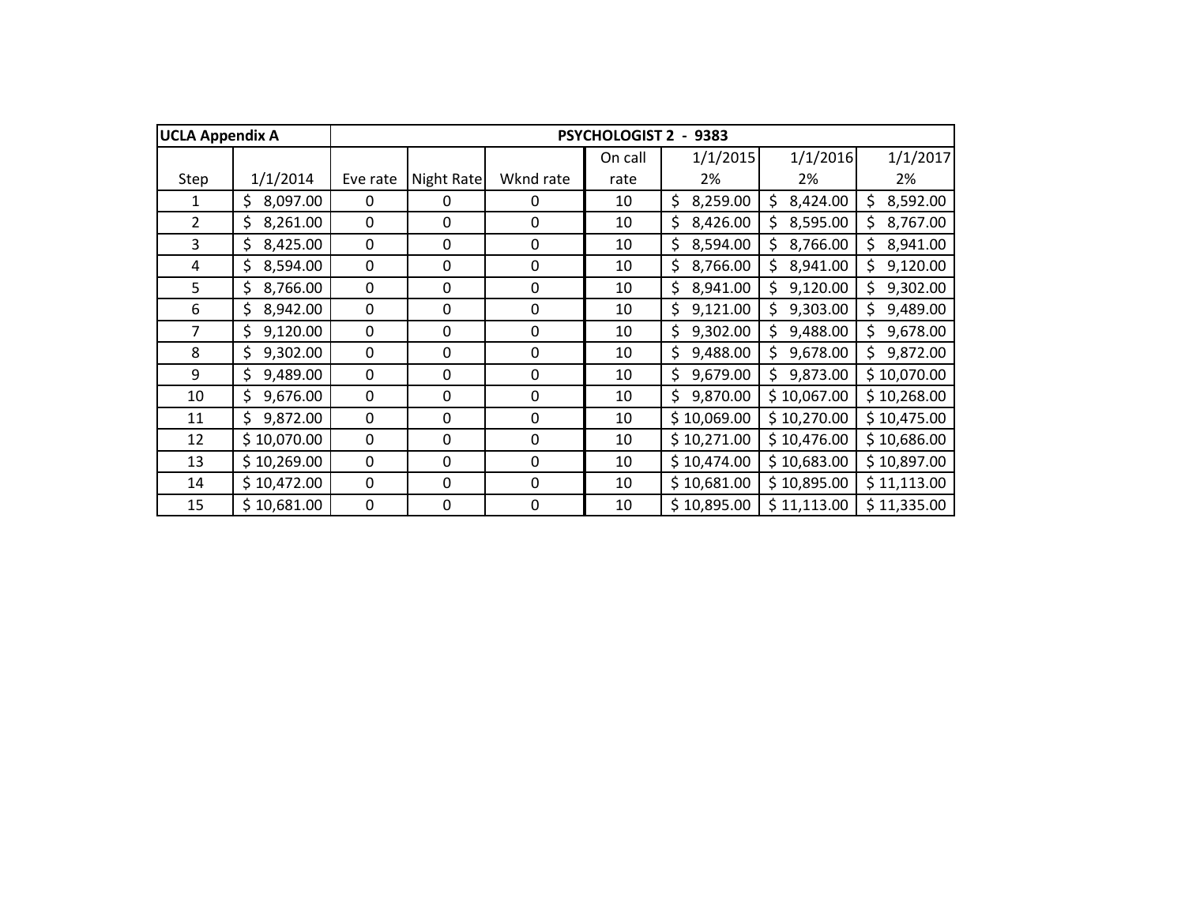| <b>UCLA Appendix A</b> |                |             |             |             | <b>PSYCHOLOGIST 2</b> | 9383           |                |                 |
|------------------------|----------------|-------------|-------------|-------------|-----------------------|----------------|----------------|-----------------|
|                        |                |             |             |             | On call               | 1/1/2015       | 1/1/2016       | 1/1/2017        |
| Step                   | 1/1/2014       | Eve rate    | Night Rate  | Wknd rate   | rate                  | 2%             | 2%             | 2%              |
| 1                      | \$<br>8,097.00 | $\Omega$    | 0           | 0           | 10                    | \$<br>8,259.00 | \$<br>8,424.00 | \$<br>8,592.00  |
| $\overline{2}$         | \$<br>8,261.00 | 0           | 0           | 0           | 10                    | \$<br>8,426.00 | 8,595.00<br>Ś  | Ś.<br>8,767.00  |
| 3                      | \$<br>8,425.00 | 0           | 0           | 0           | 10                    | \$<br>8,594.00 | \$<br>8,766.00 | \$.<br>8,941.00 |
| 4                      | \$<br>8,594.00 | $\mathbf 0$ | 0           | $\pmb{0}$   | 10                    | \$<br>8,766.00 | \$<br>8,941.00 | 9,120.00<br>\$. |
| 5                      | \$<br>8,766.00 | $\mathbf 0$ | 0           | $\mathbf 0$ | 10                    | \$<br>8,941.00 | \$<br>9,120.00 | \$<br>9,302.00  |
| 6                      | \$<br>8,942.00 | 0           | 0           | $\mathbf 0$ | 10                    | \$<br>9,121.00 | \$<br>9,303.00 | \$<br>9,489.00  |
| $\overline{7}$         | \$<br>9,120.00 | 0           | 0           | 0           | 10                    | \$<br>9,302.00 | \$<br>9,488.00 | \$<br>9,678.00  |
| 8                      | \$<br>9,302.00 | 0           | 0           | $\mathbf 0$ | 10                    | \$<br>9,488.00 | 9,678.00<br>Ś  | 9,872.00<br>\$. |
| 9                      | \$<br>9,489.00 | 0           | 0           | 0           | 10                    | \$<br>9,679.00 | 9,873.00<br>\$ | \$10,070.00     |
| 10                     | \$<br>9,676.00 | $\Omega$    | 0           | $\mathbf 0$ | 10                    | 9,870.00<br>\$ | \$10,067.00    | \$10,268.00     |
| 11                     | \$<br>9,872.00 | 0           | $\mathbf 0$ | $\mathbf 0$ | 10                    | \$10,069.00    | \$10,270.00    | \$10,475.00     |
| 12                     | \$10,070.00    | 0           | $\mathbf 0$ | $\mathbf 0$ | 10                    | \$10,271.00    | \$10,476.00    | \$10,686.00     |
| 13                     | \$10,269.00    | 0           | 0           | 0           | 10                    | \$10,474.00    | \$10,683.00    | \$10,897.00     |
| 14                     | \$10,472.00    | 0           | 0           | $\mathbf 0$ | 10                    | \$10,681.00    | \$10,895.00    | \$11,113.00     |
| 15                     | \$10,681.00    | $\mathbf 0$ | 0           | 0           | 10                    | \$10,895.00    | \$11,113.00    | \$11,335.00     |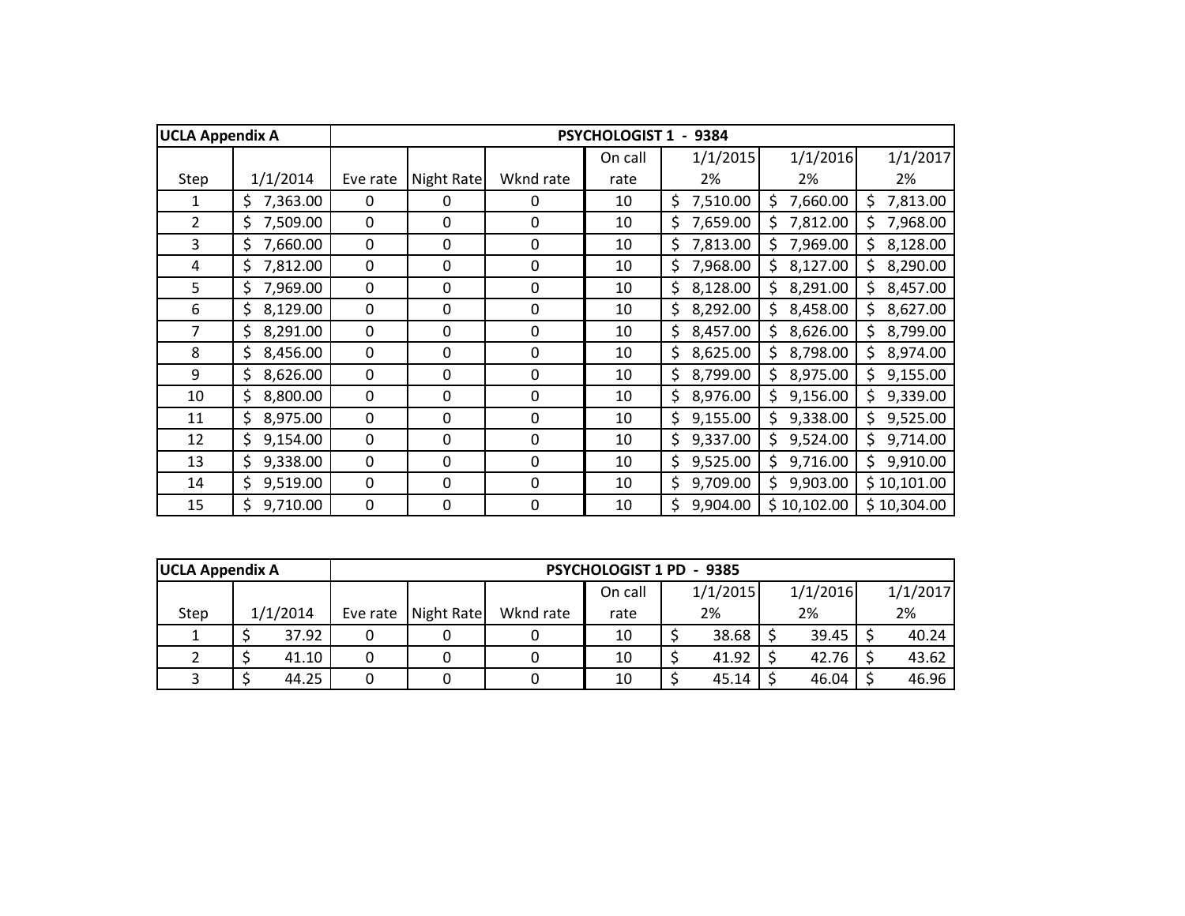| <b>UCLA Appendix A</b> |                |          |            |             | <b>PSYCHOLOGIST 1</b> | 9384           |                 |                 |
|------------------------|----------------|----------|------------|-------------|-----------------------|----------------|-----------------|-----------------|
|                        |                |          |            |             | On call               | 1/1/2015       | 1/1/2016        | 1/1/2017        |
| Step                   | 1/1/2014       | Eve rate | Night Rate | Wknd rate   | rate                  | 2%             | 2%              | 2%              |
| 1                      | 7,363.00<br>\$ | $\Omega$ | 0          | 0           | 10                    | \$<br>7,510.00 | 7,660.00<br>\$  | 7,813.00<br>\$  |
| $\overline{2}$         | \$<br>7,509.00 | 0        | 0          | 0           | 10                    | \$<br>7,659.00 | 7,812.00<br>S   | 7,968.00<br>Ś.  |
| 3                      | \$<br>7,660.00 | 0        | 0          | 0           | 10                    | \$<br>7,813.00 | \$<br>7,969.00  | \$.<br>8,128.00 |
| 4                      | \$<br>7,812.00 | 0        | 0          | 0           | 10                    | \$<br>7,968.00 | \$.<br>8,127.00 | 8,290.00<br>\$. |
| 5                      | \$<br>7,969.00 | 0        | 0          | $\mathbf 0$ | 10                    | \$<br>8,128.00 | \$<br>8,291.00  | \$<br>8,457.00  |
| 6                      | \$<br>8,129.00 | 0        | 0          | $\mathbf 0$ | 10                    | \$<br>8,292.00 | \$<br>8,458.00  | \$.<br>8,627.00 |
| $\overline{7}$         | \$<br>8,291.00 | 0        | 0          | 0           | 10                    | \$<br>8,457.00 | \$<br>8,626.00  | \$<br>8,799.00  |
| 8                      | \$<br>8,456.00 | 0        | 0          | 0           | 10                    | 8,625.00<br>\$ | 8,798.00<br>Ś   | 8,974.00<br>Ś.  |
| 9                      | \$<br>8,626.00 | 0        | 0          | 0           | 10                    | 8,799.00<br>\$ | 8,975.00<br>\$  | 9,155.00<br>\$  |
| 10                     | 8,800.00<br>\$ | $\Omega$ | 0          | $\Omega$    | 10                    | 8,976.00<br>\$ | 9,156.00<br>\$  | 9,339.00<br>Ś.  |
| 11                     | \$<br>8,975.00 | 0        | 0          | $\mathbf 0$ | 10                    | \$<br>9,155.00 | 9,338.00<br>\$  | 9,525.00<br>\$. |
| 12                     | \$<br>9,154.00 | 0        | 0          | $\mathbf 0$ | 10                    | \$<br>9,337.00 | 9,524.00<br>\$  | 9,714.00<br>\$. |
| 13                     | \$<br>9,338.00 | 0        | 0          | 0           | 10                    | \$<br>9,525.00 | \$<br>9,716.00  | \$<br>9,910.00  |
| 14                     | \$<br>9,519.00 | 0        | 0          | $\mathbf 0$ | 10                    | \$<br>9,709.00 | Ś.<br>9,903.00  | \$10,101.00     |
| 15                     | Ś<br>9,710.00  | 0        | 0          | 0           | 10                    | \$<br>9,904.00 | \$10,102.00     | \$10,304.00     |

| <b>UCLA Appendix A</b> |          |          | <b>PSYCHOLOGIST 1 PD - 9385</b> |           |         |  |          |  |          |  |          |  |  |
|------------------------|----------|----------|---------------------------------|-----------|---------|--|----------|--|----------|--|----------|--|--|
|                        |          |          |                                 |           | On call |  | 1/1/2015 |  | 1/1/2016 |  | 1/1/2017 |  |  |
| Step                   | 1/1/2014 | Eve rate | Night Rate                      | Wknd rate | rate    |  | 2%       |  | 2%       |  | 2%       |  |  |
|                        | 37.92    |          |                                 |           | 10      |  | 38.68    |  | 39.45    |  | 40.24    |  |  |
|                        | 41.10    |          |                                 |           | 10      |  | 41.92    |  | 42.76    |  | 43.62    |  |  |
|                        | 44.25    |          |                                 |           | 10      |  | 45.14    |  | 46.04    |  | 46.96    |  |  |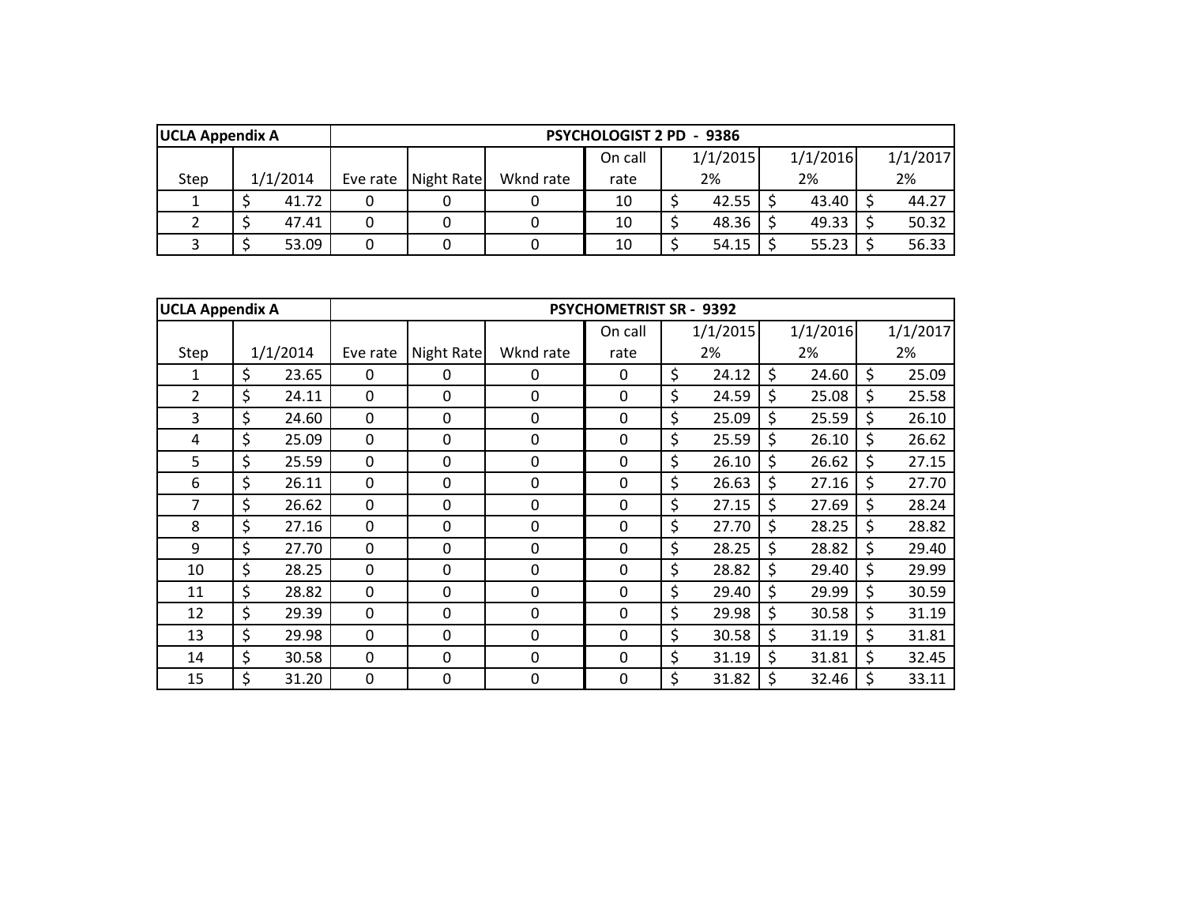| <b>UCLA Appendix A</b> |          |          |            |           | <b>PSYCHOLOGIST 2 PD - 9386</b> |          |       |          |  |          |
|------------------------|----------|----------|------------|-----------|---------------------------------|----------|-------|----------|--|----------|
|                        |          |          |            |           | On call                         | 1/1/2015 |       | 1/1/2016 |  | 1/1/2017 |
| Step                   | 1/1/2014 | Eve rate | Night Rate | Wknd rate | rate                            | 2%<br>2% |       | 2%       |  |          |
|                        | 41.72    |          |            |           | 10                              | 42.55    | 43.40 |          |  | 44.27    |
|                        | 47.41    |          |            |           | 10                              | 48.36    |       | 49.33    |  | 50.32    |
|                        | 53.09    |          |            |           | 10                              | 54.15    |       | 55.23    |  | 56.33    |

| <b>UCLA Appendix A</b> |             |             |            |             | <b>PSYCHOMETRIST SR - 9392</b> |             |             |             |
|------------------------|-------------|-------------|------------|-------------|--------------------------------|-------------|-------------|-------------|
|                        |             |             |            |             | On call                        | 1/1/2015    | 1/1/2016    | 1/1/2017    |
| Step                   | 1/1/2014    | Eve rate    | Night Rate | Wknd rate   | rate                           | 2%          | 2%          | 2%          |
| 1                      | \$<br>23.65 | $\Omega$    | 0          | 0           | 0                              | \$<br>24.12 | \$<br>24.60 | \$<br>25.09 |
| $\overline{2}$         | \$<br>24.11 | $\Omega$    | 0          | $\Omega$    | 0                              | \$<br>24.59 | \$<br>25.08 | \$<br>25.58 |
| 3                      | \$<br>24.60 | $\mathbf 0$ | 0          | $\Omega$    | 0                              | \$<br>25.09 | \$<br>25.59 | \$<br>26.10 |
| 4                      | \$<br>25.09 | 0           | 0          | 0           | 0                              | \$<br>25.59 | \$<br>26.10 | \$<br>26.62 |
| 5                      | \$<br>25.59 | $\mathbf 0$ | 0          | 0           | 0                              | \$<br>26.10 | \$<br>26.62 | \$<br>27.15 |
| 6                      | \$<br>26.11 | 0           | 0          | 0           | 0                              | \$<br>26.63 | \$<br>27.16 | \$<br>27.70 |
| 7                      | \$<br>26.62 | $\mathbf 0$ | 0          | 0           | 0                              | \$<br>27.15 | \$<br>27.69 | \$<br>28.24 |
| 8                      | \$<br>27.16 | $\mathbf 0$ | 0          | $\Omega$    | 0                              | \$<br>27.70 | \$<br>28.25 | \$<br>28.82 |
| 9                      | \$<br>27.70 | $\mathbf 0$ | 0          | $\mathbf 0$ | 0                              | \$<br>28.25 | \$<br>28.82 | \$<br>29.40 |
| 10                     | \$<br>28.25 | $\mathbf 0$ | 0          | $\mathbf 0$ | $\mathbf 0$                    | \$<br>28.82 | \$<br>29.40 | \$<br>29.99 |
| 11                     | \$<br>28.82 | $\mathbf 0$ | 0          | $\Omega$    | 0                              | \$<br>29.40 | \$<br>29.99 | \$<br>30.59 |
| 12                     | \$<br>29.39 | $\mathbf 0$ | 0          | $\mathbf 0$ | 0                              | \$<br>29.98 | \$<br>30.58 | \$<br>31.19 |
| 13                     | \$<br>29.98 | $\mathbf 0$ | 0          | 0           | 0                              | \$<br>30.58 | \$<br>31.19 | \$<br>31.81 |
| 14                     | \$<br>30.58 | $\mathbf 0$ | 0          | $\mathbf 0$ | 0                              | \$<br>31.19 | \$<br>31.81 | \$<br>32.45 |
| 15                     | \$<br>31.20 | 0           | 0          | 0           | 0                              | \$<br>31.82 | \$<br>32.46 | \$<br>33.11 |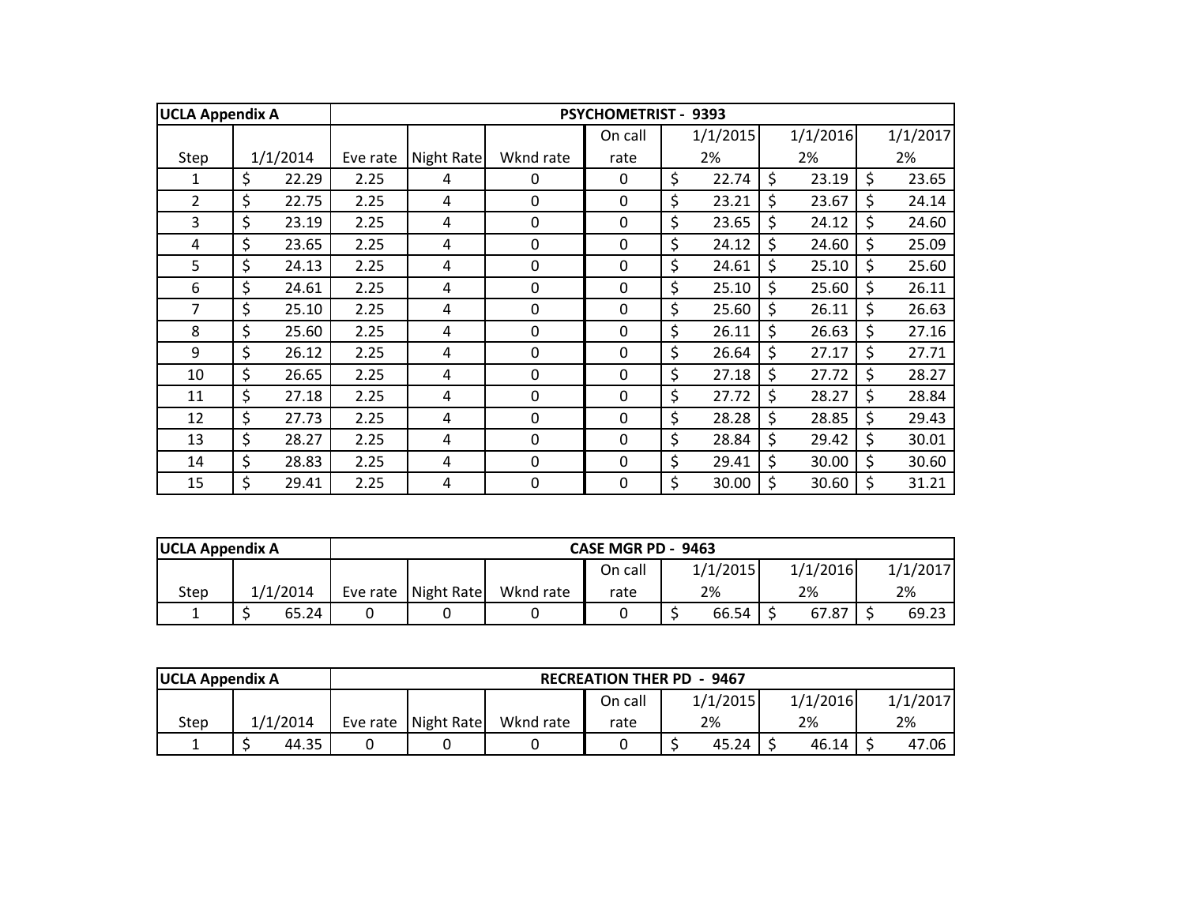| <b>UCLA Appendix A</b> |             |          |            |             | <b>PSYCHOMETRIST - 9393</b> |             |             |         |          |
|------------------------|-------------|----------|------------|-------------|-----------------------------|-------------|-------------|---------|----------|
|                        |             |          |            |             | On call                     | 1/1/2015    | 1/1/2016    |         | 1/1/2017 |
| Step                   | 1/1/2014    | Eve rate | Night Rate | Wknd rate   | rate                        | 2%          | 2%          |         | 2%       |
| $\mathbf{1}$           | \$<br>22.29 | 2.25     | 4          | $\Omega$    | $\Omega$                    | \$<br>22.74 | \$<br>23.19 | \$      | 23.65    |
| $\overline{2}$         | \$<br>22.75 | 2.25     | 4          | $\mathbf 0$ | $\mathbf 0$                 | \$<br>23.21 | \$<br>23.67 | \$      | 24.14    |
| $\overline{3}$         | \$<br>23.19 | 2.25     | 4          | 0           | $\mathbf 0$                 | \$<br>23.65 | \$<br>24.12 | $\zeta$ | 24.60    |
| 4                      | \$<br>23.65 | 2.25     | 4          | 0           | 0                           | \$<br>24.12 | \$<br>24.60 | \$      | 25.09    |
| 5                      | \$<br>24.13 | 2.25     | 4          | $\mathbf 0$ | $\mathbf 0$                 | \$<br>24.61 | \$<br>25.10 | \$      | 25.60    |
| 6                      | \$<br>24.61 | 2.25     | 4          | $\mathbf 0$ | $\pmb{0}$                   | \$<br>25.10 | \$<br>25.60 | \$      | 26.11    |
| $\overline{7}$         | \$<br>25.10 | 2.25     | 4          | 0           | $\mathbf 0$                 | \$<br>25.60 | \$<br>26.11 | \$      | 26.63    |
| 8                      | \$<br>25.60 | 2.25     | 4          | 0           | $\mathbf 0$                 | \$<br>26.11 | \$<br>26.63 | \$      | 27.16    |
| 9                      | \$<br>26.12 | 2.25     | 4          | $\mathbf 0$ | $\mathbf 0$                 | \$<br>26.64 | \$<br>27.17 | \$      | 27.71    |
| 10                     | \$<br>26.65 | 2.25     | 4          | $\mathbf 0$ | $\mathbf 0$                 | \$<br>27.18 | \$<br>27.72 | \$      | 28.27    |
| 11                     | \$<br>27.18 | 2.25     | 4          | $\mathbf 0$ | $\mathbf 0$                 | \$<br>27.72 | \$<br>28.27 | \$      | 28.84    |
| 12                     | \$<br>27.73 | 2.25     | 4          | $\mathbf 0$ | $\mathbf 0$                 | \$<br>28.28 | \$<br>28.85 | \$      | 29.43    |
| 13                     | \$<br>28.27 | 2.25     | 4          | $\mathbf 0$ | $\mathbf 0$                 | \$<br>28.84 | \$<br>29.42 | \$      | 30.01    |
| 14                     | \$<br>28.83 | 2.25     | 4          | 0           | 0                           | \$<br>29.41 | \$<br>30.00 | \$      | 30.60    |
| 15                     | \$<br>29.41 | 2.25     | 4          | $\mathbf 0$ | $\mathbf 0$                 | \$<br>30.00 | \$<br>30.60 | \$      | 31.21    |

| <b>UCLA Appendix A</b> |          |       |                       |           | CASE MGR PD - 9463 |          |          |          |
|------------------------|----------|-------|-----------------------|-----------|--------------------|----------|----------|----------|
|                        |          |       |                       |           | On call            | 1/1/2015 | 1/1/2016 | 1/1/2017 |
| Step                   | 1/1/2014 |       | Eve rate   Night Rate | Wknd rate | rate               | 2%       | 2%       | 2%       |
|                        |          | 65.24 |                       |           |                    | 66.54    | 67.87    | 69.23    |

| <b>UCLA Appendix A</b> |          |       |                       |           | <b>RECREATION THER PD - 9467</b> |          |          |          |
|------------------------|----------|-------|-----------------------|-----------|----------------------------------|----------|----------|----------|
|                        |          |       |                       |           | On call                          | 1/1/2015 | 1/1/2016 | 1/1/2017 |
| Step                   | 1/1/2014 |       | Eve rate   Night Rate | Wknd rate | rate                             | 2%       | 2%       | 2%       |
|                        |          | 44.35 |                       |           |                                  | 45.24    | 46.14    | 47.06    |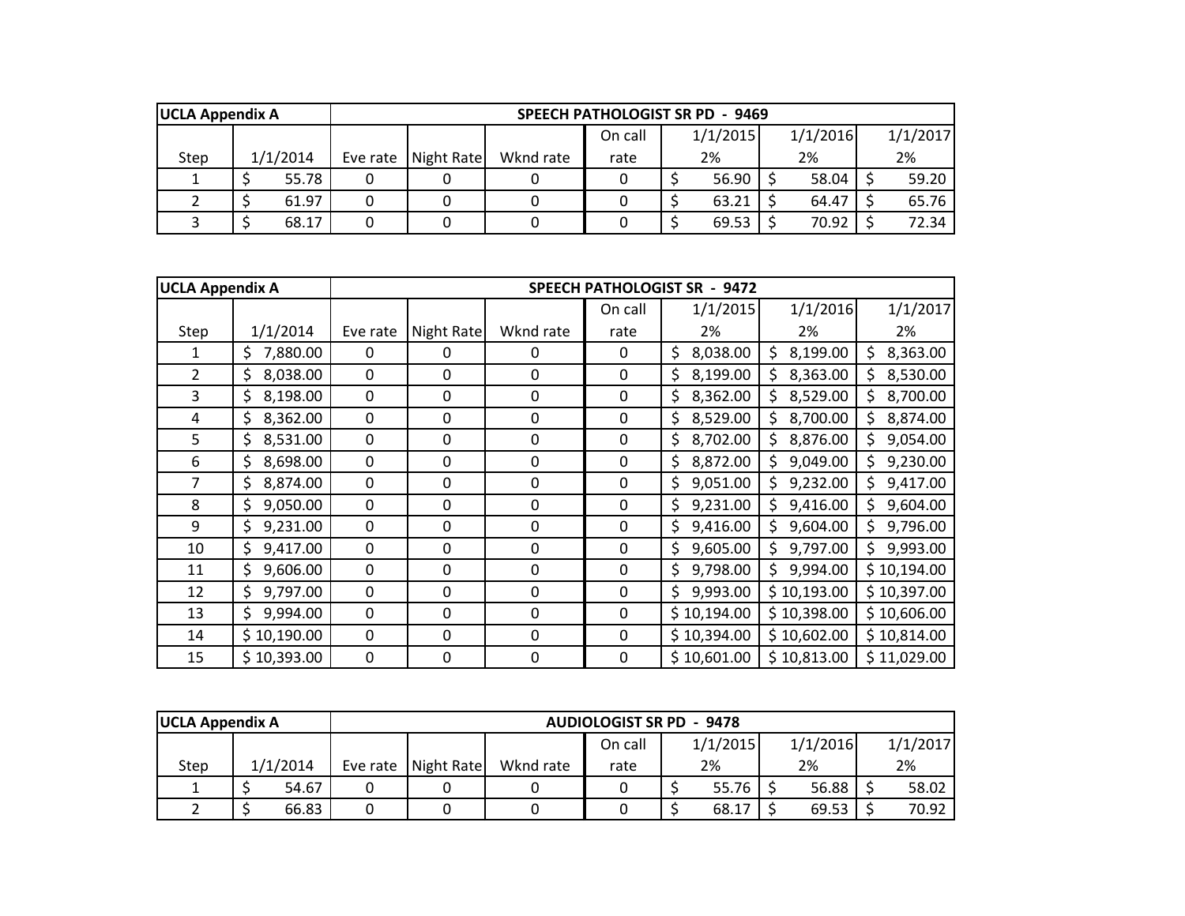| <b>UCLA Appendix A</b> |          |       |          |            |           | <b>SPEECH PATHOLOGIST SR PD - 9469</b> |    |          |       |          |          |
|------------------------|----------|-------|----------|------------|-----------|----------------------------------------|----|----------|-------|----------|----------|
|                        |          |       |          |            |           | On call                                |    | 1/1/2015 |       | 1/1/2016 | 1/1/2017 |
| Step                   | 1/1/2014 |       | Eve rate | Night Rate | Wknd rate | rate                                   | 2% |          |       | 2%       | 2%       |
|                        |          | 55.78 |          |            |           |                                        |    | 56.90    | 58.04 |          | 59.20    |
|                        |          | 61.97 |          |            |           |                                        |    | 63.21    | 64.47 |          | 65.76    |
|                        |          | 68.17 |          |            |           |                                        |    | 69.53    |       | 70.92    | 72.34    |

| <b>UCLA Appendix A</b> |                 | <b>SPEECH PATHOLOGIST SR - 9472</b> |             |             |             |                 |                 |                 |  |
|------------------------|-----------------|-------------------------------------|-------------|-------------|-------------|-----------------|-----------------|-----------------|--|
|                        |                 |                                     |             |             | On call     | 1/1/2015        | 1/1/2016        | 1/1/2017        |  |
| Step                   | 1/1/2014        | Eve rate                            | Night Rate  | Wknd rate   | rate        | 2%              | 2%              | 2%              |  |
| 1                      | 7,880.00<br>S.  | $\mathbf 0$                         | 0           | 0           | $\mathbf 0$ | 8,038.00<br>Ś.  | 8,199.00<br>S.  | \$.<br>8,363.00 |  |
| 2                      | 8,038.00<br>S.  | $\mathbf 0$                         | $\mathbf 0$ | $\mathbf 0$ | $\mathbf 0$ | 8,199.00<br>\$. | 8,363.00<br>\$. | 8,530.00<br>\$. |  |
| 3                      | \$8,198.00      | $\mathbf 0$                         | 0           | $\mathbf 0$ | $\mathbf 0$ | 8,362.00<br>\$. | 8,529.00<br>Ś.  | \$.<br>8,700.00 |  |
| 4                      | 8,362.00<br>\$. | $\mathbf 0$                         | 0           | $\mathbf 0$ | $\mathbf 0$ | 8,529.00<br>\$  | 8,700.00<br>Ś.  | 8,874.00<br>\$. |  |
| 5                      | 8,531.00<br>\$. | $\mathbf 0$                         | 0           | 0           | $\mathbf 0$ | 8,702.00<br>\$. | Ś.<br>8,876.00  | Ś.<br>9,054.00  |  |
| 6                      | 8,698.00<br>Ś.  | $\mathbf 0$                         | 0           | 0           | 0           | Ś.<br>8,872.00  | 9,049.00        | 9,230.00        |  |
| 7                      | 8,874.00<br>S.  | 0                                   | 0           | 0           | $\mathbf 0$ | 9,051.00<br>Ś   | 9,232.00        | 9,417.00        |  |
| 8                      | 9,050.00        | 0                                   | 0           | 0           | $\mathbf 0$ | 9,231.00<br>Ś   | 9,416.00        | 9,604.00        |  |
| 9                      | 9,231.00        | 0                                   | 0           | 0           | 0           | 9,416.00        | 9,604.00        | 9,796.00        |  |
| 10                     | 9,417.00        | 0                                   | $\mathbf 0$ | 0           | 0           | 9,605.00        | 9,797.00        | 9,993.00<br>Ś.  |  |
| 11                     | 9,606.00        | 0                                   | $\mathbf 0$ | 0           | 0           | 9,798.00        | 9,994.00        | \$10,194.00     |  |
| 12                     | 9,797.00<br>\$. | 0                                   | $\mathbf 0$ | 0           | 0           | 9,993.00        | \$10,193.00     | \$10,397.00     |  |
| 13                     | 9,994.00        | 0                                   | $\mathbf 0$ | 0           | 0           | \$10,194.00     | \$10,398.00     | \$10,606.00     |  |
| 14                     | \$10,190.00     | $\mathbf 0$                         | $\mathbf 0$ | $\mathbf 0$ | 0           | \$10,394.00     | \$10,602.00     | \$10,814.00     |  |
| 15                     | \$10,393.00     | $\mathbf 0$                         | $\mathbf 0$ | $\mathbf 0$ | $\mathbf 0$ | \$10,601.00     | \$10,813.00     | \$11,029.00     |  |

| <b>UCLA Appendix A</b> |          |       | <b>AUDIOLOGIST SR PD - 9478</b> |           |         |    |          |    |          |  |          |  |  |  |
|------------------------|----------|-------|---------------------------------|-----------|---------|----|----------|----|----------|--|----------|--|--|--|
|                        |          |       |                                 |           | On call |    | 1/1/2015 |    | 1/1/2016 |  | 1/1/2017 |  |  |  |
| Step                   | 1/1/2014 |       | Eve rate   Night Rate           | Wknd rate | rate    | 2% |          | 2% |          |  | 2%       |  |  |  |
|                        |          | 54.67 |                                 |           |         |    | 55.76    |    | 56.88    |  | 58.02    |  |  |  |
|                        |          | 66.83 |                                 |           |         |    | 68.17    |    | 69.53    |  | 70.92    |  |  |  |